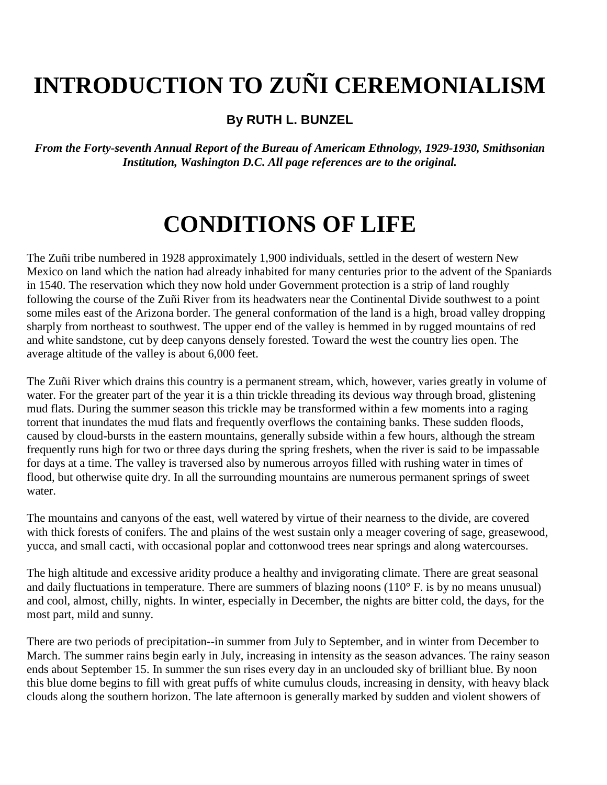# **INTRODUCTION TO ZUÑI CEREMONIALISM**

#### **By RUTH L. BUNZEL**

*From the Forty-seventh Annual Report of the Bureau of Americam Ethnology, 1929-1930, Smithsonian Institution, Washington D.C. All page references are to the original.*

# **CONDITIONS OF LIFE**

The Zuñi tribe numbered in 1928 approximately 1,900 individuals, settled in the desert of western New Mexico on land which the nation had already inhabited for many centuries prior to the advent of the Spaniards in 1540. The reservation which they now hold under Government protection is a strip of land roughly following the course of the Zuñi River from its headwaters near the Continental Divide southwest to a point some miles east of the Arizona border. The general conformation of the land is a high, broad valley dropping sharply from northeast to southwest. The upper end of the valley is hemmed in by rugged mountains of red and white sandstone, cut by deep canyons densely forested. Toward the west the country lies open. The average altitude of the valley is about 6,000 feet.

The Zuñi River which drains this country is a permanent stream, which, however, varies greatly in volume of water. For the greater part of the year it is a thin trickle threading its devious way through broad, glistening mud flats. During the summer season this trickle may be transformed within a few moments into a raging torrent that inundates the mud flats and frequently overflows the containing banks. These sudden floods, caused by cloud-bursts in the eastern mountains, generally subside within a few hours, although the stream frequently runs high for two or three days during the spring freshets, when the river is said to be impassable for days at a time. The valley is traversed also by numerous arroyos filled with rushing water in times of flood, but otherwise quite dry. In all the surrounding mountains are numerous permanent springs of sweet water.

The mountains and canyons of the east, well watered by virtue of their nearness to the divide, are covered with thick forests of conifers. The and plains of the west sustain only a meager covering of sage, greasewood, yucca, and small cacti, with occasional poplar and cottonwood trees near springs and along watercourses.

The high altitude and excessive aridity produce a healthy and invigorating climate. There are great seasonal and daily fluctuations in temperature. There are summers of blazing noons (110° F. is by no means unusual) and cool, almost, chilly, nights. In winter, especially in December, the nights are bitter cold, the days, for the most part, mild and sunny.

There are two periods of precipitation--in summer from July to September, and in winter from December to March. The summer rains begin early in July, increasing in intensity as the season advances. The rainy season ends about September 15. In summer the sun rises every day in an unclouded sky of brilliant blue. By noon this blue dome begins to fill with great puffs of white cumulus clouds, increasing in density, with heavy black clouds along the southern horizon. The late afternoon is generally marked by sudden and violent showers of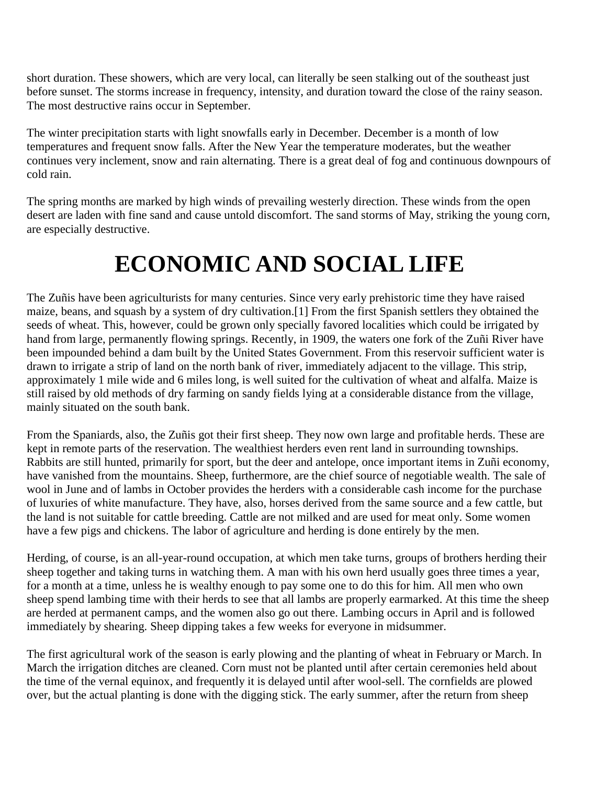short duration. These showers, which are very local, can literally be seen stalking out of the southeast just before sunset. The storms increase in frequency, intensity, and duration toward the close of the rainy season. The most destructive rains occur in September.

The winter precipitation starts with light snowfalls early in December. December is a month of low temperatures and frequent snow falls. After the New Year the temperature moderates, but the weather continues very inclement, snow and rain alternating. There is a great deal of fog and continuous downpours of cold rain.

The spring months are marked by high winds of prevailing westerly direction. These winds from the open desert are laden with fine sand and cause untold discomfort. The sand storms of May, striking the young corn, are especially destructive.

# **ECONOMIC AND SOCIAL LIFE**

The Zuñis have been agriculturists for many centuries. Since very early prehistoric time they have raised maize, beans, and squash by a system of dry cultivation.[1] From the first Spanish settlers they obtained the seeds of wheat. This, however, could be grown only specially favored localities which could be irrigated by hand from large, permanently flowing springs. Recently, in 1909, the waters one fork of the Zuñi River have been impounded behind a dam built by the United States Government. From this reservoir sufficient water is drawn to irrigate a strip of land on the north bank of river, immediately adjacent to the village. This strip, approximately 1 mile wide and 6 miles long, is well suited for the cultivation of wheat and alfalfa. Maize is still raised by old methods of dry farming on sandy fields lying at a considerable distance from the village, mainly situated on the south bank.

From the Spaniards, also, the Zuñis got their first sheep. They now own large and profitable herds. These are kept in remote parts of the reservation. The wealthiest herders even rent land in surrounding townships. Rabbits are still hunted, primarily for sport, but the deer and antelope, once important items in Zuñi economy, have vanished from the mountains. Sheep, furthermore, are the chief source of negotiable wealth. The sale of wool in June and of lambs in October provides the herders with a considerable cash income for the purchase of luxuries of white manufacture. They have, also, horses derived from the same source and a few cattle, but the land is not suitable for cattle breeding. Cattle are not milked and are used for meat only. Some women have a few pigs and chickens. The labor of agriculture and herding is done entirely by the men.

Herding, of course, is an all-year-round occupation, at which men take turns, groups of brothers herding their sheep together and taking turns in watching them. A man with his own herd usually goes three times a year, for a month at a time, unless he is wealthy enough to pay some one to do this for him. All men who own sheep spend lambing time with their herds to see that all lambs are properly earmarked. At this time the sheep are herded at permanent camps, and the women also go out there. Lambing occurs in April and is followed immediately by shearing. Sheep dipping takes a few weeks for everyone in midsummer.

The first agricultural work of the season is early plowing and the planting of wheat in February or March. In March the irrigation ditches are cleaned. Corn must not be planted until after certain ceremonies held about the time of the vernal equinox, and frequently it is delayed until after wool-sell. The cornfields are plowed over, but the actual planting is done with the digging stick. The early summer, after the return from sheep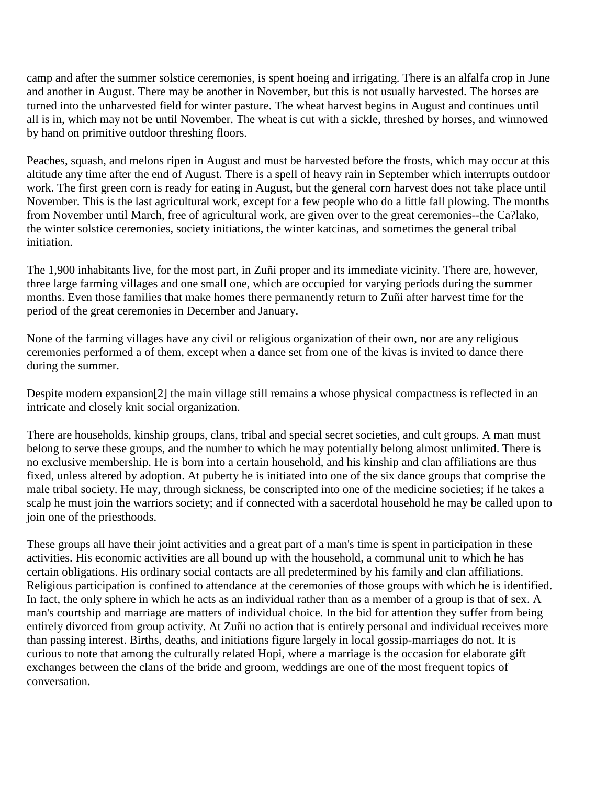camp and after the summer solstice ceremonies, is spent hoeing and irrigating. There is an alfalfa crop in June and another in August. There may be another in November, but this is not usually harvested. The horses are turned into the unharvested field for winter pasture. The wheat harvest begins in August and continues until all is in, which may not be until November. The wheat is cut with a sickle, threshed by horses, and winnowed by hand on primitive outdoor threshing floors.

Peaches, squash, and melons ripen in August and must be harvested before the frosts, which may occur at this altitude any time after the end of August. There is a spell of heavy rain in September which interrupts outdoor work. The first green corn is ready for eating in August, but the general corn harvest does not take place until November. This is the last agricultural work, except for a few people who do a little fall plowing. The months from November until March, free of agricultural work, are given over to the great ceremonies--the Ca?lako, the winter solstice ceremonies, society initiations, the winter katcinas, and sometimes the general tribal initiation.

The 1,900 inhabitants live, for the most part, in Zuñi proper and its immediate vicinity. There are, however, three large farming villages and one small one, which are occupied for varying periods during the summer months. Even those families that make homes there permanently return to Zuñi after harvest time for the period of the great ceremonies in December and January.

None of the farming villages have any civil or religious organization of their own, nor are any religious ceremonies performed a of them, except when a dance set from one of the kivas is invited to dance there during the summer.

Despite modern expansion[2] the main village still remains a whose physical compactness is reflected in an intricate and closely knit social organization.

There are households, kinship groups, clans, tribal and special secret societies, and cult groups. A man must belong to serve these groups, and the number to which he may potentially belong almost unlimited. There is no exclusive membership. He is born into a certain household, and his kinship and clan affiliations are thus fixed, unless altered by adoption. At puberty he is initiated into one of the six dance groups that comprise the male tribal society. He may, through sickness, be conscripted into one of the medicine societies; if he takes a scalp he must join the warriors society; and if connected with a sacerdotal household he may be called upon to join one of the priesthoods.

These groups all have their joint activities and a great part of a man's time is spent in participation in these activities. His economic activities are all bound up with the household, a communal unit to which he has certain obligations. His ordinary social contacts are all predetermined by his family and clan affiliations. Religious participation is confined to attendance at the ceremonies of those groups with which he is identified. In fact, the only sphere in which he acts as an individual rather than as a member of a group is that of sex. A man's courtship and marriage are matters of individual choice. In the bid for attention they suffer from being entirely divorced from group activity. At Zuñi no action that is entirely personal and individual receives more than passing interest. Births, deaths, and initiations figure largely in local gossip-marriages do not. It is curious to note that among the culturally related Hopi, where a marriage is the occasion for elaborate gift exchanges between the clans of the bride and groom, weddings are one of the most frequent topics of conversation.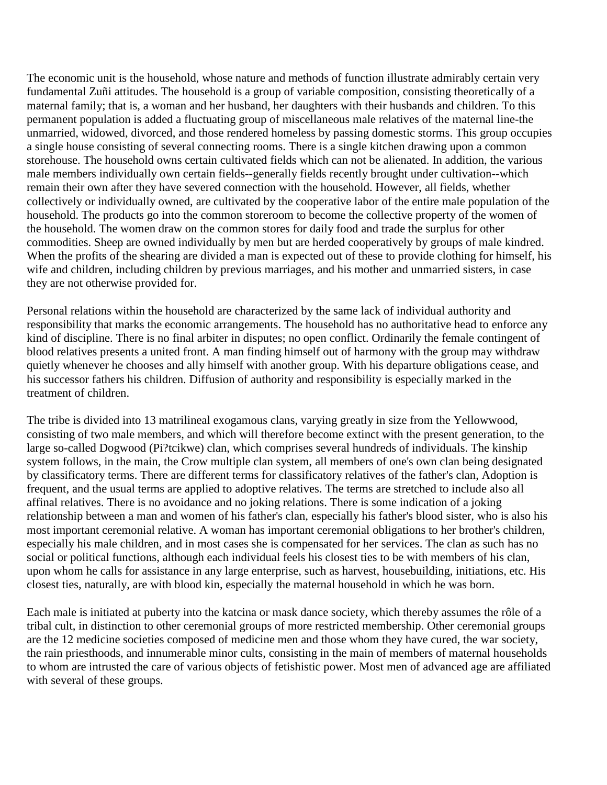The economic unit is the household, whose nature and methods of function illustrate admirably certain very fundamental Zuñi attitudes. The household is a group of variable composition, consisting theoretically of a maternal family; that is, a woman and her husband, her daughters with their husbands and children. To this permanent population is added a fluctuating group of miscellaneous male relatives of the maternal line-the unmarried, widowed, divorced, and those rendered homeless by passing domestic storms. This group occupies a single house consisting of several connecting rooms. There is a single kitchen drawing upon a common storehouse. The household owns certain cultivated fields which can not be alienated. In addition, the various male members individually own certain fields--generally fields recently brought under cultivation--which remain their own after they have severed connection with the household. However, all fields, whether collectively or individually owned, are cultivated by the cooperative labor of the entire male population of the household. The products go into the common storeroom to become the collective property of the women of the household. The women draw on the common stores for daily food and trade the surplus for other commodities. Sheep are owned individually by men but are herded cooperatively by groups of male kindred. When the profits of the shearing are divided a man is expected out of these to provide clothing for himself, his wife and children, including children by previous marriages, and his mother and unmarried sisters, in case they are not otherwise provided for.

Personal relations within the household are characterized by the same lack of individual authority and responsibility that marks the economic arrangements. The household has no authoritative head to enforce any kind of discipline. There is no final arbiter in disputes; no open conflict. Ordinarily the female contingent of blood relatives presents a united front. A man finding himself out of harmony with the group may withdraw quietly whenever he chooses and ally himself with another group. With his departure obligations cease, and his successor fathers his children. Diffusion of authority and responsibility is especially marked in the treatment of children.

The tribe is divided into 13 matrilineal exogamous clans, varying greatly in size from the Yellowwood, consisting of two male members, and which will therefore become extinct with the present generation, to the large so-called Dogwood (Pi?tcikwe) clan, which comprises several hundreds of individuals. The kinship system follows, in the main, the Crow multiple clan system, all members of one's own clan being designated by classificatory terms. There are different terms for classificatory relatives of the father's clan, Adoption is frequent, and the usual terms are applied to adoptive relatives. The terms are stretched to include also all affinal relatives. There is no avoidance and no joking relations. There is some indication of a joking relationship between a man and women of his father's clan, especially his father's blood sister, who is also his most important ceremonial relative. A woman has important ceremonial obligations to her brother's children, especially his male children, and in most cases she is compensated for her services. The clan as such has no social or political functions, although each individual feels his closest ties to be with members of his clan, upon whom he calls for assistance in any large enterprise, such as harvest, housebuilding, initiations, etc. His closest ties, naturally, are with blood kin, especially the maternal household in which he was born.

Each male is initiated at puberty into the katcina or mask dance society, which thereby assumes the rôle of a tribal cult, in distinction to other ceremonial groups of more restricted membership. Other ceremonial groups are the 12 medicine societies composed of medicine men and those whom they have cured, the war society, the rain priesthoods, and innumerable minor cults, consisting in the main of members of maternal households to whom are intrusted the care of various objects of fetishistic power. Most men of advanced age are affiliated with several of these groups.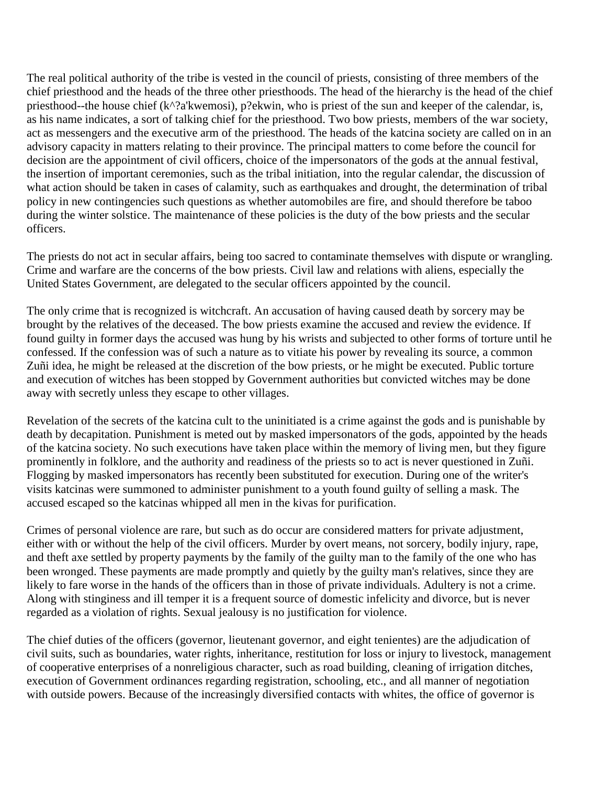The real political authority of the tribe is vested in the council of priests, consisting of three members of the chief priesthood and the heads of the three other priesthoods. The head of the hierarchy is the head of the chief priesthood--the house chief (k^?a'kwemosi), p?ekwin, who is priest of the sun and keeper of the calendar, is, as his name indicates, a sort of talking chief for the priesthood. Two bow priests, members of the war society, act as messengers and the executive arm of the priesthood. The heads of the katcina society are called on in an advisory capacity in matters relating to their province. The principal matters to come before the council for decision are the appointment of civil officers, choice of the impersonators of the gods at the annual festival, the insertion of important ceremonies, such as the tribal initiation, into the regular calendar, the discussion of what action should be taken in cases of calamity, such as earthquakes and drought, the determination of tribal policy in new contingencies such questions as whether automobiles are fire, and should therefore be taboo during the winter solstice. The maintenance of these policies is the duty of the bow priests and the secular officers.

The priests do not act in secular affairs, being too sacred to contaminate themselves with dispute or wrangling. Crime and warfare are the concerns of the bow priests. Civil law and relations with aliens, especially the United States Government, are delegated to the secular officers appointed by the council.

The only crime that is recognized is witchcraft. An accusation of having caused death by sorcery may be brought by the relatives of the deceased. The bow priests examine the accused and review the evidence. If found guilty in former days the accused was hung by his wrists and subjected to other forms of torture until he confessed. If the confession was of such a nature as to vitiate his power by revealing its source, a common Zuñi idea, he might be released at the discretion of the bow priests, or he might be executed. Public torture and execution of witches has been stopped by Government authorities but convicted witches may be done away with secretly unless they escape to other villages.

Revelation of the secrets of the katcina cult to the uninitiated is a crime against the gods and is punishable by death by decapitation. Punishment is meted out by masked impersonators of the gods, appointed by the heads of the katcina society. No such executions have taken place within the memory of living men, but they figure prominently in folklore, and the authority and readiness of the priests so to act is never questioned in Zuñi. Flogging by masked impersonators has recently been substituted for execution. During one of the writer's visits katcinas were summoned to administer punishment to a youth found guilty of selling a mask. The accused escaped so the katcinas whipped all men in the kivas for purification.

Crimes of personal violence are rare, but such as do occur are considered matters for private adjustment, either with or without the help of the civil officers. Murder by overt means, not sorcery, bodily injury, rape, and theft axe settled by property payments by the family of the guilty man to the family of the one who has been wronged. These payments are made promptly and quietly by the guilty man's relatives, since they are likely to fare worse in the hands of the officers than in those of private individuals. Adultery is not a crime. Along with stinginess and ill temper it is a frequent source of domestic infelicity and divorce, but is never regarded as a violation of rights. Sexual jealousy is no justification for violence.

The chief duties of the officers (governor, lieutenant governor, and eight tenientes) are the adjudication of civil suits, such as boundaries, water rights, inheritance, restitution for loss or injury to livestock, management of cooperative enterprises of a nonreligious character, such as road building, cleaning of irrigation ditches, execution of Government ordinances regarding registration, schooling, etc., and all manner of negotiation with outside powers. Because of the increasingly diversified contacts with whites, the office of governor is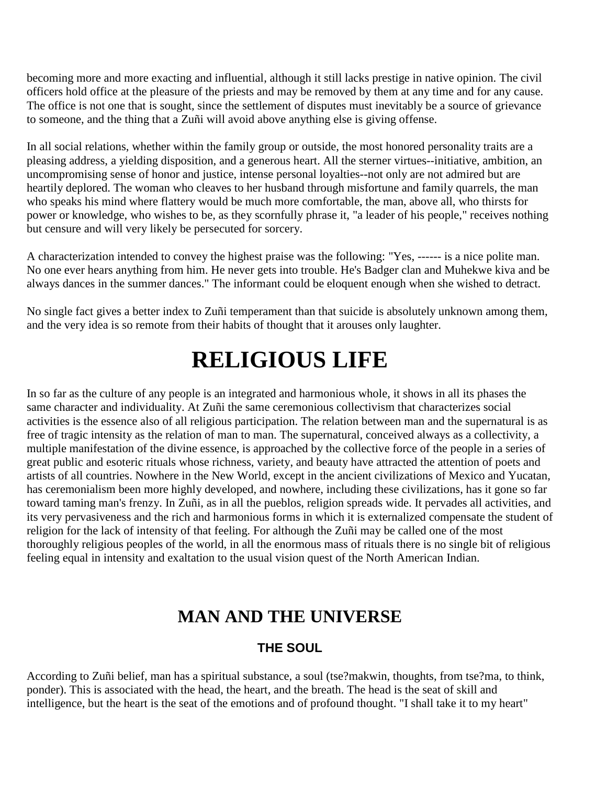becoming more and more exacting and influential, although it still lacks prestige in native opinion. The civil officers hold office at the pleasure of the priests and may be removed by them at any time and for any cause. The office is not one that is sought, since the settlement of disputes must inevitably be a source of grievance to someone, and the thing that a Zuñi will avoid above anything else is giving offense.

In all social relations, whether within the family group or outside, the most honored personality traits are a pleasing address, a yielding disposition, and a generous heart. All the sterner virtues--initiative, ambition, an uncompromising sense of honor and justice, intense personal loyalties--not only are not admired but are heartily deplored. The woman who cleaves to her husband through misfortune and family quarrels, the man who speaks his mind where flattery would be much more comfortable, the man, above all, who thirsts for power or knowledge, who wishes to be, as they scornfully phrase it, "a leader of his people," receives nothing but censure and will very likely be persecuted for sorcery.

A characterization intended to convey the highest praise was the following: "Yes, ------ is a nice polite man. No one ever hears anything from him. He never gets into trouble. He's Badger clan and Muhekwe kiva and be always dances in the summer dances." The informant could be eloquent enough when she wished to detract.

No single fact gives a better index to Zuñi temperament than that suicide is absolutely unknown among them, and the very idea is so remote from their habits of thought that it arouses only laughter.

## **RELIGIOUS LIFE**

In so far as the culture of any people is an integrated and harmonious whole, it shows in all its phases the same character and individuality. At Zuñi the same ceremonious collectivism that characterizes social activities is the essence also of all religious participation. The relation between man and the supernatural is as free of tragic intensity as the relation of man to man. The supernatural, conceived always as a collectivity, a multiple manifestation of the divine essence, is approached by the collective force of the people in a series of great public and esoteric rituals whose richness, variety, and beauty have attracted the attention of poets and artists of all countries. Nowhere in the New World, except in the ancient civilizations of Mexico and Yucatan, has ceremonialism been more highly developed, and nowhere, including these civilizations, has it gone so far toward taming man's frenzy. In Zuñi, as in all the pueblos, religion spreads wide. It pervades all activities, and its very pervasiveness and the rich and harmonious forms in which it is externalized compensate the student of religion for the lack of intensity of that feeling. For although the Zuñi may be called one of the most thoroughly religious peoples of the world, in all the enormous mass of rituals there is no single bit of religious feeling equal in intensity and exaltation to the usual vision quest of the North American Indian.

## **MAN AND THE UNIVERSE**

#### **THE SOUL**

According to Zuñi belief, man has a spiritual substance, a soul (tse?makwin, thoughts, from tse?ma, to think, ponder). This is associated with the head, the heart, and the breath. The head is the seat of skill and intelligence, but the heart is the seat of the emotions and of profound thought. "I shall take it to my heart"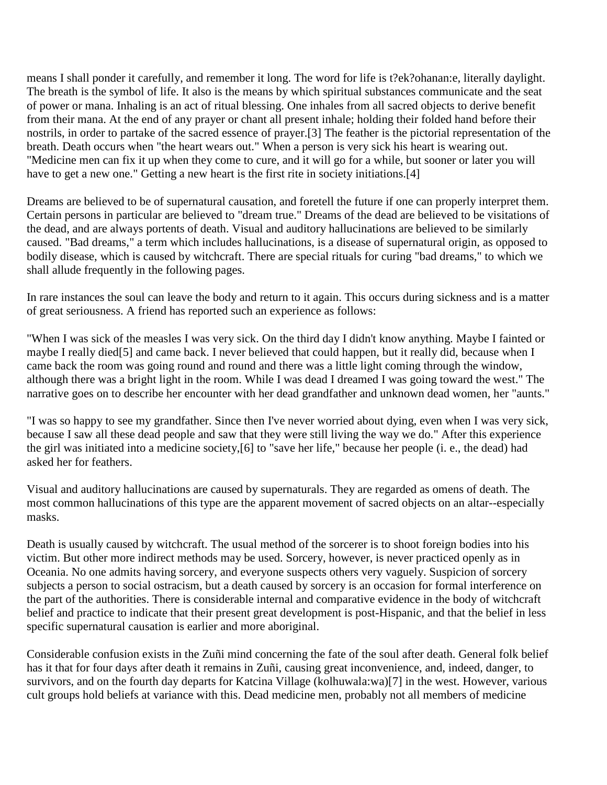means I shall ponder it carefully, and remember it long. The word for life is t?ek?ohanan:e, literally daylight. The breath is the symbol of life. It also is the means by which spiritual substances communicate and the seat of power or mana. Inhaling is an act of ritual blessing. One inhales from all sacred objects to derive benefit from their mana. At the end of any prayer or chant all present inhale; holding their folded hand before their nostrils, in order to partake of the sacred essence of prayer.[3] The feather is the pictorial representation of the breath. Death occurs when "the heart wears out." When a person is very sick his heart is wearing out. "Medicine men can fix it up when they come to cure, and it will go for a while, but sooner or later you will have to get a new one." Getting a new heart is the first rite in society initiations.[4]

Dreams are believed to be of supernatural causation, and foretell the future if one can properly interpret them. Certain persons in particular are believed to "dream true." Dreams of the dead are believed to be visitations of the dead, and are always portents of death. Visual and auditory hallucinations are believed to be similarly caused. "Bad dreams," a term which includes hallucinations, is a disease of supernatural origin, as opposed to bodily disease, which is caused by witchcraft. There are special rituals for curing "bad dreams," to which we shall allude frequently in the following pages.

In rare instances the soul can leave the body and return to it again. This occurs during sickness and is a matter of great seriousness. A friend has reported such an experience as follows:

"When I was sick of the measles I was very sick. On the third day I didn't know anything. Maybe I fainted or maybe I really died[5] and came back. I never believed that could happen, but it really did, because when I came back the room was going round and round and there was a little light coming through the window, although there was a bright light in the room. While I was dead I dreamed I was going toward the west." The narrative goes on to describe her encounter with her dead grandfather and unknown dead women, her "aunts."

"I was so happy to see my grandfather. Since then I've never worried about dying, even when I was very sick, because I saw all these dead people and saw that they were still living the way we do." After this experience the girl was initiated into a medicine society,[6] to "save her life," because her people (i. e., the dead) had asked her for feathers.

Visual and auditory hallucinations are caused by supernaturals. They are regarded as omens of death. The most common hallucinations of this type are the apparent movement of sacred objects on an altar--especially masks.

Death is usually caused by witchcraft. The usual method of the sorcerer is to shoot foreign bodies into his victim. But other more indirect methods may be used. Sorcery, however, is never practiced openly as in Oceania. No one admits having sorcery, and everyone suspects others very vaguely. Suspicion of sorcery subjects a person to social ostracism, but a death caused by sorcery is an occasion for formal interference on the part of the authorities. There is considerable internal and comparative evidence in the body of witchcraft belief and practice to indicate that their present great development is post-Hispanic, and that the belief in less specific supernatural causation is earlier and more aboriginal.

Considerable confusion exists in the Zuñi mind concerning the fate of the soul after death. General folk belief has it that for four days after death it remains in Zuñi, causing great inconvenience, and, indeed, danger, to survivors, and on the fourth day departs for Katcina Village (kolhuwala:wa)[7] in the west. However, various cult groups hold beliefs at variance with this. Dead medicine men, probably not all members of medicine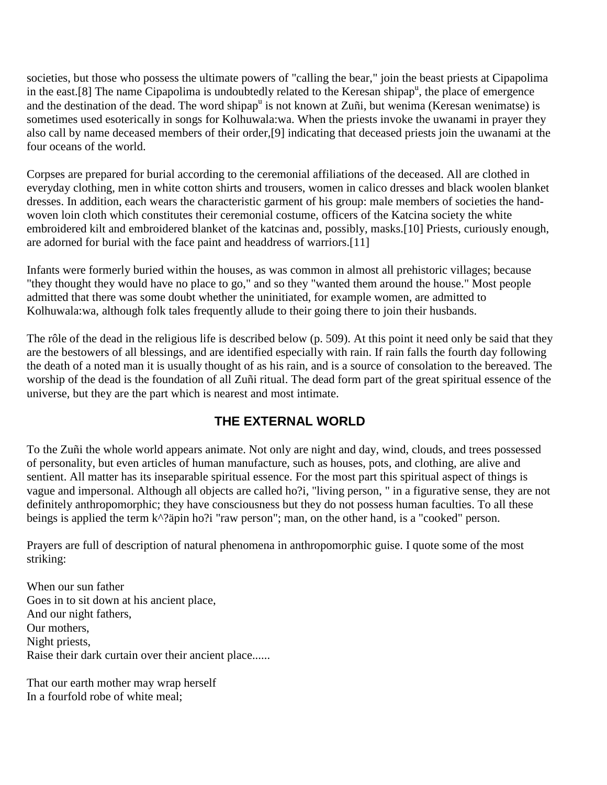societies, but those who possess the ultimate powers of "calling the bear," join the beast priests at Cipapolima in the east.[8] The name Cipapolima is undoubtedly related to the Keresan shipap<sup>u</sup>, the place of emergence and the destination of the dead. The word shipap<sup>u</sup> is not known at Zuñi, but wenima (Keresan wenimatse) is sometimes used esoterically in songs for Kolhuwala:wa. When the priests invoke the uwanami in prayer they also call by name deceased members of their order,[9] indicating that deceased priests join the uwanami at the four oceans of the world.

Corpses are prepared for burial according to the ceremonial affiliations of the deceased. All are clothed in everyday clothing, men in white cotton shirts and trousers, women in calico dresses and black woolen blanket dresses. In addition, each wears the characteristic garment of his group: male members of societies the handwoven loin cloth which constitutes their ceremonial costume, officers of the Katcina society the white embroidered kilt and embroidered blanket of the katcinas and, possibly, masks.[10] Priests, curiously enough, are adorned for burial with the face paint and headdress of warriors.[11]

Infants were formerly buried within the houses, as was common in almost all prehistoric villages; because "they thought they would have no place to go," and so they "wanted them around the house." Most people admitted that there was some doubt whether the uninitiated, for example women, are admitted to Kolhuwala:wa, although folk tales frequently allude to their going there to join their husbands.

The rôle of the dead in the religious life is described below (p. 509). At this point it need only be said that they are the bestowers of all blessings, and are identified especially with rain. If rain falls the fourth day following the death of a noted man it is usually thought of as his rain, and is a source of consolation to the bereaved. The worship of the dead is the foundation of all Zuñi ritual. The dead form part of the great spiritual essence of the universe, but they are the part which is nearest and most intimate.

### **THE EXTERNAL WORLD**

To the Zuñi the whole world appears animate. Not only are night and day, wind, clouds, and trees possessed of personality, but even articles of human manufacture, such as houses, pots, and clothing, are alive and sentient. All matter has its inseparable spiritual essence. For the most part this spiritual aspect of things is vague and impersonal. Although all objects are called ho?i, "living person, " in a figurative sense, they are not definitely anthropomorphic; they have consciousness but they do not possess human faculties. To all these beings is applied the term k^?äpin ho?i "raw person"; man, on the other hand, is a "cooked" person.

Prayers are full of description of natural phenomena in anthropomorphic guise. I quote some of the most striking:

When our sun father Goes in to sit down at his ancient place, And our night fathers, Our mothers, Night priests, Raise their dark curtain over their ancient place......

That our earth mother may wrap herself In a fourfold robe of white meal;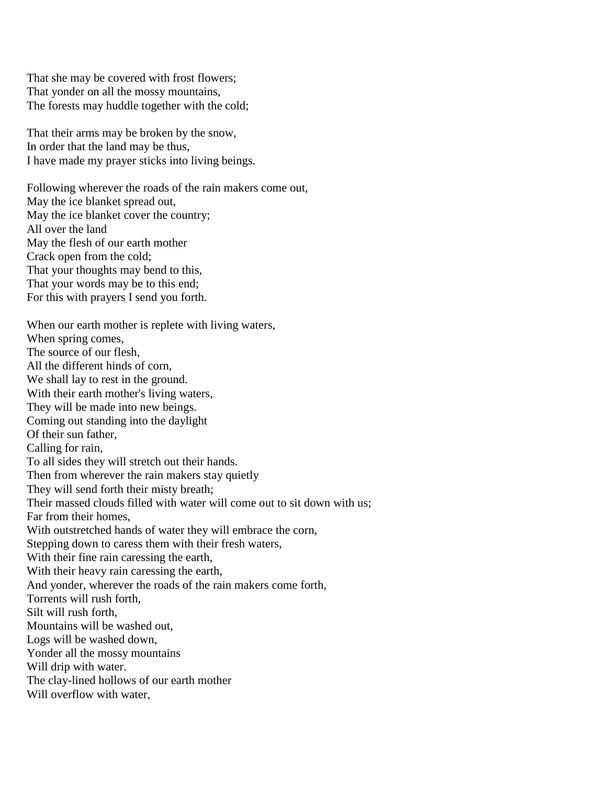That she may be covered with frost flowers; That yonder on all the mossy mountains, The forests may huddle together with the cold;

That their arms may be broken by the snow, In order that the land may be thus, I have made my prayer sticks into living beings.

Following wherever the roads of the rain makers come out, May the ice blanket spread out, May the ice blanket cover the country; All over the land May the flesh of our earth mother Crack open from the cold; That your thoughts may bend to this, That your words may be to this end; For this with prayers I send you forth.

When our earth mother is replete with living waters, When spring comes, The source of our flesh, All the different hinds of corn, We shall lay to rest in the ground. With their earth mother's living waters, They will be made into new beings. Coming out standing into the daylight Of their sun father, Calling for rain, To all sides they will stretch out their hands. Then from wherever the rain makers stay quietly They will send forth their misty breath; Their massed clouds filled with water will come out to sit down with us; Far from their homes, With outstretched hands of water they will embrace the corn, Stepping down to caress them with their fresh waters, With their fine rain caressing the earth, With their heavy rain caressing the earth, And yonder, wherever the roads of the rain makers come forth, Torrents will rush forth, Silt will rush forth, Mountains will be washed out, Logs will be washed down, Yonder all the mossy mountains Will drip with water. The clay-lined hollows of our earth mother Will overflow with water.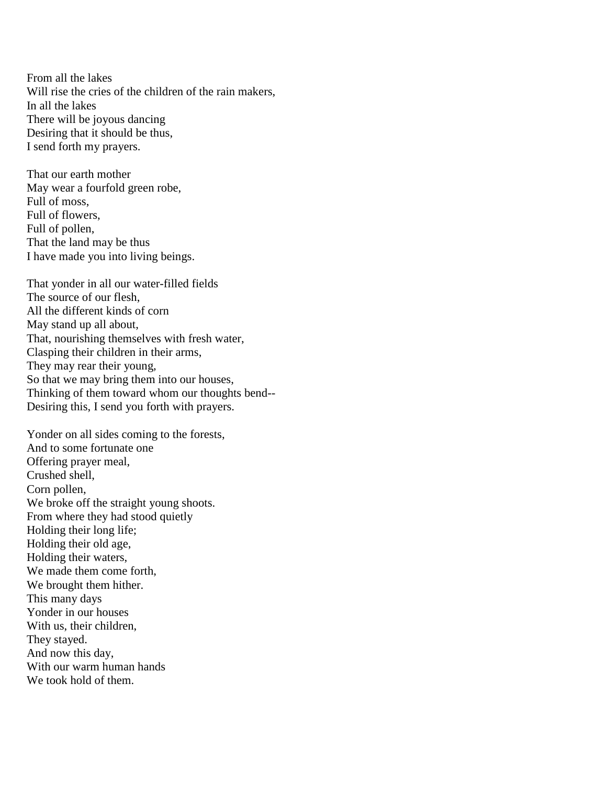From all the lakes Will rise the cries of the children of the rain makers. In all the lakes There will be joyous dancing Desiring that it should be thus, I send forth my prayers.

That our earth mother May wear a fourfold green robe, Full of moss, Full of flowers, Full of pollen, That the land may be thus I have made you into living beings.

That yonder in all our water-filled fields The source of our flesh, All the different kinds of corn May stand up all about, That, nourishing themselves with fresh water, Clasping their children in their arms, They may rear their young, So that we may bring them into our houses, Thinking of them toward whom our thoughts bend-- Desiring this, I send you forth with prayers.

Yonder on all sides coming to the forests, And to some fortunate one Offering prayer meal, Crushed shell, Corn pollen, We broke off the straight young shoots. From where they had stood quietly Holding their long life; Holding their old age, Holding their waters, We made them come forth, We brought them hither. This many days Yonder in our houses With us, their children, They stayed. And now this day, With our warm human hands We took hold of them.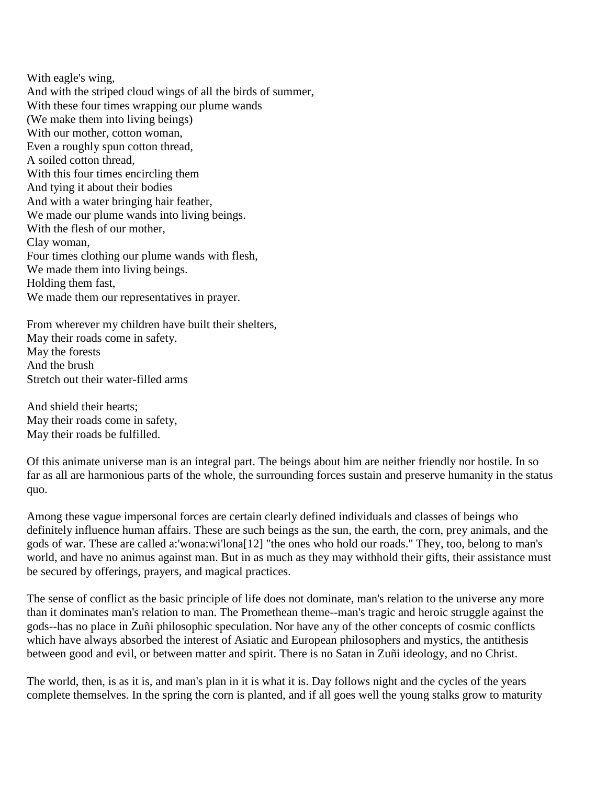With eagle's wing, And with the striped cloud wings of all the birds of summer, With these four times wrapping our plume wands (We make them into living beings) With our mother, cotton woman, Even a roughly spun cotton thread, A soiled cotton thread, With this four times encircling them And tying it about their bodies And with a water bringing hair feather, We made our plume wands into living beings. With the flesh of our mother, Clay woman, Four times clothing our plume wands with flesh, We made them into living beings. Holding them fast, We made them our representatives in prayer.

From wherever my children have built their shelters, May their roads come in safety. May the forests And the brush Stretch out their water-filled arms

And shield their hearts; May their roads come in safety, May their roads be fulfilled.

Of this animate universe man is an integral part. The beings about him are neither friendly nor hostile. In so far as all are harmonious parts of the whole, the surrounding forces sustain and preserve humanity in the status quo.

Among these vague impersonal forces are certain clearly defined individuals and classes of beings who definitely influence human affairs. These are such beings as the sun, the earth, the corn, prey animals, and the gods of war. These are called a:'wona:wi'lona[12] "the ones who hold our roads." They, too, belong to man's world, and have no animus against man. But in as much as they may withhold their gifts, their assistance must be secured by offerings, prayers, and magical practices.

The sense of conflict as the basic principle of life does not dominate, man's relation to the universe any more than it dominates man's relation to man. The Promethean theme--man's tragic and heroic struggle against the gods--has no place in Zuñi philosophic speculation. Nor have any of the other concepts of cosmic conflicts which have always absorbed the interest of Asiatic and European philosophers and mystics, the antithesis between good and evil, or between matter and spirit. There is no Satan in Zuñi ideology, and no Christ.

The world, then, is as it is, and man's plan in it is what it is. Day follows night and the cycles of the years complete themselves. In the spring the corn is planted, and if all goes well the young stalks grow to maturity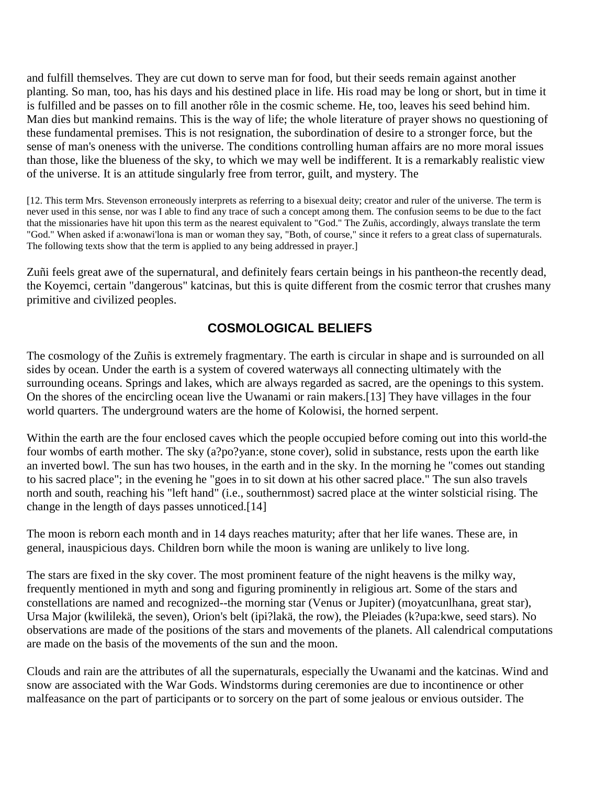and fulfill themselves. They are cut down to serve man for food, but their seeds remain against another planting. So man, too, has his days and his destined place in life. His road may be long or short, but in time it is fulfilled and be passes on to fill another rôle in the cosmic scheme. He, too, leaves his seed behind him. Man dies but mankind remains. This is the way of life; the whole literature of prayer shows no questioning of these fundamental premises. This is not resignation, the subordination of desire to a stronger force, but the sense of man's oneness with the universe. The conditions controlling human affairs are no more moral issues than those, like the blueness of the sky, to which we may well be indifferent. It is a remarkably realistic view of the universe. It is an attitude singularly free from terror, guilt, and mystery. The

[12. This term Mrs. Stevenson erroneously interprets as referring to a bisexual deity; creator and ruler of the universe. The term is never used in this sense, nor was I able to find any trace of such a concept among them. The confusion seems to be due to the fact that the missionaries have hit upon this term as the nearest equivalent to "God." The Zuñis, accordingly, always translate the term "God." When asked if a:wonawi'lona is man or woman they say, "Both, of course," since it refers to a great class of supernaturals. The following texts show that the term is applied to any being addressed in prayer.]

Zuñi feels great awe of the supernatural, and definitely fears certain beings in his pantheon-the recently dead, the Koyemci, certain "dangerous" katcinas, but this is quite different from the cosmic terror that crushes many primitive and civilized peoples.

### **COSMOLOGICAL BELIEFS**

The cosmology of the Zuñis is extremely fragmentary. The earth is circular in shape and is surrounded on all sides by ocean. Under the earth is a system of covered waterways all connecting ultimately with the surrounding oceans. Springs and lakes, which are always regarded as sacred, are the openings to this system. On the shores of the encircling ocean live the Uwanami or rain makers.[13] They have villages in the four world quarters. The underground waters are the home of Kolowisi, the horned serpent.

Within the earth are the four enclosed caves which the people occupied before coming out into this world-the four wombs of earth mother. The sky (a?po?yan:e, stone cover), solid in substance, rests upon the earth like an inverted bowl. The sun has two houses, in the earth and in the sky. In the morning he "comes out standing to his sacred place"; in the evening he "goes in to sit down at his other sacred place." The sun also travels north and south, reaching his "left hand" (i.e., southernmost) sacred place at the winter solsticial rising. The change in the length of days passes unnoticed.[14]

The moon is reborn each month and in 14 days reaches maturity; after that her life wanes. These are, in general, inauspicious days. Children born while the moon is waning are unlikely to live long.

The stars are fixed in the sky cover. The most prominent feature of the night heavens is the milky way, frequently mentioned in myth and song and figuring prominently in religious art. Some of the stars and constellations are named and recognized--the morning star (Venus or Jupiter) (moyatcunlhana, great star), Ursa Major (kwililekä, the seven), Orion's belt (ipi?lakä, the row), the Pleiades (k?upa:kwe, seed stars). No observations are made of the positions of the stars and movements of the planets. All calendrical computations are made on the basis of the movements of the sun and the moon.

Clouds and rain are the attributes of all the supernaturals, especially the Uwanami and the katcinas. Wind and snow are associated with the War Gods. Windstorms during ceremonies are due to incontinence or other malfeasance on the part of participants or to sorcery on the part of some jealous or envious outsider. The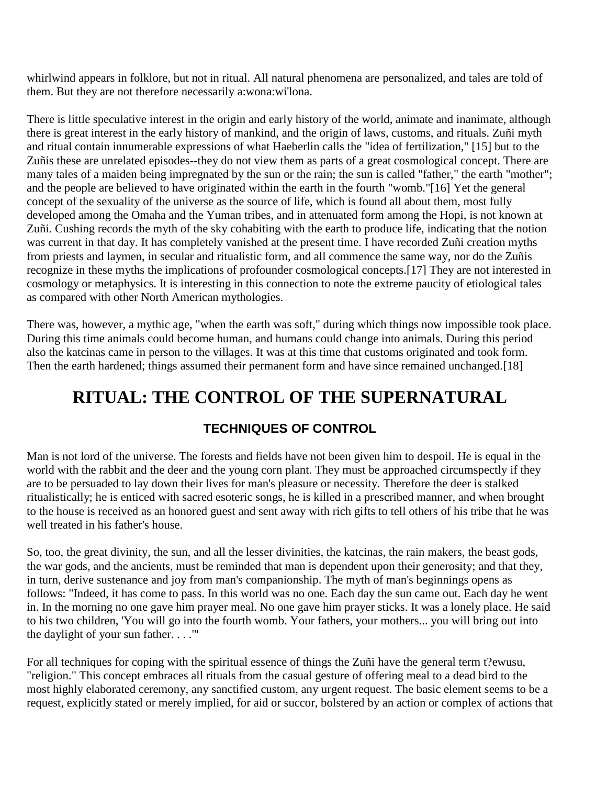whirlwind appears in folklore, but not in ritual. All natural phenomena are personalized, and tales are told of them. But they are not therefore necessarily a:wona:wi'lona.

There is little speculative interest in the origin and early history of the world, animate and inanimate, although there is great interest in the early history of mankind, and the origin of laws, customs, and rituals. Zuñi myth and ritual contain innumerable expressions of what Haeberlin calls the "idea of fertilization," [15] but to the Zuñis these are unrelated episodes--they do not view them as parts of a great cosmological concept. There are many tales of a maiden being impregnated by the sun or the rain; the sun is called "father," the earth "mother"; and the people are believed to have originated within the earth in the fourth "womb."[16] Yet the general concept of the sexuality of the universe as the source of life, which is found all about them, most fully developed among the Omaha and the Yuman tribes, and in attenuated form among the Hopi, is not known at Zuñi. Cushing records the myth of the sky cohabiting with the earth to produce life, indicating that the notion was current in that day. It has completely vanished at the present time. I have recorded Zuñi creation myths from priests and laymen, in secular and ritualistic form, and all commence the same way, nor do the Zuñis recognize in these myths the implications of profounder cosmological concepts.[17] They are not interested in cosmology or metaphysics. It is interesting in this connection to note the extreme paucity of etiological tales as compared with other North American mythologies.

There was, however, a mythic age, "when the earth was soft," during which things now impossible took place. During this time animals could become human, and humans could change into animals. During this period also the katcinas came in person to the villages. It was at this time that customs originated and took form. Then the earth hardened; things assumed their permanent form and have since remained unchanged.[18]

## **RITUAL: THE CONTROL OF THE SUPERNATURAL**

### **TECHNIQUES OF CONTROL**

Man is not lord of the universe. The forests and fields have not been given him to despoil. He is equal in the world with the rabbit and the deer and the young corn plant. They must be approached circumspectly if they are to be persuaded to lay down their lives for man's pleasure or necessity. Therefore the deer is stalked ritualistically; he is enticed with sacred esoteric songs, he is killed in a prescribed manner, and when brought to the house is received as an honored guest and sent away with rich gifts to tell others of his tribe that he was well treated in his father's house.

So, too, the great divinity, the sun, and all the lesser divinities, the katcinas, the rain makers, the beast gods, the war gods, and the ancients, must be reminded that man is dependent upon their generosity; and that they, in turn, derive sustenance and joy from man's companionship. The myth of man's beginnings opens as follows: "Indeed, it has come to pass. In this world was no one. Each day the sun came out. Each day he went in. In the morning no one gave him prayer meal. No one gave him prayer sticks. It was a lonely place. He said to his two children, 'You will go into the fourth womb. Your fathers, your mothers... you will bring out into the daylight of your sun father. . . .'"

For all techniques for coping with the spiritual essence of things the Zuñi have the general term t?ewusu, "religion." This concept embraces all rituals from the casual gesture of offering meal to a dead bird to the most highly elaborated ceremony, any sanctified custom, any urgent request. The basic element seems to be a request, explicitly stated or merely implied, for aid or succor, bolstered by an action or complex of actions that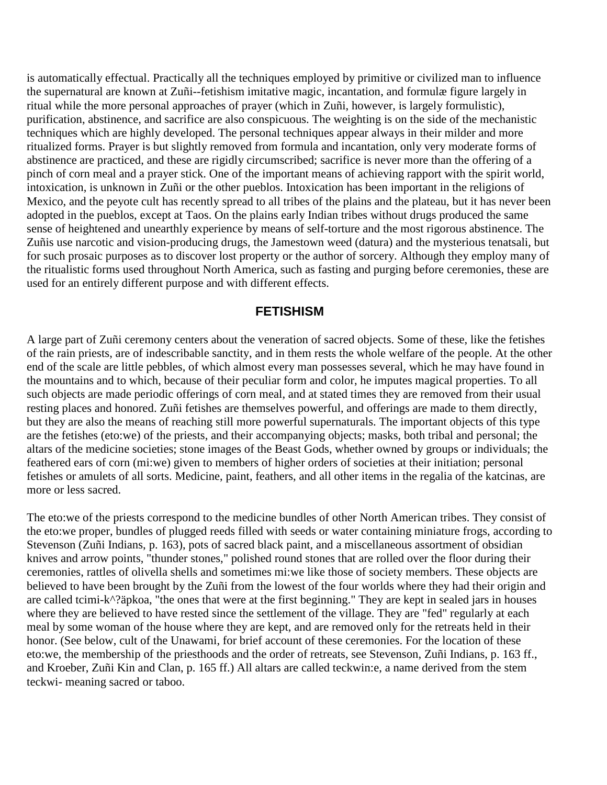is automatically effectual. Practically all the techniques employed by primitive or civilized man to influence the supernatural are known at Zuñi--fetishism imitative magic, incantation, and formulæ figure largely in ritual while the more personal approaches of prayer (which in Zuñi, however, is largely formulistic), purification, abstinence, and sacrifice are also conspicuous. The weighting is on the side of the mechanistic techniques which are highly developed. The personal techniques appear always in their milder and more ritualized forms. Prayer is but slightly removed from formula and incantation, only very moderate forms of abstinence are practiced, and these are rigidly circumscribed; sacrifice is never more than the offering of a pinch of corn meal and a prayer stick. One of the important means of achieving rapport with the spirit world, intoxication, is unknown in Zuñi or the other pueblos. Intoxication has been important in the religions of Mexico, and the peyote cult has recently spread to all tribes of the plains and the plateau, but it has never been adopted in the pueblos, except at Taos. On the plains early Indian tribes without drugs produced the same sense of heightened and unearthly experience by means of self-torture and the most rigorous abstinence. The Zuñis use narcotic and vision-producing drugs, the Jamestown weed (datura) and the mysterious tenatsali, but for such prosaic purposes as to discover lost property or the author of sorcery. Although they employ many of the ritualistic forms used throughout North America, such as fasting and purging before ceremonies, these are used for an entirely different purpose and with different effects.

#### **FETISHISM**

A large part of Zuñi ceremony centers about the veneration of sacred objects. Some of these, like the fetishes of the rain priests, are of indescribable sanctity, and in them rests the whole welfare of the people. At the other end of the scale are little pebbles, of which almost every man possesses several, which he may have found in the mountains and to which, because of their peculiar form and color, he imputes magical properties. To all such objects are made periodic offerings of corn meal, and at stated times they are removed from their usual resting places and honored. Zuñi fetishes are themselves powerful, and offerings are made to them directly, but they are also the means of reaching still more powerful supernaturals. The important objects of this type are the fetishes (eto:we) of the priests, and their accompanying objects; masks, both tribal and personal; the altars of the medicine societies; stone images of the Beast Gods, whether owned by groups or individuals; the feathered ears of corn (mi:we) given to members of higher orders of societies at their initiation; personal fetishes or amulets of all sorts. Medicine, paint, feathers, and all other items in the regalia of the katcinas, are more or less sacred.

The eto:we of the priests correspond to the medicine bundles of other North American tribes. They consist of the eto:we proper, bundles of plugged reeds filled with seeds or water containing miniature frogs, according to Stevenson (Zuñi Indians, p. 163), pots of sacred black paint, and a miscellaneous assortment of obsidian knives and arrow points, "thunder stones," polished round stones that are rolled over the floor during their ceremonies, rattles of olivella shells and sometimes mi:we like those of society members. These objects are believed to have been brought by the Zuñi from the lowest of the four worlds where they had their origin and are called tcimi-k^?äpkoa, "the ones that were at the first beginning." They are kept in sealed jars in houses where they are believed to have rested since the settlement of the village. They are "fed" regularly at each meal by some woman of the house where they are kept, and are removed only for the retreats held in their honor. (See below, cult of the Unawami, for brief account of these ceremonies. For the location of these eto:we, the membership of the priesthoods and the order of retreats, see Stevenson, Zuñi Indians, p. 163 ff., and Kroeber, Zuñi Kin and Clan, p. 165 ff.) All altars are called teckwin:e, a name derived from the stem teckwi- meaning sacred or taboo.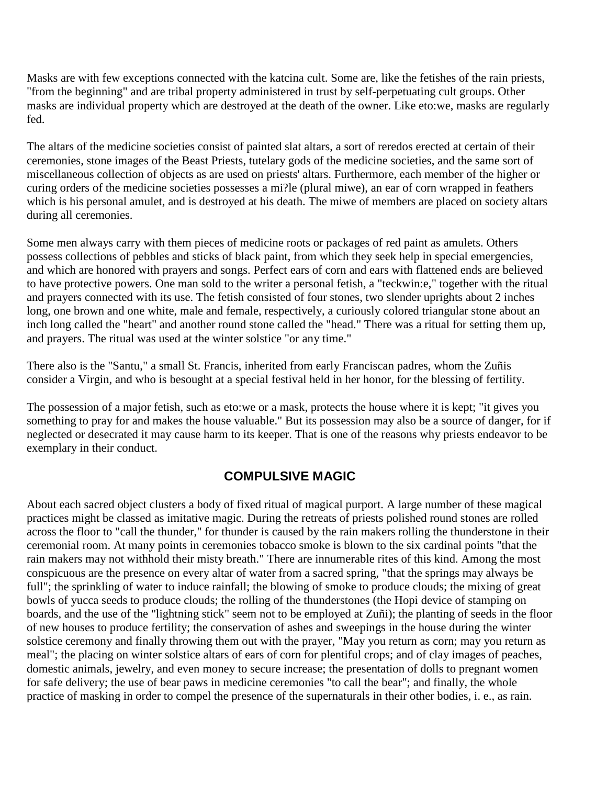Masks are with few exceptions connected with the katcina cult. Some are, like the fetishes of the rain priests, "from the beginning" and are tribal property administered in trust by self-perpetuating cult groups. Other masks are individual property which are destroyed at the death of the owner. Like eto:we, masks are regularly fed.

The altars of the medicine societies consist of painted slat altars, a sort of reredos erected at certain of their ceremonies, stone images of the Beast Priests, tutelary gods of the medicine societies, and the same sort of miscellaneous collection of objects as are used on priests' altars. Furthermore, each member of the higher or curing orders of the medicine societies possesses a mi?le (plural miwe), an ear of corn wrapped in feathers which is his personal amulet, and is destroyed at his death. The miwe of members are placed on society altars during all ceremonies.

Some men always carry with them pieces of medicine roots or packages of red paint as amulets. Others possess collections of pebbles and sticks of black paint, from which they seek help in special emergencies, and which are honored with prayers and songs. Perfect ears of corn and ears with flattened ends are believed to have protective powers. One man sold to the writer a personal fetish, a "teckwin:e," together with the ritual and prayers connected with its use. The fetish consisted of four stones, two slender uprights about 2 inches long, one brown and one white, male and female, respectively, a curiously colored triangular stone about an inch long called the "heart" and another round stone called the "head." There was a ritual for setting them up, and prayers. The ritual was used at the winter solstice "or any time."

There also is the "Santu," a small St. Francis, inherited from early Franciscan padres, whom the Zuñis consider a Virgin, and who is besought at a special festival held in her honor, for the blessing of fertility.

The possession of a major fetish, such as eto:we or a mask, protects the house where it is kept; "it gives you something to pray for and makes the house valuable." But its possession may also be a source of danger, for if neglected or desecrated it may cause harm to its keeper. That is one of the reasons why priests endeavor to be exemplary in their conduct.

#### **COMPULSIVE MAGIC**

About each sacred object clusters a body of fixed ritual of magical purport. A large number of these magical practices might be classed as imitative magic. During the retreats of priests polished round stones are rolled across the floor to "call the thunder," for thunder is caused by the rain makers rolling the thunderstone in their ceremonial room. At many points in ceremonies tobacco smoke is blown to the six cardinal points "that the rain makers may not withhold their misty breath." There are innumerable rites of this kind. Among the most conspicuous are the presence on every altar of water from a sacred spring, "that the springs may always be full"; the sprinkling of water to induce rainfall; the blowing of smoke to produce clouds; the mixing of great bowls of yucca seeds to produce clouds; the rolling of the thunderstones (the Hopi device of stamping on boards, and the use of the "lightning stick" seem not to be employed at Zuñi); the planting of seeds in the floor of new houses to produce fertility; the conservation of ashes and sweepings in the house during the winter solstice ceremony and finally throwing them out with the prayer, "May you return as corn; may you return as meal"; the placing on winter solstice altars of ears of corn for plentiful crops; and of clay images of peaches, domestic animals, jewelry, and even money to secure increase; the presentation of dolls to pregnant women for safe delivery; the use of bear paws in medicine ceremonies "to call the bear"; and finally, the whole practice of masking in order to compel the presence of the supernaturals in their other bodies, i. e., as rain.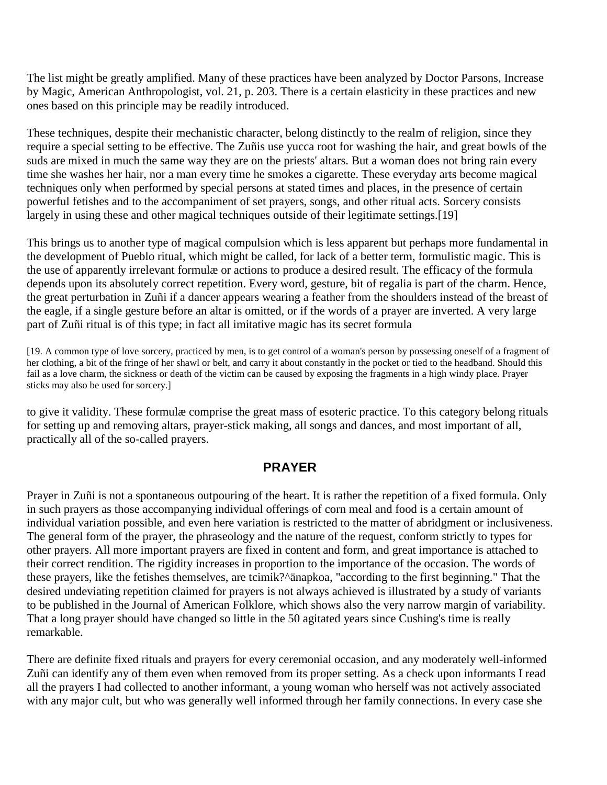The list might be greatly amplified. Many of these practices have been analyzed by Doctor Parsons, Increase by Magic, American Anthropologist, vol. 21, p. 203. There is a certain elasticity in these practices and new ones based on this principle may be readily introduced.

These techniques, despite their mechanistic character, belong distinctly to the realm of religion, since they require a special setting to be effective. The Zuñis use yucca root for washing the hair, and great bowls of the suds are mixed in much the same way they are on the priests' altars. But a woman does not bring rain every time she washes her hair, nor a man every time he smokes a cigarette. These everyday arts become magical techniques only when performed by special persons at stated times and places, in the presence of certain powerful fetishes and to the accompaniment of set prayers, songs, and other ritual acts. Sorcery consists largely in using these and other magical techniques outside of their legitimate settings.[19]

This brings us to another type of magical compulsion which is less apparent but perhaps more fundamental in the development of Pueblo ritual, which might be called, for lack of a better term, formulistic magic. This is the use of apparently irrelevant formulæ or actions to produce a desired result. The efficacy of the formula depends upon its absolutely correct repetition. Every word, gesture, bit of regalia is part of the charm. Hence, the great perturbation in Zuñi if a dancer appears wearing a feather from the shoulders instead of the breast of the eagle, if a single gesture before an altar is omitted, or if the words of a prayer are inverted. A very large part of Zuñi ritual is of this type; in fact all imitative magic has its secret formula

[19. A common type of love sorcery, practiced by men, is to get control of a woman's person by possessing oneself of a fragment of her clothing, a bit of the fringe of her shawl or belt, and carry it about constantly in the pocket or tied to the headband. Should this fail as a love charm, the sickness or death of the victim can be caused by exposing the fragments in a high windy place. Prayer sticks may also be used for sorcery.]

to give it validity. These formulæ comprise the great mass of esoteric practice. To this category belong rituals for setting up and removing altars, prayer-stick making, all songs and dances, and most important of all, practically all of the so-called prayers.

#### **PRAYER**

Prayer in Zuñi is not a spontaneous outpouring of the heart. It is rather the repetition of a fixed formula. Only in such prayers as those accompanying individual offerings of corn meal and food is a certain amount of individual variation possible, and even here variation is restricted to the matter of abridgment or inclusiveness. The general form of the prayer, the phraseology and the nature of the request, conform strictly to types for other prayers. All more important prayers are fixed in content and form, and great importance is attached to their correct rendition. The rigidity increases in proportion to the importance of the occasion. The words of these prayers, like the fetishes themselves, are tcimik?^änapkoa, "according to the first beginning." That the desired undeviating repetition claimed for prayers is not always achieved is illustrated by a study of variants to be published in the Journal of American Folklore, which shows also the very narrow margin of variability. That a long prayer should have changed so little in the 50 agitated years since Cushing's time is really remarkable.

There are definite fixed rituals and prayers for every ceremonial occasion, and any moderately well-informed Zuñi can identify any of them even when removed from its proper setting. As a check upon informants I read all the prayers I had collected to another informant, a young woman who herself was not actively associated with any major cult, but who was generally well informed through her family connections. In every case she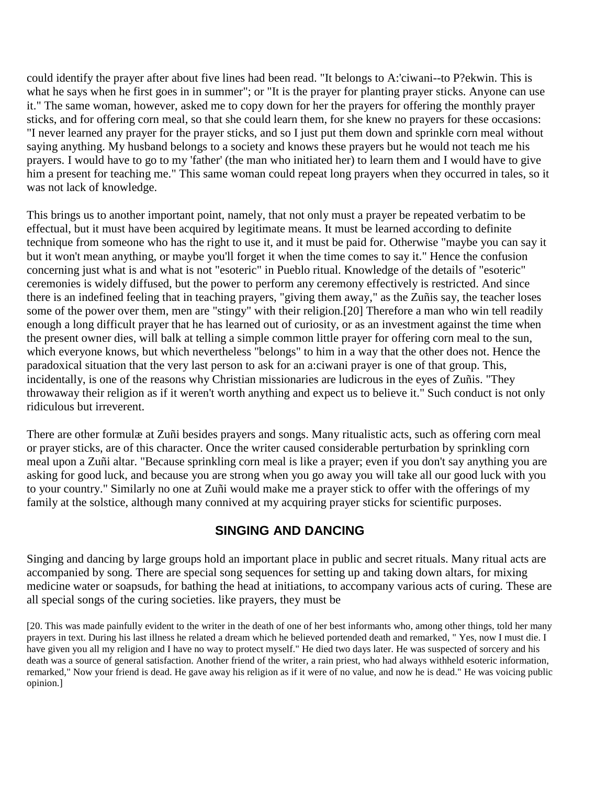could identify the prayer after about five lines had been read. "It belongs to A:'ciwani--to P?ekwin. This is what he says when he first goes in in summer"; or "It is the prayer for planting prayer sticks. Anyone can use it." The same woman, however, asked me to copy down for her the prayers for offering the monthly prayer sticks, and for offering corn meal, so that she could learn them, for she knew no prayers for these occasions: "I never learned any prayer for the prayer sticks, and so I just put them down and sprinkle corn meal without saying anything. My husband belongs to a society and knows these prayers but he would not teach me his prayers. I would have to go to my 'father' (the man who initiated her) to learn them and I would have to give him a present for teaching me." This same woman could repeat long prayers when they occurred in tales, so it was not lack of knowledge.

This brings us to another important point, namely, that not only must a prayer be repeated verbatim to be effectual, but it must have been acquired by legitimate means. It must be learned according to definite technique from someone who has the right to use it, and it must be paid for. Otherwise "maybe you can say it but it won't mean anything, or maybe you'll forget it when the time comes to say it." Hence the confusion concerning just what is and what is not "esoteric" in Pueblo ritual. Knowledge of the details of "esoteric" ceremonies is widely diffused, but the power to perform any ceremony effectively is restricted. And since there is an indefined feeling that in teaching prayers, "giving them away," as the Zuñis say, the teacher loses some of the power over them, men are "stingy" with their religion.[20] Therefore a man who win tell readily enough a long difficult prayer that he has learned out of curiosity, or as an investment against the time when the present owner dies, will balk at telling a simple common little prayer for offering corn meal to the sun, which everyone knows, but which nevertheless "belongs" to him in a way that the other does not. Hence the paradoxical situation that the very last person to ask for an a:ciwani prayer is one of that group. This, incidentally, is one of the reasons why Christian missionaries are ludicrous in the eyes of Zuñis. "They throwaway their religion as if it weren't worth anything and expect us to believe it." Such conduct is not only ridiculous but irreverent.

There are other formulæ at Zuñi besides prayers and songs. Many ritualistic acts, such as offering corn meal or prayer sticks, are of this character. Once the writer caused considerable perturbation by sprinkling corn meal upon a Zuñi altar. "Because sprinkling corn meal is like a prayer; even if you don't say anything you are asking for good luck, and because you are strong when you go away you will take all our good luck with you to your country." Similarly no one at Zuñi would make me a prayer stick to offer with the offerings of my family at the solstice, although many connived at my acquiring prayer sticks for scientific purposes.

#### **SINGING AND DANCING**

Singing and dancing by large groups hold an important place in public and secret rituals. Many ritual acts are accompanied by song. There are special song sequences for setting up and taking down altars, for mixing medicine water or soapsuds, for bathing the head at initiations, to accompany various acts of curing. These are all special songs of the curing societies. like prayers, they must be

[20. This was made painfully evident to the writer in the death of one of her best informants who, among other things, told her many prayers in text. During his last illness he related a dream which he believed portended death and remarked, " Yes, now I must die. I have given you all my religion and I have no way to protect myself." He died two days later. He was suspected of sorcery and his death was a source of general satisfaction. Another friend of the writer, a rain priest, who had always withheld esoteric information, remarked," Now your friend is dead. He gave away his religion as if it were of no value, and now he is dead." He was voicing public opinion.]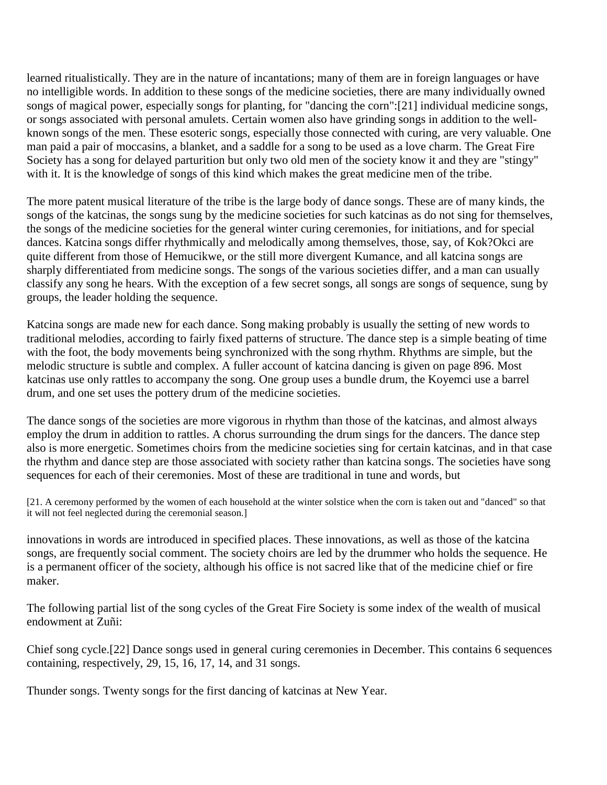learned ritualistically. They are in the nature of incantations; many of them are in foreign languages or have no intelligible words. In addition to these songs of the medicine societies, there are many individually owned songs of magical power, especially songs for planting, for "dancing the corn":[21] individual medicine songs, or songs associated with personal amulets. Certain women also have grinding songs in addition to the wellknown songs of the men. These esoteric songs, especially those connected with curing, are very valuable. One man paid a pair of moccasins, a blanket, and a saddle for a song to be used as a love charm. The Great Fire Society has a song for delayed parturition but only two old men of the society know it and they are "stingy" with it. It is the knowledge of songs of this kind which makes the great medicine men of the tribe.

The more patent musical literature of the tribe is the large body of dance songs. These are of many kinds, the songs of the katcinas, the songs sung by the medicine societies for such katcinas as do not sing for themselves, the songs of the medicine societies for the general winter curing ceremonies, for initiations, and for special dances. Katcina songs differ rhythmically and melodically among themselves, those, say, of Kok?Okci are quite different from those of Hemucikwe, or the still more divergent Kumance, and all katcina songs are sharply differentiated from medicine songs. The songs of the various societies differ, and a man can usually classify any song he hears. With the exception of a few secret songs, all songs are songs of sequence, sung by groups, the leader holding the sequence.

Katcina songs are made new for each dance. Song making probably is usually the setting of new words to traditional melodies, according to fairly fixed patterns of structure. The dance step is a simple beating of time with the foot, the body movements being synchronized with the song rhythm. Rhythms are simple, but the melodic structure is subtle and complex. A fuller account of katcina dancing is given on page 896. Most katcinas use only rattles to accompany the song. One group uses a bundle drum, the Koyemci use a barrel drum, and one set uses the pottery drum of the medicine societies.

The dance songs of the societies are more vigorous in rhythm than those of the katcinas, and almost always employ the drum in addition to rattles. A chorus surrounding the drum sings for the dancers. The dance step also is more energetic. Sometimes choirs from the medicine societies sing for certain katcinas, and in that case the rhythm and dance step are those associated with society rather than katcina songs. The societies have song sequences for each of their ceremonies. Most of these are traditional in tune and words, but

[21. A ceremony performed by the women of each household at the winter solstice when the corn is taken out and "danced" so that it will not feel neglected during the ceremonial season.]

innovations in words are introduced in specified places. These innovations, as well as those of the katcina songs, are frequently social comment. The society choirs are led by the drummer who holds the sequence. He is a permanent officer of the society, although his office is not sacred like that of the medicine chief or fire maker.

The following partial list of the song cycles of the Great Fire Society is some index of the wealth of musical endowment at Zuñi:

Chief song cycle.[22] Dance songs used in general curing ceremonies in December. This contains 6 sequences containing, respectively, 29, 15, 16, 17, 14, and 31 songs.

Thunder songs. Twenty songs for the first dancing of katcinas at New Year.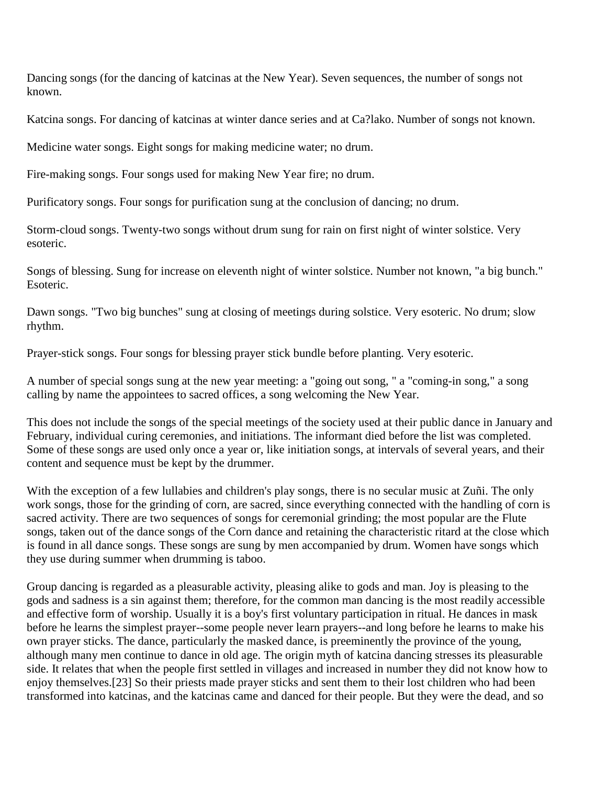Dancing songs (for the dancing of katcinas at the New Year). Seven sequences, the number of songs not known.

Katcina songs. For dancing of katcinas at winter dance series and at Ca?lako. Number of songs not known.

Medicine water songs. Eight songs for making medicine water; no drum.

Fire-making songs. Four songs used for making New Year fire; no drum.

Purificatory songs. Four songs for purification sung at the conclusion of dancing; no drum.

Storm-cloud songs. Twenty-two songs without drum sung for rain on first night of winter solstice. Very esoteric.

Songs of blessing. Sung for increase on eleventh night of winter solstice. Number not known, "a big bunch." Esoteric.

Dawn songs. "Two big bunches" sung at closing of meetings during solstice. Very esoteric. No drum; slow rhythm.

Prayer-stick songs. Four songs for blessing prayer stick bundle before planting. Very esoteric.

A number of special songs sung at the new year meeting: a "going out song, " a "coming-in song," a song calling by name the appointees to sacred offices, a song welcoming the New Year.

This does not include the songs of the special meetings of the society used at their public dance in January and February, individual curing ceremonies, and initiations. The informant died before the list was completed. Some of these songs are used only once a year or, like initiation songs, at intervals of several years, and their content and sequence must be kept by the drummer.

With the exception of a few lullabies and children's play songs, there is no secular music at Zuñi. The only work songs, those for the grinding of corn, are sacred, since everything connected with the handling of corn is sacred activity. There are two sequences of songs for ceremonial grinding; the most popular are the Flute songs, taken out of the dance songs of the Corn dance and retaining the characteristic ritard at the close which is found in all dance songs. These songs are sung by men accompanied by drum. Women have songs which they use during summer when drumming is taboo.

Group dancing is regarded as a pleasurable activity, pleasing alike to gods and man. Joy is pleasing to the gods and sadness is a sin against them; therefore, for the common man dancing is the most readily accessible and effective form of worship. Usually it is a boy's first voluntary participation in ritual. He dances in mask before he learns the simplest prayer--some people never learn prayers--and long before he learns to make his own prayer sticks. The dance, particularly the masked dance, is preeminently the province of the young, although many men continue to dance in old age. The origin myth of katcina dancing stresses its pleasurable side. It relates that when the people first settled in villages and increased in number they did not know how to enjoy themselves.[23] So their priests made prayer sticks and sent them to their lost children who had been transformed into katcinas, and the katcinas came and danced for their people. But they were the dead, and so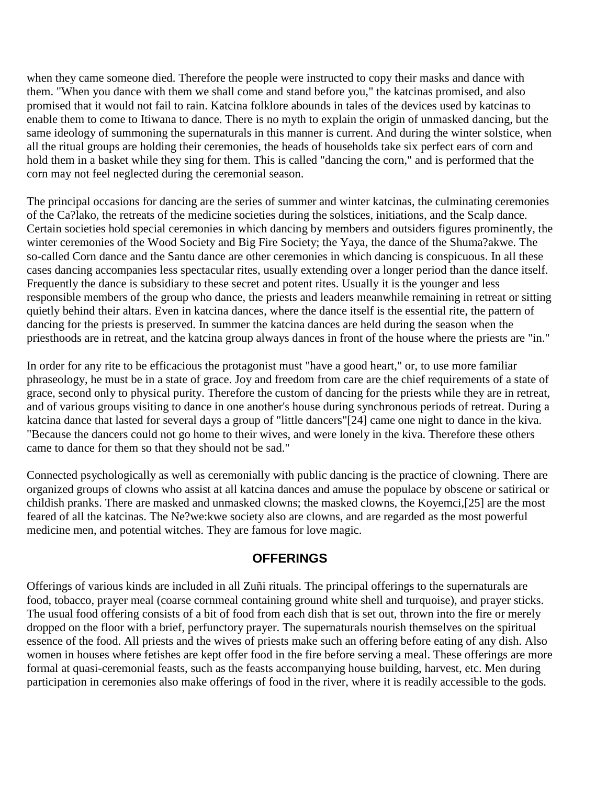when they came someone died. Therefore the people were instructed to copy their masks and dance with them. "When you dance with them we shall come and stand before you," the katcinas promised, and also promised that it would not fail to rain. Katcina folklore abounds in tales of the devices used by katcinas to enable them to come to Itiwana to dance. There is no myth to explain the origin of unmasked dancing, but the same ideology of summoning the supernaturals in this manner is current. And during the winter solstice, when all the ritual groups are holding their ceremonies, the heads of households take six perfect ears of corn and hold them in a basket while they sing for them. This is called "dancing the corn," and is performed that the corn may not feel neglected during the ceremonial season.

The principal occasions for dancing are the series of summer and winter katcinas, the culminating ceremonies of the Ca?lako, the retreats of the medicine societies during the solstices, initiations, and the Scalp dance. Certain societies hold special ceremonies in which dancing by members and outsiders figures prominently, the winter ceremonies of the Wood Society and Big Fire Society; the Yaya, the dance of the Shuma?akwe. The so-called Corn dance and the Santu dance are other ceremonies in which dancing is conspicuous. In all these cases dancing accompanies less spectacular rites, usually extending over a longer period than the dance itself. Frequently the dance is subsidiary to these secret and potent rites. Usually it is the younger and less responsible members of the group who dance, the priests and leaders meanwhile remaining in retreat or sitting quietly behind their altars. Even in katcina dances, where the dance itself is the essential rite, the pattern of dancing for the priests is preserved. In summer the katcina dances are held during the season when the priesthoods are in retreat, and the katcina group always dances in front of the house where the priests are "in."

In order for any rite to be efficacious the protagonist must "have a good heart," or, to use more familiar phraseology, he must be in a state of grace. Joy and freedom from care are the chief requirements of a state of grace, second only to physical purity. Therefore the custom of dancing for the priests while they are in retreat, and of various groups visiting to dance in one another's house during synchronous periods of retreat. During a katcina dance that lasted for several days a group of "little dancers"[24] came one night to dance in the kiva. "Because the dancers could not go home to their wives, and were lonely in the kiva. Therefore these others came to dance for them so that they should not be sad."

Connected psychologically as well as ceremonially with public dancing is the practice of clowning. There are organized groups of clowns who assist at all katcina dances and amuse the populace by obscene or satirical or childish pranks. There are masked and unmasked clowns; the masked clowns, the Koyemci,[25] are the most feared of all the katcinas. The Ne?we:kwe society also are clowns, and are regarded as the most powerful medicine men, and potential witches. They are famous for love magic.

#### **OFFERINGS**

Offerings of various kinds are included in all Zuñi rituals. The principal offerings to the supernaturals are food, tobacco, prayer meal (coarse cornmeal containing ground white shell and turquoise), and prayer sticks. The usual food offering consists of a bit of food from each dish that is set out, thrown into the fire or merely dropped on the floor with a brief, perfunctory prayer. The supernaturals nourish themselves on the spiritual essence of the food. All priests and the wives of priests make such an offering before eating of any dish. Also women in houses where fetishes are kept offer food in the fire before serving a meal. These offerings are more formal at quasi-ceremonial feasts, such as the feasts accompanying house building, harvest, etc. Men during participation in ceremonies also make offerings of food in the river, where it is readily accessible to the gods.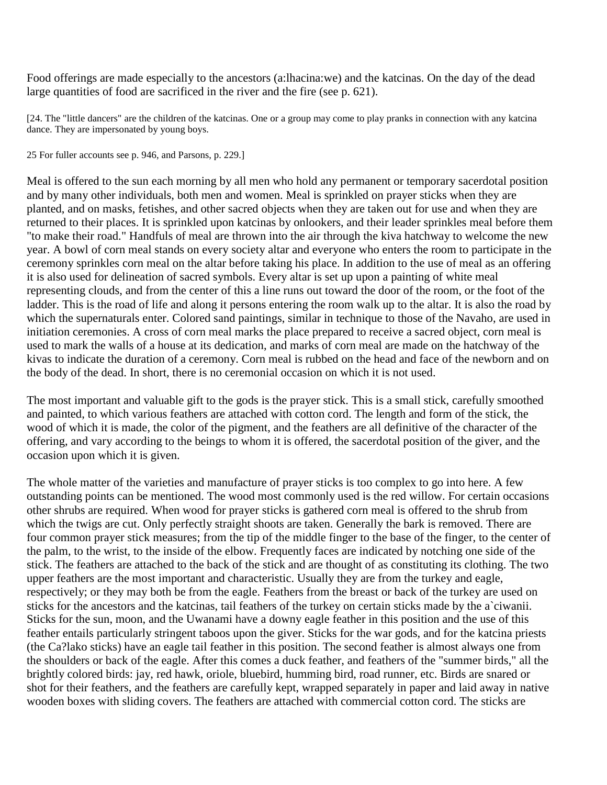Food offerings are made especially to the ancestors (a:lhacina:we) and the katcinas. On the day of the dead large quantities of food are sacrificed in the river and the fire (see p. 621).

[24. The "little dancers" are the children of the katcinas. One or a group may come to play pranks in connection with any katcina dance. They are impersonated by young boys.

25 For fuller accounts see p. 946, and Parsons, p. 229.]

Meal is offered to the sun each morning by all men who hold any permanent or temporary sacerdotal position and by many other individuals, both men and women. Meal is sprinkled on prayer sticks when they are planted, and on masks, fetishes, and other sacred objects when they are taken out for use and when they are returned to their places. It is sprinkled upon katcinas by onlookers, and their leader sprinkles meal before them "to make their road." Handfuls of meal are thrown into the air through the kiva hatchway to welcome the new year. A bowl of corn meal stands on every society altar and everyone who enters the room to participate in the ceremony sprinkles corn meal on the altar before taking his place. In addition to the use of meal as an offering it is also used for delineation of sacred symbols. Every altar is set up upon a painting of white meal representing clouds, and from the center of this a line runs out toward the door of the room, or the foot of the ladder. This is the road of life and along it persons entering the room walk up to the altar. It is also the road by which the supernaturals enter. Colored sand paintings, similar in technique to those of the Navaho, are used in initiation ceremonies. A cross of corn meal marks the place prepared to receive a sacred object, corn meal is used to mark the walls of a house at its dedication, and marks of corn meal are made on the hatchway of the kivas to indicate the duration of a ceremony. Corn meal is rubbed on the head and face of the newborn and on the body of the dead. In short, there is no ceremonial occasion on which it is not used.

The most important and valuable gift to the gods is the prayer stick. This is a small stick, carefully smoothed and painted, to which various feathers are attached with cotton cord. The length and form of the stick, the wood of which it is made, the color of the pigment, and the feathers are all definitive of the character of the offering, and vary according to the beings to whom it is offered, the sacerdotal position of the giver, and the occasion upon which it is given.

The whole matter of the varieties and manufacture of prayer sticks is too complex to go into here. A few outstanding points can be mentioned. The wood most commonly used is the red willow. For certain occasions other shrubs are required. When wood for prayer sticks is gathered corn meal is offered to the shrub from which the twigs are cut. Only perfectly straight shoots are taken. Generally the bark is removed. There are four common prayer stick measures; from the tip of the middle finger to the base of the finger, to the center of the palm, to the wrist, to the inside of the elbow. Frequently faces are indicated by notching one side of the stick. The feathers are attached to the back of the stick and are thought of as constituting its clothing. The two upper feathers are the most important and characteristic. Usually they are from the turkey and eagle, respectively; or they may both be from the eagle. Feathers from the breast or back of the turkey are used on sticks for the ancestors and the katcinas, tail feathers of the turkey on certain sticks made by the a`ciwanii. Sticks for the sun, moon, and the Uwanami have a downy eagle feather in this position and the use of this feather entails particularly stringent taboos upon the giver. Sticks for the war gods, and for the katcina priests (the Ca?lako sticks) have an eagle tail feather in this position. The second feather is almost always one from the shoulders or back of the eagle. After this comes a duck feather, and feathers of the "summer birds," all the brightly colored birds: jay, red hawk, oriole, bluebird, humming bird, road runner, etc. Birds are snared or shot for their feathers, and the feathers are carefully kept, wrapped separately in paper and laid away in native wooden boxes with sliding covers. The feathers are attached with commercial cotton cord. The sticks are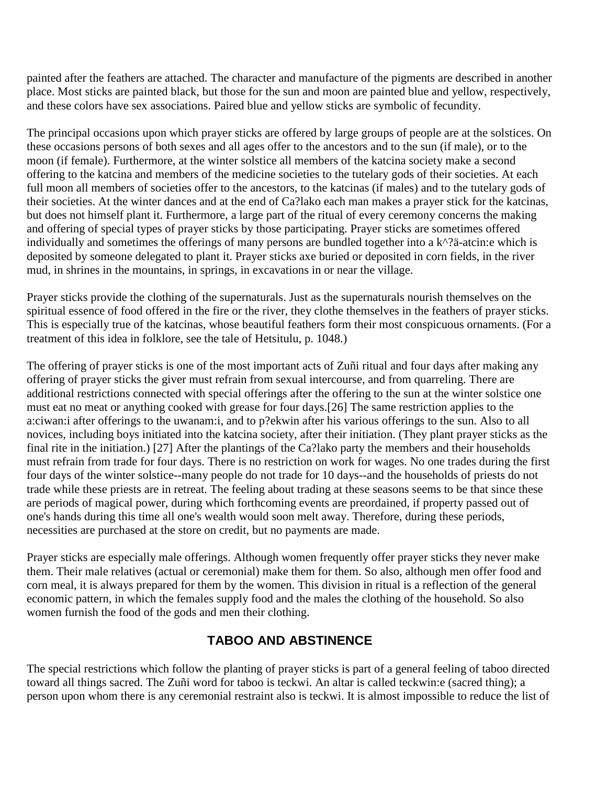painted after the feathers are attached. The character and manufacture of the pigments are described in another place. Most sticks are painted black, but those for the sun and moon are painted blue and yellow, respectively, and these colors have sex associations. Paired blue and yellow sticks are symbolic of fecundity.

The principal occasions upon which prayer sticks are offered by large groups of people are at the solstices. On these occasions persons of both sexes and all ages offer to the ancestors and to the sun (if male), or to the moon (if female). Furthermore, at the winter solstice all members of the katcina society make a second offering to the katcina and members of the medicine societies to the tutelary gods of their societies. At each full moon all members of societies offer to the ancestors, to the katcinas (if males) and to the tutelary gods of their societies. At the winter dances and at the end of Ca?lako each man makes a prayer stick for the katcinas, but does not himself plant it. Furthermore, a large part of the ritual of every ceremony concerns the making and offering of special types of prayer sticks by those participating. Prayer sticks are sometimes offered individually and sometimes the offerings of many persons are bundled together into a k^?ä-atcin:e which is deposited by someone delegated to plant it. Prayer sticks axe buried or deposited in corn fields, in the river mud, in shrines in the mountains, in springs, in excavations in or near the village.

Prayer sticks provide the clothing of the supernaturals. Just as the supernaturals nourish themselves on the spiritual essence of food offered in the fire or the river, they clothe themselves in the feathers of prayer sticks. This is especially true of the katcinas, whose beautiful feathers form their most conspicuous ornaments. (For a treatment of this idea in folklore, see the tale of Hetsitulu, p. 1048.)

The offering of prayer sticks is one of the most important acts of Zuñi ritual and four days after making any offering of prayer sticks the giver must refrain from sexual intercourse, and from quarreling. There are additional restrictions connected with special offerings after the offering to the sun at the winter solstice one must eat no meat or anything cooked with grease for four days.[26] The same restriction applies to the a:ciwan:i after offerings to the uwanam:i, and to p?ekwin after his various offerings to the sun. Also to all novices, including boys initiated into the katcina society, after their initiation. (They plant prayer sticks as the final rite in the initiation.) [27] After the plantings of the Ca?lako party the members and their households must refrain from trade for four days. There is no restriction on work for wages. No one trades during the first four days of the winter solstice--many people do not trade for 10 days--and the households of priests do not trade while these priests are in retreat. The feeling about trading at these seasons seems to be that since these are periods of magical power, during which forthcoming events are preordained, if property passed out of one's hands during this time all one's wealth would soon melt away. Therefore, during these periods, necessities are purchased at the store on credit, but no payments are made.

Prayer sticks are especially male offerings. Although women frequently offer prayer sticks they never make them. Their male relatives (actual or ceremonial) make them for them. So also, although men offer food and corn meal, it is always prepared for them by the women. This division in ritual is a reflection of the general economic pattern, in which the females supply food and the males the clothing of the household. So also women furnish the food of the gods and men their clothing.

#### **TABOO AND ABSTINENCE**

The special restrictions which follow the planting of prayer sticks is part of a general feeling of taboo directed toward all things sacred. The Zuñi word for taboo is teckwi. An altar is called teckwin:e (sacred thing); a person upon whom there is any ceremonial restraint also is teckwi. It is almost impossible to reduce the list of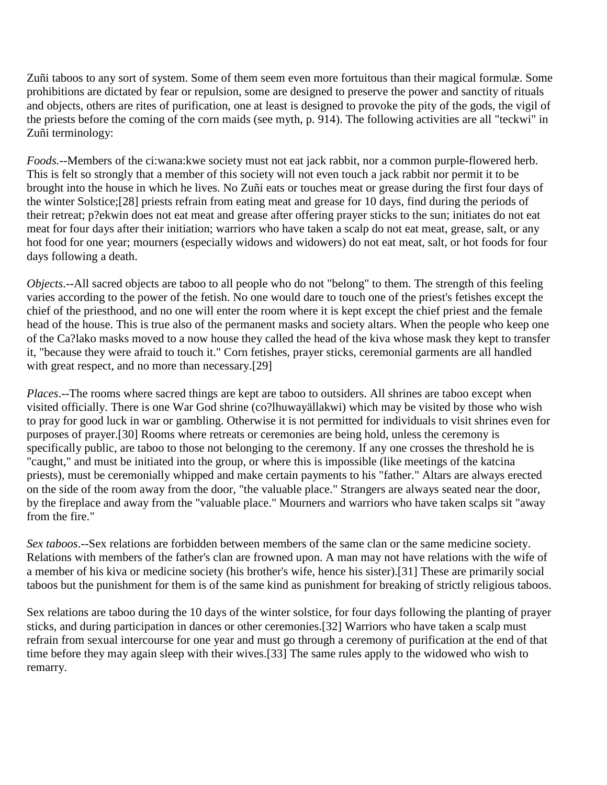Zuñi taboos to any sort of system. Some of them seem even more fortuitous than their magical formulæ. Some prohibitions are dictated by fear or repulsion, some are designed to preserve the power and sanctity of rituals and objects, others are rites of purification, one at least is designed to provoke the pity of the gods, the vigil of the priests before the coming of the corn maids (see myth, p. 914). The following activities are all "teckwi" in Zuñi terminology:

*Foods.*--Members of the ci:wana:kwe society must not eat jack rabbit, nor a common purple-flowered herb. This is felt so strongly that a member of this society will not even touch a jack rabbit nor permit it to be brought into the house in which he lives. No Zuñi eats or touches meat or grease during the first four days of the winter Solstice;[28] priests refrain from eating meat and grease for 10 days, find during the periods of their retreat; p?ekwin does not eat meat and grease after offering prayer sticks to the sun; initiates do not eat meat for four days after their initiation; warriors who have taken a scalp do not eat meat, grease, salt, or any hot food for one year; mourners (especially widows and widowers) do not eat meat, salt, or hot foods for four days following a death.

*Objects*.--All sacred objects are taboo to all people who do not "belong" to them. The strength of this feeling varies according to the power of the fetish. No one would dare to touch one of the priest's fetishes except the chief of the priesthood, and no one will enter the room where it is kept except the chief priest and the female head of the house. This is true also of the permanent masks and society altars. When the people who keep one of the Ca?lako masks moved to a now house they called the head of the kiva whose mask they kept to transfer it, "because they were afraid to touch it." Corn fetishes, prayer sticks, ceremonial garments are all handled with great respect, and no more than necessary.[29]

*Places*.--The rooms where sacred things are kept are taboo to outsiders. All shrines are taboo except when visited officially. There is one War God shrine (co?lhuwayällakwi) which may be visited by those who wish to pray for good luck in war or gambling. Otherwise it is not permitted for individuals to visit shrines even for purposes of prayer.[30] Rooms where retreats or ceremonies are being hold, unless the ceremony is specifically public, are taboo to those not belonging to the ceremony. If any one crosses the threshold he is "caught," and must be initiated into the group, or where this is impossible (like meetings of the katcina priests), must be ceremonially whipped and make certain payments to his "father." Altars are always erected on the side of the room away from the door, "the valuable place." Strangers are always seated near the door, by the fireplace and away from the "valuable place." Mourners and warriors who have taken scalps sit "away from the fire."

*Sex taboos*.--Sex relations are forbidden between members of the same clan or the same medicine society. Relations with members of the father's clan are frowned upon. A man may not have relations with the wife of a member of his kiva or medicine society (his brother's wife, hence his sister).[31] These are primarily social taboos but the punishment for them is of the same kind as punishment for breaking of strictly religious taboos.

Sex relations are taboo during the 10 days of the winter solstice, for four days following the planting of prayer sticks, and during participation in dances or other ceremonies.[32] Warriors who have taken a scalp must refrain from sexual intercourse for one year and must go through a ceremony of purification at the end of that time before they may again sleep with their wives.[33] The same rules apply to the widowed who wish to remarry.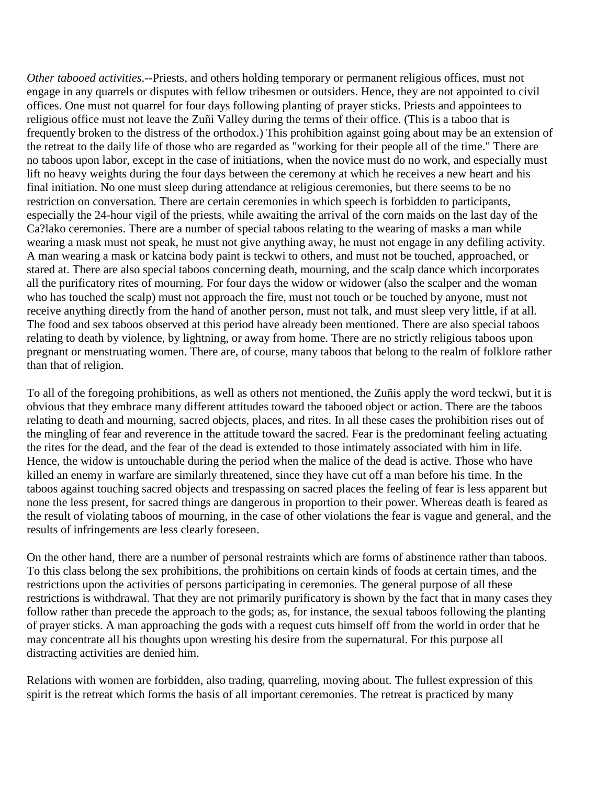*Other tabooed activities*.--Priests, and others holding temporary or permanent religious offices, must not engage in any quarrels or disputes with fellow tribesmen or outsiders. Hence, they are not appointed to civil offices. One must not quarrel for four days following planting of prayer sticks. Priests and appointees to religious office must not leave the Zuñi Valley during the terms of their office. (This is a taboo that is frequently broken to the distress of the orthodox.) This prohibition against going about may be an extension of the retreat to the daily life of those who are regarded as "working for their people all of the time." There are no taboos upon labor, except in the case of initiations, when the novice must do no work, and especially must lift no heavy weights during the four days between the ceremony at which he receives a new heart and his final initiation. No one must sleep during attendance at religious ceremonies, but there seems to be no restriction on conversation. There are certain ceremonies in which speech is forbidden to participants, especially the 24-hour vigil of the priests, while awaiting the arrival of the corn maids on the last day of the Ca?lako ceremonies. There are a number of special taboos relating to the wearing of masks a man while wearing a mask must not speak, he must not give anything away, he must not engage in any defiling activity. A man wearing a mask or katcina body paint is teckwi to others, and must not be touched, approached, or stared at. There are also special taboos concerning death, mourning, and the scalp dance which incorporates all the purificatory rites of mourning. For four days the widow or widower (also the scalper and the woman who has touched the scalp) must not approach the fire, must not touch or be touched by anyone, must not receive anything directly from the hand of another person, must not talk, and must sleep very little, if at all. The food and sex taboos observed at this period have already been mentioned. There are also special taboos relating to death by violence, by lightning, or away from home. There are no strictly religious taboos upon pregnant or menstruating women. There are, of course, many taboos that belong to the realm of folklore rather than that of religion.

To all of the foregoing prohibitions, as well as others not mentioned, the Zuñis apply the word teckwi, but it is obvious that they embrace many different attitudes toward the tabooed object or action. There are the taboos relating to death and mourning, sacred objects, places, and rites. In all these cases the prohibition rises out of the mingling of fear and reverence in the attitude toward the sacred. Fear is the predominant feeling actuating the rites for the dead, and the fear of the dead is extended to those intimately associated with him in life. Hence, the widow is untouchable during the period when the malice of the dead is active. Those who have killed an enemy in warfare are similarly threatened, since they have cut off a man before his time. In the taboos against touching sacred objects and trespassing on sacred places the feeling of fear is less apparent but none the less present, for sacred things are dangerous in proportion to their power. Whereas death is feared as the result of violating taboos of mourning, in the case of other violations the fear is vague and general, and the results of infringements are less clearly foreseen.

On the other hand, there are a number of personal restraints which are forms of abstinence rather than taboos. To this class belong the sex prohibitions, the prohibitions on certain kinds of foods at certain times, and the restrictions upon the activities of persons participating in ceremonies. The general purpose of all these restrictions is withdrawal. That they are not primarily purificatory is shown by the fact that in many cases they follow rather than precede the approach to the gods; as, for instance, the sexual taboos following the planting of prayer sticks. A man approaching the gods with a request cuts himself off from the world in order that he may concentrate all his thoughts upon wresting his desire from the supernatural. For this purpose all distracting activities are denied him.

Relations with women are forbidden, also trading, quarreling, moving about. The fullest expression of this spirit is the retreat which forms the basis of all important ceremonies. The retreat is practiced by many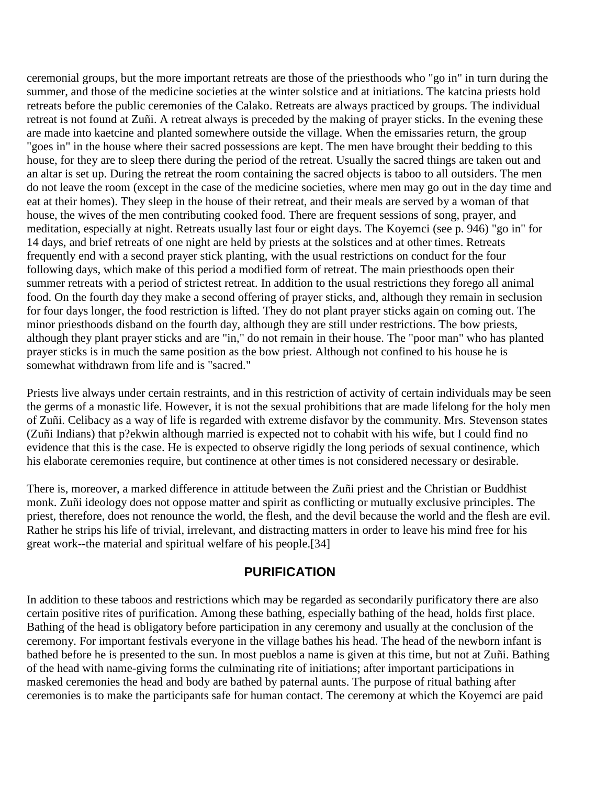ceremonial groups, but the more important retreats are those of the priesthoods who "go in" in turn during the summer, and those of the medicine societies at the winter solstice and at initiations. The katcina priests hold retreats before the public ceremonies of the Calako. Retreats are always practiced by groups. The individual retreat is not found at Zuñi. A retreat always is preceded by the making of prayer sticks. In the evening these are made into kaetcine and planted somewhere outside the village. When the emissaries return, the group "goes in" in the house where their sacred possessions are kept. The men have brought their bedding to this house, for they are to sleep there during the period of the retreat. Usually the sacred things are taken out and an altar is set up. During the retreat the room containing the sacred objects is taboo to all outsiders. The men do not leave the room (except in the case of the medicine societies, where men may go out in the day time and eat at their homes). They sleep in the house of their retreat, and their meals are served by a woman of that house, the wives of the men contributing cooked food. There are frequent sessions of song, prayer, and meditation, especially at night. Retreats usually last four or eight days. The Koyemci (see p. 946) "go in" for 14 days, and brief retreats of one night are held by priests at the solstices and at other times. Retreats frequently end with a second prayer stick planting, with the usual restrictions on conduct for the four following days, which make of this period a modified form of retreat. The main priesthoods open their summer retreats with a period of strictest retreat. In addition to the usual restrictions they forego all animal food. On the fourth day they make a second offering of prayer sticks, and, although they remain in seclusion for four days longer, the food restriction is lifted. They do not plant prayer sticks again on coming out. The minor priesthoods disband on the fourth day, although they are still under restrictions. The bow priests, although they plant prayer sticks and are "in," do not remain in their house. The "poor man" who has planted prayer sticks is in much the same position as the bow priest. Although not confined to his house he is somewhat withdrawn from life and is "sacred."

Priests live always under certain restraints, and in this restriction of activity of certain individuals may be seen the germs of a monastic life. However, it is not the sexual prohibitions that are made lifelong for the holy men of Zuñi. Celibacy as a way of life is regarded with extreme disfavor by the community. Mrs. Stevenson states (Zuñi Indians) that p?ekwin although married is expected not to cohabit with his wife, but I could find no evidence that this is the case. He is expected to observe rigidly the long periods of sexual continence, which his elaborate ceremonies require, but continence at other times is not considered necessary or desirable.

There is, moreover, a marked difference in attitude between the Zuñi priest and the Christian or Buddhist monk. Zuñi ideology does not oppose matter and spirit as conflicting or mutually exclusive principles. The priest, therefore, does not renounce the world, the flesh, and the devil because the world and the flesh are evil. Rather he strips his life of trivial, irrelevant, and distracting matters in order to leave his mind free for his great work--the material and spiritual welfare of his people.[34]

#### **PURIFICATION**

In addition to these taboos and restrictions which may be regarded as secondarily purificatory there are also certain positive rites of purification. Among these bathing, especially bathing of the head, holds first place. Bathing of the head is obligatory before participation in any ceremony and usually at the conclusion of the ceremony. For important festivals everyone in the village bathes his head. The head of the newborn infant is bathed before he is presented to the sun. In most pueblos a name is given at this time, but not at Zuñi. Bathing of the head with name-giving forms the culminating rite of initiations; after important participations in masked ceremonies the head and body are bathed by paternal aunts. The purpose of ritual bathing after ceremonies is to make the participants safe for human contact. The ceremony at which the Koyemci are paid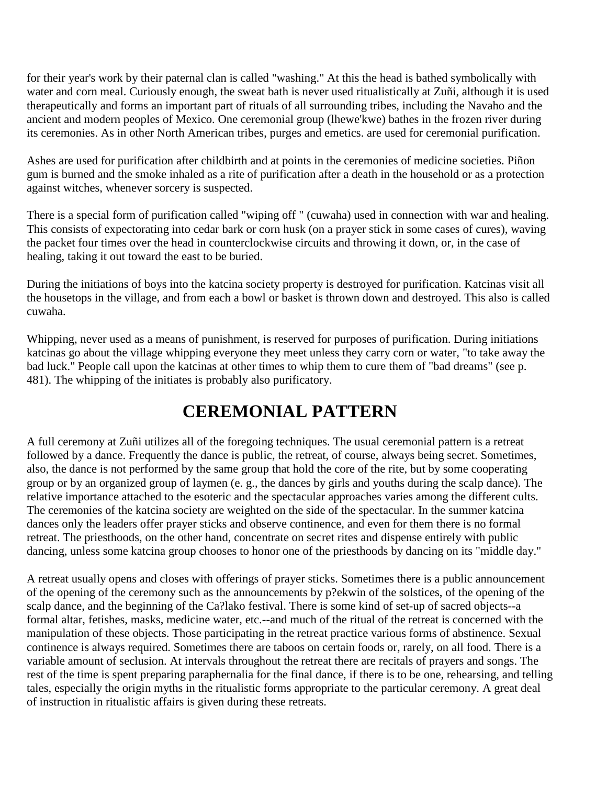for their year's work by their paternal clan is called "washing." At this the head is bathed symbolically with water and corn meal. Curiously enough, the sweat bath is never used ritualistically at Zuñi, although it is used therapeutically and forms an important part of rituals of all surrounding tribes, including the Navaho and the ancient and modern peoples of Mexico. One ceremonial group (lhewe'kwe) bathes in the frozen river during its ceremonies. As in other North American tribes, purges and emetics. are used for ceremonial purification.

Ashes are used for purification after childbirth and at points in the ceremonies of medicine societies. Piñon gum is burned and the smoke inhaled as a rite of purification after a death in the household or as a protection against witches, whenever sorcery is suspected.

There is a special form of purification called "wiping off " (cuwaha) used in connection with war and healing. This consists of expectorating into cedar bark or corn husk (on a prayer stick in some cases of cures), waving the packet four times over the head in counterclockwise circuits and throwing it down, or, in the case of healing, taking it out toward the east to be buried.

During the initiations of boys into the katcina society property is destroyed for purification. Katcinas visit all the housetops in the village, and from each a bowl or basket is thrown down and destroyed. This also is called cuwaha.

Whipping, never used as a means of punishment, is reserved for purposes of purification. During initiations katcinas go about the village whipping everyone they meet unless they carry corn or water, "to take away the bad luck." People call upon the katcinas at other times to whip them to cure them of "bad dreams" (see p. 481). The whipping of the initiates is probably also purificatory.

## **CEREMONIAL PATTERN**

A full ceremony at Zuñi utilizes all of the foregoing techniques. The usual ceremonial pattern is a retreat followed by a dance. Frequently the dance is public, the retreat, of course, always being secret. Sometimes, also, the dance is not performed by the same group that hold the core of the rite, but by some cooperating group or by an organized group of laymen (e. g., the dances by girls and youths during the scalp dance). The relative importance attached to the esoteric and the spectacular approaches varies among the different cults. The ceremonies of the katcina society are weighted on the side of the spectacular. In the summer katcina dances only the leaders offer prayer sticks and observe continence, and even for them there is no formal retreat. The priesthoods, on the other hand, concentrate on secret rites and dispense entirely with public dancing, unless some katcina group chooses to honor one of the priesthoods by dancing on its "middle day."

A retreat usually opens and closes with offerings of prayer sticks. Sometimes there is a public announcement of the opening of the ceremony such as the announcements by p?ekwin of the solstices, of the opening of the scalp dance, and the beginning of the Ca?lako festival. There is some kind of set-up of sacred objects--a formal altar, fetishes, masks, medicine water, etc.--and much of the ritual of the retreat is concerned with the manipulation of these objects. Those participating in the retreat practice various forms of abstinence. Sexual continence is always required. Sometimes there are taboos on certain foods or, rarely, on all food. There is a variable amount of seclusion. At intervals throughout the retreat there are recitals of prayers and songs. The rest of the time is spent preparing paraphernalia for the final dance, if there is to be one, rehearsing, and telling tales, especially the origin myths in the ritualistic forms appropriate to the particular ceremony. A great deal of instruction in ritualistic affairs is given during these retreats.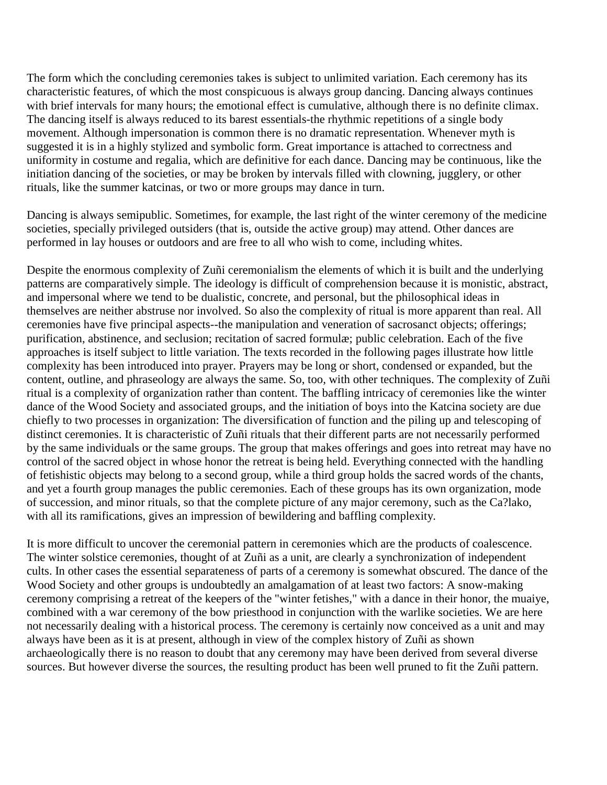The form which the concluding ceremonies takes is subject to unlimited variation. Each ceremony has its characteristic features, of which the most conspicuous is always group dancing. Dancing always continues with brief intervals for many hours; the emotional effect is cumulative, although there is no definite climax. The dancing itself is always reduced to its barest essentials-the rhythmic repetitions of a single body movement. Although impersonation is common there is no dramatic representation. Whenever myth is suggested it is in a highly stylized and symbolic form. Great importance is attached to correctness and uniformity in costume and regalia, which are definitive for each dance. Dancing may be continuous, like the initiation dancing of the societies, or may be broken by intervals filled with clowning, jugglery, or other rituals, like the summer katcinas, or two or more groups may dance in turn.

Dancing is always semipublic. Sometimes, for example, the last right of the winter ceremony of the medicine societies, specially privileged outsiders (that is, outside the active group) may attend. Other dances are performed in lay houses or outdoors and are free to all who wish to come, including whites.

Despite the enormous complexity of Zuñi ceremonialism the elements of which it is built and the underlying patterns are comparatively simple. The ideology is difficult of comprehension because it is monistic, abstract, and impersonal where we tend to be dualistic, concrete, and personal, but the philosophical ideas in themselves are neither abstruse nor involved. So also the complexity of ritual is more apparent than real. All ceremonies have five principal aspects--the manipulation and veneration of sacrosanct objects; offerings; purification, abstinence, and seclusion; recitation of sacred formulæ; public celebration. Each of the five approaches is itself subject to little variation. The texts recorded in the following pages illustrate how little complexity has been introduced into prayer. Prayers may be long or short, condensed or expanded, but the content, outline, and phraseology are always the same. So, too, with other techniques. The complexity of Zuñi ritual is a complexity of organization rather than content. The baffling intricacy of ceremonies like the winter dance of the Wood Society and associated groups, and the initiation of boys into the Katcina society are due chiefly to two processes in organization: The diversification of function and the piling up and telescoping of distinct ceremonies. It is characteristic of Zuñi rituals that their different parts are not necessarily performed by the same individuals or the same groups. The group that makes offerings and goes into retreat may have no control of the sacred object in whose honor the retreat is being held. Everything connected with the handling of fetishistic objects may belong to a second group, while a third group holds the sacred words of the chants, and yet a fourth group manages the public ceremonies. Each of these groups has its own organization, mode of succession, and minor rituals, so that the complete picture of any major ceremony, such as the Ca?lako, with all its ramifications, gives an impression of bewildering and baffling complexity.

It is more difficult to uncover the ceremonial pattern in ceremonies which are the products of coalescence. The winter solstice ceremonies, thought of at Zuñi as a unit, are clearly a synchronization of independent cults. In other cases the essential separateness of parts of a ceremony is somewhat obscured. The dance of the Wood Society and other groups is undoubtedly an amalgamation of at least two factors: A snow-making ceremony comprising a retreat of the keepers of the "winter fetishes," with a dance in their honor, the muaiye, combined with a war ceremony of the bow priesthood in conjunction with the warlike societies. We are here not necessarily dealing with a historical process. The ceremony is certainly now conceived as a unit and may always have been as it is at present, although in view of the complex history of Zuñi as shown archaeologically there is no reason to doubt that any ceremony may have been derived from several diverse sources. But however diverse the sources, the resulting product has been well pruned to fit the Zuñi pattern.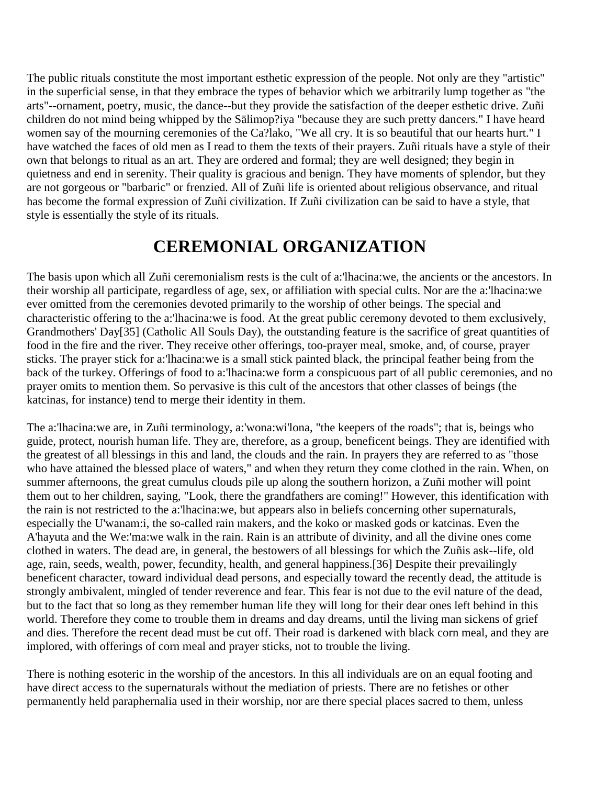The public rituals constitute the most important esthetic expression of the people. Not only are they "artistic" in the superficial sense, in that they embrace the types of behavior which we arbitrarily lump together as "the arts"--ornament, poetry, music, the dance--but they provide the satisfaction of the deeper esthetic drive. Zuñi children do not mind being whipped by the Sälimop?iya "because they are such pretty dancers." I have heard women say of the mourning ceremonies of the Ca?lako, "We all cry. It is so beautiful that our hearts hurt." I have watched the faces of old men as I read to them the texts of their prayers. Zuñi rituals have a style of their own that belongs to ritual as an art. They are ordered and formal; they are well designed; they begin in quietness and end in serenity. Their quality is gracious and benign. They have moments of splendor, but they are not gorgeous or "barbaric" or frenzied. All of Zuñi life is oriented about religious observance, and ritual has become the formal expression of Zuñi civilization. If Zuñi civilization can be said to have a style, that style is essentially the style of its rituals.

## **CEREMONIAL ORGANIZATION**

The basis upon which all Zuñi ceremonialism rests is the cult of a:'lhacina:we, the ancients or the ancestors. In their worship all participate, regardless of age, sex, or affiliation with special cults. Nor are the a:'lhacina:we ever omitted from the ceremonies devoted primarily to the worship of other beings. The special and characteristic offering to the a:'lhacina:we is food. At the great public ceremony devoted to them exclusively, Grandmothers' Day[35] (Catholic All Souls Day), the outstanding feature is the sacrifice of great quantities of food in the fire and the river. They receive other offerings, too-prayer meal, smoke, and, of course, prayer sticks. The prayer stick for a:'lhacina:we is a small stick painted black, the principal feather being from the back of the turkey. Offerings of food to a:'lhacina:we form a conspicuous part of all public ceremonies, and no prayer omits to mention them. So pervasive is this cult of the ancestors that other classes of beings (the katcinas, for instance) tend to merge their identity in them.

The a:'lhacina:we are, in Zuñi terminology, a:'wona:wi'lona, "the keepers of the roads"; that is, beings who guide, protect, nourish human life. They are, therefore, as a group, beneficent beings. They are identified with the greatest of all blessings in this and land, the clouds and the rain. In prayers they are referred to as "those who have attained the blessed place of waters," and when they return they come clothed in the rain. When, on summer afternoons, the great cumulus clouds pile up along the southern horizon, a Zuñi mother will point them out to her children, saying, "Look, there the grandfathers are coming!" However, this identification with the rain is not restricted to the a:'lhacina:we, but appears also in beliefs concerning other supernaturals, especially the U'wanam:i, the so-called rain makers, and the koko or masked gods or katcinas. Even the A'hayuta and the We:'ma:we walk in the rain. Rain is an attribute of divinity, and all the divine ones come clothed in waters. The dead are, in general, the bestowers of all blessings for which the Zuñis ask--life, old age, rain, seeds, wealth, power, fecundity, health, and general happiness.[36] Despite their prevailingly beneficent character, toward individual dead persons, and especially toward the recently dead, the attitude is strongly ambivalent, mingled of tender reverence and fear. This fear is not due to the evil nature of the dead, but to the fact that so long as they remember human life they will long for their dear ones left behind in this world. Therefore they come to trouble them in dreams and day dreams, until the living man sickens of grief and dies. Therefore the recent dead must be cut off. Their road is darkened with black corn meal, and they are implored, with offerings of corn meal and prayer sticks, not to trouble the living.

There is nothing esoteric in the worship of the ancestors. In this all individuals are on an equal footing and have direct access to the supernaturals without the mediation of priests. There are no fetishes or other permanently held paraphernalia used in their worship, nor are there special places sacred to them, unless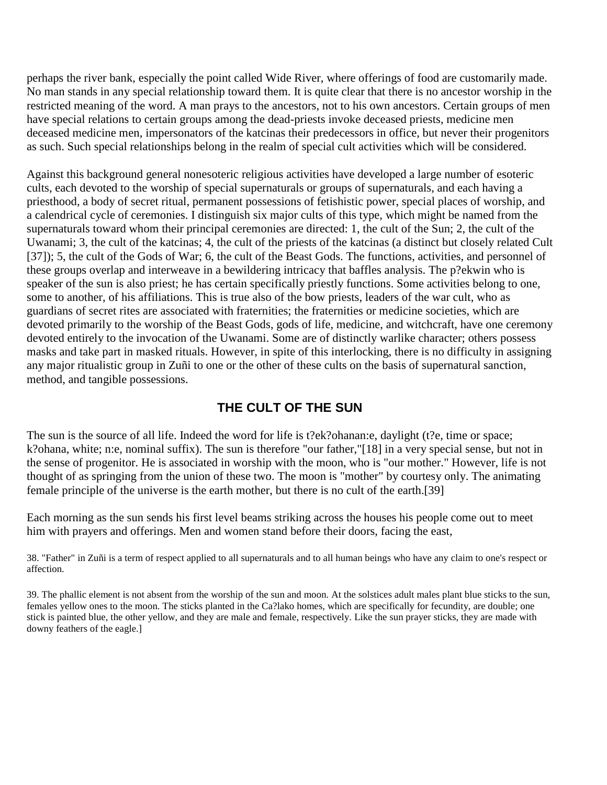perhaps the river bank, especially the point called Wide River, where offerings of food are customarily made. No man stands in any special relationship toward them. It is quite clear that there is no ancestor worship in the restricted meaning of the word. A man prays to the ancestors, not to his own ancestors. Certain groups of men have special relations to certain groups among the dead-priests invoke deceased priests, medicine men deceased medicine men, impersonators of the katcinas their predecessors in office, but never their progenitors as such. Such special relationships belong in the realm of special cult activities which will be considered.

Against this background general nonesoteric religious activities have developed a large number of esoteric cults, each devoted to the worship of special supernaturals or groups of supernaturals, and each having a priesthood, a body of secret ritual, permanent possessions of fetishistic power, special places of worship, and a calendrical cycle of ceremonies. I distinguish six major cults of this type, which might be named from the supernaturals toward whom their principal ceremonies are directed: 1, the cult of the Sun; 2, the cult of the Uwanami; 3, the cult of the katcinas; 4, the cult of the priests of the katcinas (a distinct but closely related Cult [37]); 5, the cult of the Gods of War; 6, the cult of the Beast Gods. The functions, activities, and personnel of these groups overlap and interweave in a bewildering intricacy that baffles analysis. The p?ekwin who is speaker of the sun is also priest; he has certain specifically priestly functions. Some activities belong to one, some to another, of his affiliations. This is true also of the bow priests, leaders of the war cult, who as guardians of secret rites are associated with fraternities; the fraternities or medicine societies, which are devoted primarily to the worship of the Beast Gods, gods of life, medicine, and witchcraft, have one ceremony devoted entirely to the invocation of the Uwanami. Some are of distinctly warlike character; others possess masks and take part in masked rituals. However, in spite of this interlocking, there is no difficulty in assigning any major ritualistic group in Zuñi to one or the other of these cults on the basis of supernatural sanction, method, and tangible possessions.

#### **THE CULT OF THE SUN**

The sun is the source of all life. Indeed the word for life is t?ek?ohanan:e, daylight (t?e, time or space; k?ohana, white; n:e, nominal suffix). The sun is therefore "our father,"[18] in a very special sense, but not in the sense of progenitor. He is associated in worship with the moon, who is "our mother." However, life is not thought of as springing from the union of these two. The moon is "mother" by courtesy only. The animating female principle of the universe is the earth mother, but there is no cult of the earth.[39]

Each morning as the sun sends his first level beams striking across the houses his people come out to meet him with prayers and offerings. Men and women stand before their doors, facing the east,

38. "Father" in Zuñi is a term of respect applied to all supernaturals and to all human beings who have any claim to one's respect or affection.

39. The phallic element is not absent from the worship of the sun and moon. At the solstices adult males plant blue sticks to the sun, females yellow ones to the moon. The sticks planted in the Ca?lako homes, which are specifically for fecundity, are double; one stick is painted blue, the other yellow, and they are male and female, respectively. Like the sun prayer sticks, they are made with downy feathers of the eagle.]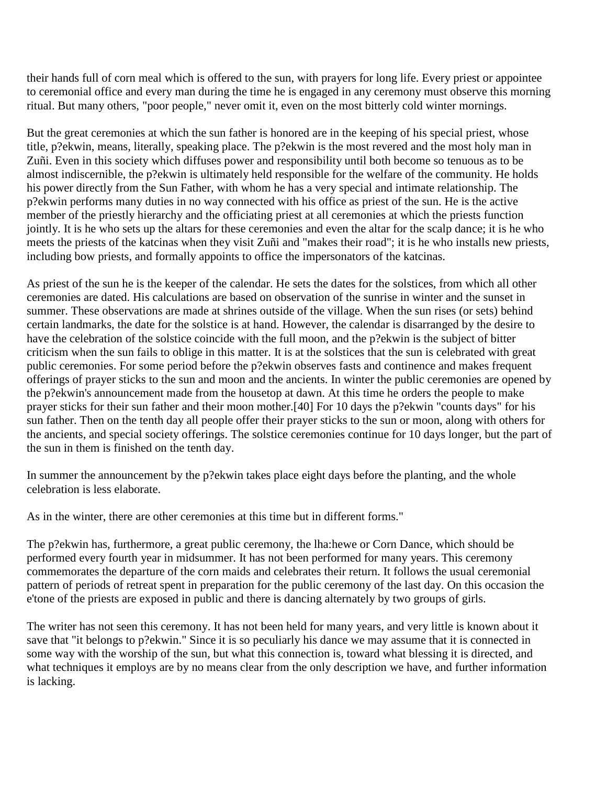their hands full of corn meal which is offered to the sun, with prayers for long life. Every priest or appointee to ceremonial office and every man during the time he is engaged in any ceremony must observe this morning ritual. But many others, "poor people," never omit it, even on the most bitterly cold winter mornings.

But the great ceremonies at which the sun father is honored are in the keeping of his special priest, whose title, p?ekwin, means, literally, speaking place. The p?ekwin is the most revered and the most holy man in Zuñi. Even in this society which diffuses power and responsibility until both become so tenuous as to be almost indiscernible, the p?ekwin is ultimately held responsible for the welfare of the community. He holds his power directly from the Sun Father, with whom he has a very special and intimate relationship. The p?ekwin performs many duties in no way connected with his office as priest of the sun. He is the active member of the priestly hierarchy and the officiating priest at all ceremonies at which the priests function jointly. It is he who sets up the altars for these ceremonies and even the altar for the scalp dance; it is he who meets the priests of the katcinas when they visit Zuñi and "makes their road"; it is he who installs new priests, including bow priests, and formally appoints to office the impersonators of the katcinas.

As priest of the sun he is the keeper of the calendar. He sets the dates for the solstices, from which all other ceremonies are dated. His calculations are based on observation of the sunrise in winter and the sunset in summer. These observations are made at shrines outside of the village. When the sun rises (or sets) behind certain landmarks, the date for the solstice is at hand. However, the calendar is disarranged by the desire to have the celebration of the solstice coincide with the full moon, and the p?ekwin is the subject of bitter criticism when the sun fails to oblige in this matter. It is at the solstices that the sun is celebrated with great public ceremonies. For some period before the p?ekwin observes fasts and continence and makes frequent offerings of prayer sticks to the sun and moon and the ancients. In winter the public ceremonies are opened by the p?ekwin's announcement made from the housetop at dawn. At this time he orders the people to make prayer sticks for their sun father and their moon mother.[40] For 10 days the p?ekwin "counts days" for his sun father. Then on the tenth day all people offer their prayer sticks to the sun or moon, along with others for the ancients, and special society offerings. The solstice ceremonies continue for 10 days longer, but the part of the sun in them is finished on the tenth day.

In summer the announcement by the p?ekwin takes place eight days before the planting, and the whole celebration is less elaborate.

As in the winter, there are other ceremonies at this time but in different forms."

The p?ekwin has, furthermore, a great public ceremony, the lha:hewe or Corn Dance, which should be performed every fourth year in midsummer. It has not been performed for many years. This ceremony commemorates the departure of the corn maids and celebrates their return. It follows the usual ceremonial pattern of periods of retreat spent in preparation for the public ceremony of the last day. On this occasion the e'tone of the priests are exposed in public and there is dancing alternately by two groups of girls.

The writer has not seen this ceremony. It has not been held for many years, and very little is known about it save that "it belongs to p?ekwin." Since it is so peculiarly his dance we may assume that it is connected in some way with the worship of the sun, but what this connection is, toward what blessing it is directed, and what techniques it employs are by no means clear from the only description we have, and further information is lacking.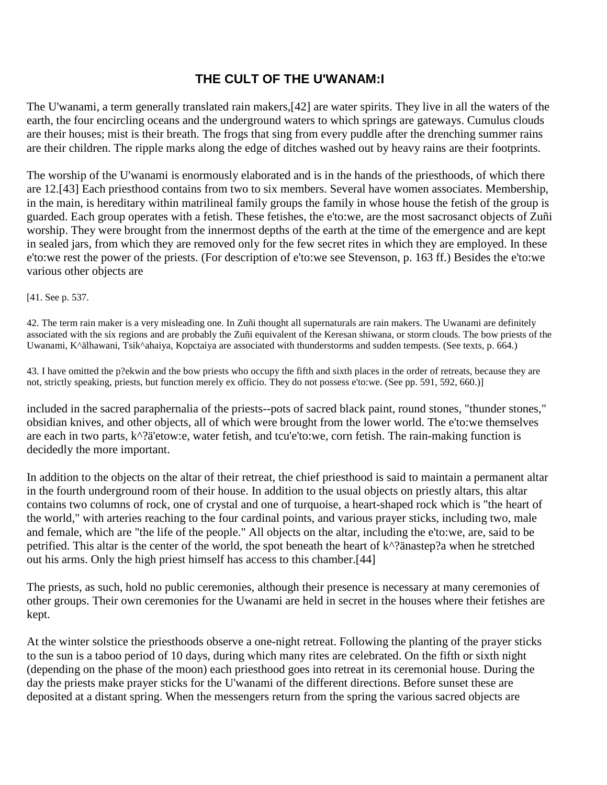#### **THE CULT OF THE U'WANAM:I**

The U'wanami, a term generally translated rain makers,[42] are water spirits. They live in all the waters of the earth, the four encircling oceans and the underground waters to which springs are gateways. Cumulus clouds are their houses; mist is their breath. The frogs that sing from every puddle after the drenching summer rains are their children. The ripple marks along the edge of ditches washed out by heavy rains are their footprints.

The worship of the U'wanami is enormously elaborated and is in the hands of the priesthoods, of which there are 12.[43] Each priesthood contains from two to six members. Several have women associates. Membership, in the main, is hereditary within matrilineal family groups the family in whose house the fetish of the group is guarded. Each group operates with a fetish. These fetishes, the e'to:we, are the most sacrosanct objects of Zuñi worship. They were brought from the innermost depths of the earth at the time of the emergence and are kept in sealed jars, from which they are removed only for the few secret rites in which they are employed. In these e'to:we rest the power of the priests. (For description of e'to:we see Stevenson, p. 163 ff.) Besides the e'to:we various other objects are

[41. See p. 537.

42. The term rain maker is a very misleading one. In Zuñi thought all supernaturals are rain makers. The Uwanami are definitely associated with the six regions and are probably the Zuñi equivalent of the Keresan shiwana, or storm clouds. The bow priests of the Uwanami, K^älhawani, Tsik^ahaiya, Kopctaiya are associated with thunderstorms and sudden tempests. (See texts, p. 664.)

43. I have omitted the p?ekwin and the bow priests who occupy the fifth and sixth places in the order of retreats, because they are not, strictly speaking, priests, but function merely ex officio. They do not possess e'to:we. (See pp. 591, 592, 660.)]

included in the sacred paraphernalia of the priests--pots of sacred black paint, round stones, "thunder stones," obsidian knives, and other objects, all of which were brought from the lower world. The e'to:we themselves are each in two parts, k^?ä'etow:e, water fetish, and tcu'e'to:we, corn fetish. The rain-making function is decidedly the more important.

In addition to the objects on the altar of their retreat, the chief priesthood is said to maintain a permanent altar in the fourth underground room of their house. In addition to the usual objects on priestly altars, this altar contains two columns of rock, one of crystal and one of turquoise, a heart-shaped rock which is "the heart of the world," with arteries reaching to the four cardinal points, and various prayer sticks, including two, male and female, which are "the life of the people." All objects on the altar, including the e'to:we, are, said to be petrified. This altar is the center of the world, the spot beneath the heart of k^?änastep?a when he stretched out his arms. Only the high priest himself has access to this chamber.[44]

The priests, as such, hold no public ceremonies, although their presence is necessary at many ceremonies of other groups. Their own ceremonies for the Uwanami are held in secret in the houses where their fetishes are kept.

At the winter solstice the priesthoods observe a one-night retreat. Following the planting of the prayer sticks to the sun is a taboo period of 10 days, during which many rites are celebrated. On the fifth or sixth night (depending on the phase of the moon) each priesthood goes into retreat in its ceremonial house. During the day the priests make prayer sticks for the U'wanami of the different directions. Before sunset these are deposited at a distant spring. When the messengers return from the spring the various sacred objects are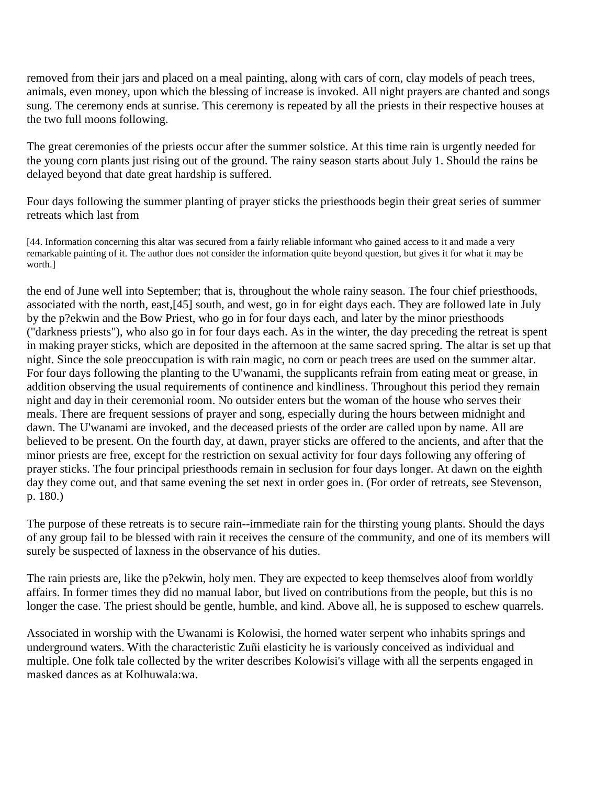removed from their jars and placed on a meal painting, along with cars of corn, clay models of peach trees, animals, even money, upon which the blessing of increase is invoked. All night prayers are chanted and songs sung. The ceremony ends at sunrise. This ceremony is repeated by all the priests in their respective houses at the two full moons following.

The great ceremonies of the priests occur after the summer solstice. At this time rain is urgently needed for the young corn plants just rising out of the ground. The rainy season starts about July 1. Should the rains be delayed beyond that date great hardship is suffered.

Four days following the summer planting of prayer sticks the priesthoods begin their great series of summer retreats which last from

[44. Information concerning this altar was secured from a fairly reliable informant who gained access to it and made a very remarkable painting of it. The author does not consider the information quite beyond question, but gives it for what it may be worth.]

the end of June well into September; that is, throughout the whole rainy season. The four chief priesthoods, associated with the north, east,[45] south, and west, go in for eight days each. They are followed late in July by the p?ekwin and the Bow Priest, who go in for four days each, and later by the minor priesthoods ("darkness priests"), who also go in for four days each. As in the winter, the day preceding the retreat is spent in making prayer sticks, which are deposited in the afternoon at the same sacred spring. The altar is set up that night. Since the sole preoccupation is with rain magic, no corn or peach trees are used on the summer altar. For four days following the planting to the U'wanami, the supplicants refrain from eating meat or grease, in addition observing the usual requirements of continence and kindliness. Throughout this period they remain night and day in their ceremonial room. No outsider enters but the woman of the house who serves their meals. There are frequent sessions of prayer and song, especially during the hours between midnight and dawn. The U'wanami are invoked, and the deceased priests of the order are called upon by name. All are believed to be present. On the fourth day, at dawn, prayer sticks are offered to the ancients, and after that the minor priests are free, except for the restriction on sexual activity for four days following any offering of prayer sticks. The four principal priesthoods remain in seclusion for four days longer. At dawn on the eighth day they come out, and that same evening the set next in order goes in. (For order of retreats, see Stevenson, p. 180.)

The purpose of these retreats is to secure rain--immediate rain for the thirsting young plants. Should the days of any group fail to be blessed with rain it receives the censure of the community, and one of its members will surely be suspected of laxness in the observance of his duties.

The rain priests are, like the p?ekwin, holy men. They are expected to keep themselves aloof from worldly affairs. In former times they did no manual labor, but lived on contributions from the people, but this is no longer the case. The priest should be gentle, humble, and kind. Above all, he is supposed to eschew quarrels.

Associated in worship with the Uwanami is Kolowisi, the horned water serpent who inhabits springs and underground waters. With the characteristic Zuñi elasticity he is variously conceived as individual and multiple. One folk tale collected by the writer describes Kolowisi's village with all the serpents engaged in masked dances as at Kolhuwala:wa.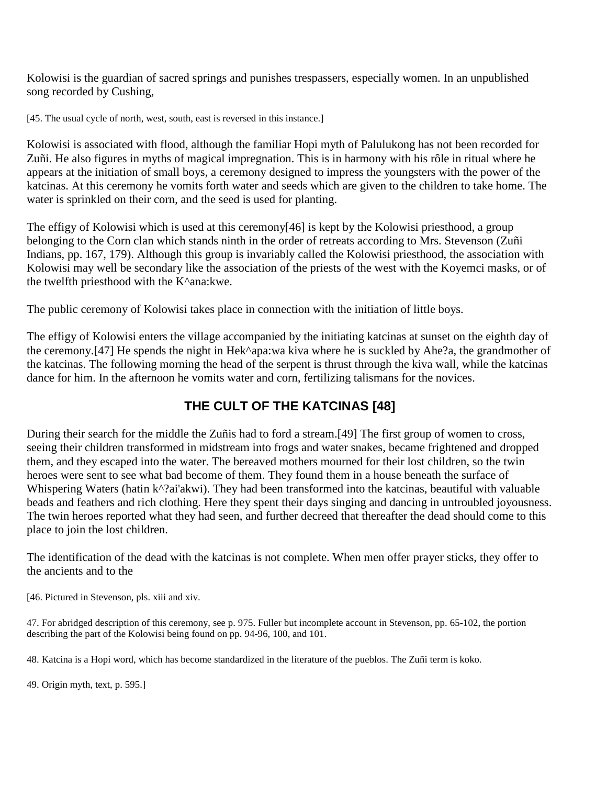Kolowisi is the guardian of sacred springs and punishes trespassers, especially women. In an unpublished song recorded by Cushing,

[45. The usual cycle of north, west, south, east is reversed in this instance.]

Kolowisi is associated with flood, although the familiar Hopi myth of Palulukong has not been recorded for Zuñi. He also figures in myths of magical impregnation. This is in harmony with his rôle in ritual where he appears at the initiation of small boys, a ceremony designed to impress the youngsters with the power of the katcinas. At this ceremony he vomits forth water and seeds which are given to the children to take home. The water is sprinkled on their corn, and the seed is used for planting.

The effigy of Kolowisi which is used at this ceremony[46] is kept by the Kolowisi priesthood, a group belonging to the Corn clan which stands ninth in the order of retreats according to Mrs. Stevenson (Zuñi Indians, pp. 167, 179). Although this group is invariably called the Kolowisi priesthood, the association with Kolowisi may well be secondary like the association of the priests of the west with the Koyemci masks, or of the twelfth priesthood with the K^ana:kwe.

The public ceremony of Kolowisi takes place in connection with the initiation of little boys.

The effigy of Kolowisi enters the village accompanied by the initiating katcinas at sunset on the eighth day of the ceremony.[47] He spends the night in Hek^apa:wa kiva where he is suckled by Ahe?a, the grandmother of the katcinas. The following morning the head of the serpent is thrust through the kiva wall, while the katcinas dance for him. In the afternoon he vomits water and corn, fertilizing talismans for the novices.

### **THE CULT OF THE KATCINAS [48]**

During their search for the middle the Zuñis had to ford a stream.[49] The first group of women to cross, seeing their children transformed in midstream into frogs and water snakes, became frightened and dropped them, and they escaped into the water. The bereaved mothers mourned for their lost children, so the twin heroes were sent to see what bad become of them. They found them in a house beneath the surface of Whispering Waters (hatin k^?ai'akwi). They had been transformed into the katcinas, beautiful with valuable beads and feathers and rich clothing. Here they spent their days singing and dancing in untroubled joyousness. The twin heroes reported what they had seen, and further decreed that thereafter the dead should come to this place to join the lost children.

The identification of the dead with the katcinas is not complete. When men offer prayer sticks, they offer to the ancients and to the

[46. Pictured in Stevenson, pls. xiii and xiv.

47. For abridged description of this ceremony, see p. 975. Fuller but incomplete account in Stevenson, pp. 65-102, the portion describing the part of the Kolowisi being found on pp. 94-96, 100, and 101.

48. Katcina is a Hopi word, which has become standardized in the literature of the pueblos. The Zuñi term is koko.

49. Origin myth, text, p. 595.]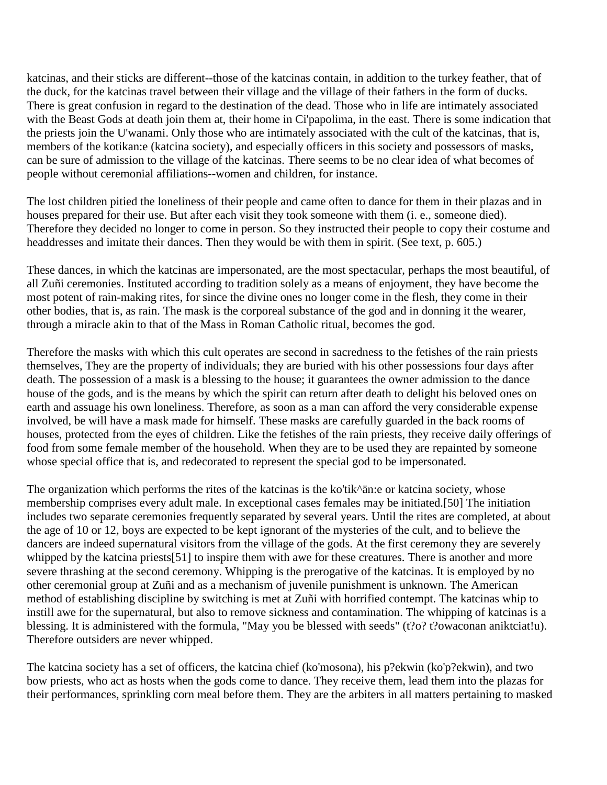katcinas, and their sticks are different--those of the katcinas contain, in addition to the turkey feather, that of the duck, for the katcinas travel between their village and the village of their fathers in the form of ducks. There is great confusion in regard to the destination of the dead. Those who in life are intimately associated with the Beast Gods at death join them at, their home in Ci'papolima, in the east. There is some indication that the priests join the U'wanami. Only those who are intimately associated with the cult of the katcinas, that is, members of the kotikan:e (katcina society), and especially officers in this society and possessors of masks, can be sure of admission to the village of the katcinas. There seems to be no clear idea of what becomes of people without ceremonial affiliations--women and children, for instance.

The lost children pitied the loneliness of their people and came often to dance for them in their plazas and in houses prepared for their use. But after each visit they took someone with them (i. e., someone died). Therefore they decided no longer to come in person. So they instructed their people to copy their costume and headdresses and imitate their dances. Then they would be with them in spirit. (See text, p. 605.)

These dances, in which the katcinas are impersonated, are the most spectacular, perhaps the most beautiful, of all Zuñi ceremonies. Instituted according to tradition solely as a means of enjoyment, they have become the most potent of rain-making rites, for since the divine ones no longer come in the flesh, they come in their other bodies, that is, as rain. The mask is the corporeal substance of the god and in donning it the wearer, through a miracle akin to that of the Mass in Roman Catholic ritual, becomes the god.

Therefore the masks with which this cult operates are second in sacredness to the fetishes of the rain priests themselves, They are the property of individuals; they are buried with his other possessions four days after death. The possession of a mask is a blessing to the house; it guarantees the owner admission to the dance house of the gods, and is the means by which the spirit can return after death to delight his beloved ones on earth and assuage his own loneliness. Therefore, as soon as a man can afford the very considerable expense involved, be will have a mask made for himself. These masks are carefully guarded in the back rooms of houses, protected from the eyes of children. Like the fetishes of the rain priests, they receive daily offerings of food from some female member of the household. When they are to be used they are repainted by someone whose special office that is, and redecorated to represent the special god to be impersonated.

The organization which performs the rites of the katcinas is the ko'tik^än:e or katcina society, whose membership comprises every adult male. In exceptional cases females may be initiated.[50] The initiation includes two separate ceremonies frequently separated by several years. Until the rites are completed, at about the age of 10 or 12, boys are expected to be kept ignorant of the mysteries of the cult, and to believe the dancers are indeed supernatural visitors from the village of the gods. At the first ceremony they are severely whipped by the katcina priests[51] to inspire them with awe for these creatures. There is another and more severe thrashing at the second ceremony. Whipping is the prerogative of the katcinas. It is employed by no other ceremonial group at Zuñi and as a mechanism of juvenile punishment is unknown. The American method of establishing discipline by switching is met at Zuñi with horrified contempt. The katcinas whip to instill awe for the supernatural, but also to remove sickness and contamination. The whipping of katcinas is a blessing. It is administered with the formula, "May you be blessed with seeds" (t?o? t?owaconan aniktciat!u). Therefore outsiders are never whipped.

The katcina society has a set of officers, the katcina chief (ko'mosona), his p?ekwin (ko'p?ekwin), and two bow priests, who act as hosts when the gods come to dance. They receive them, lead them into the plazas for their performances, sprinkling corn meal before them. They are the arbiters in all matters pertaining to masked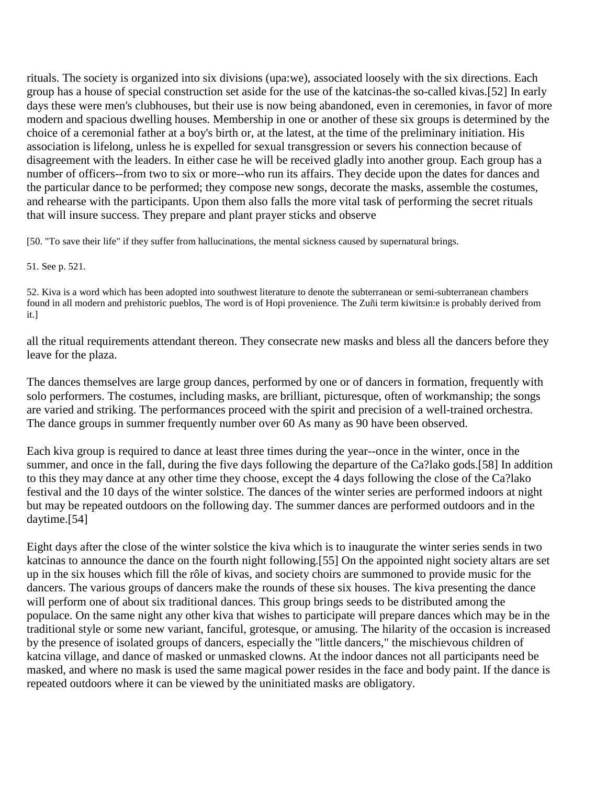rituals. The society is organized into six divisions (upa:we), associated loosely with the six directions. Each group has a house of special construction set aside for the use of the katcinas-the so-called kivas.[52] In early days these were men's clubhouses, but their use is now being abandoned, even in ceremonies, in favor of more modern and spacious dwelling houses. Membership in one or another of these six groups is determined by the choice of a ceremonial father at a boy's birth or, at the latest, at the time of the preliminary initiation. His association is lifelong, unless he is expelled for sexual transgression or severs his connection because of disagreement with the leaders. In either case he will be received gladly into another group. Each group has a number of officers--from two to six or more--who run its affairs. They decide upon the dates for dances and the particular dance to be performed; they compose new songs, decorate the masks, assemble the costumes, and rehearse with the participants. Upon them also falls the more vital task of performing the secret rituals that will insure success. They prepare and plant prayer sticks and observe

[50. "To save their life" if they suffer from hallucinations, the mental sickness caused by supernatural brings.

51. See p. 521.

52. Kiva is a word which has been adopted into southwest literature to denote the subterranean or semi-subterranean chambers found in all modern and prehistoric pueblos, The word is of Hopi provenience. The Zuñi term kiwitsin:e is probably derived from it.]

all the ritual requirements attendant thereon. They consecrate new masks and bless all the dancers before they leave for the plaza.

The dances themselves are large group dances, performed by one or of dancers in formation, frequently with solo performers. The costumes, including masks, are brilliant, picturesque, often of workmanship; the songs are varied and striking. The performances proceed with the spirit and precision of a well-trained orchestra. The dance groups in summer frequently number over 60 As many as 90 have been observed.

Each kiva group is required to dance at least three times during the year--once in the winter, once in the summer, and once in the fall, during the five days following the departure of the Ca?lako gods.[58] In addition to this they may dance at any other time they choose, except the 4 days following the close of the Ca?lako festival and the 10 days of the winter solstice. The dances of the winter series are performed indoors at night but may be repeated outdoors on the following day. The summer dances are performed outdoors and in the daytime.[54]

Eight days after the close of the winter solstice the kiva which is to inaugurate the winter series sends in two katcinas to announce the dance on the fourth night following.[55] On the appointed night society altars are set up in the six houses which fill the rôle of kivas, and society choirs are summoned to provide music for the dancers. The various groups of dancers make the rounds of these six houses. The kiva presenting the dance will perform one of about six traditional dances. This group brings seeds to be distributed among the populace. On the same night any other kiva that wishes to participate will prepare dances which may be in the traditional style or some new variant, fanciful, grotesque, or amusing. The hilarity of the occasion is increased by the presence of isolated groups of dancers, especially the "little dancers," the mischievous children of katcina village, and dance of masked or unmasked clowns. At the indoor dances not all participants need be masked, and where no mask is used the same magical power resides in the face and body paint. If the dance is repeated outdoors where it can be viewed by the uninitiated masks are obligatory.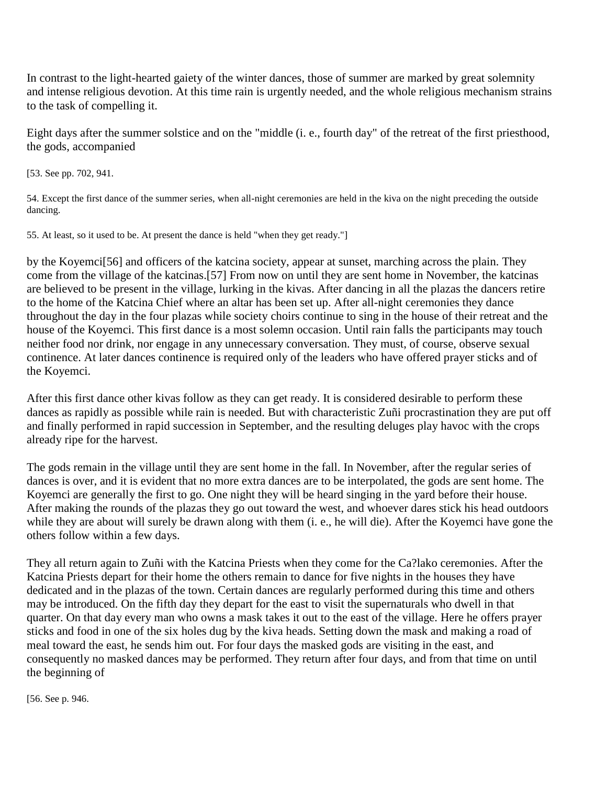In contrast to the light-hearted gaiety of the winter dances, those of summer are marked by great solemnity and intense religious devotion. At this time rain is urgently needed, and the whole religious mechanism strains to the task of compelling it.

Eight days after the summer solstice and on the "middle (i. e., fourth day" of the retreat of the first priesthood, the gods, accompanied

[53. See pp. 702, 941.

54. Except the first dance of the summer series, when all-night ceremonies are held in the kiva on the night preceding the outside dancing.

55. At least, so it used to be. At present the dance is held "when they get ready."]

by the Koyemci[56] and officers of the katcina society, appear at sunset, marching across the plain. They come from the village of the katcinas.[57] From now on until they are sent home in November, the katcinas are believed to be present in the village, lurking in the kivas. After dancing in all the plazas the dancers retire to the home of the Katcina Chief where an altar has been set up. After all-night ceremonies they dance throughout the day in the four plazas while society choirs continue to sing in the house of their retreat and the house of the Koyemci. This first dance is a most solemn occasion. Until rain falls the participants may touch neither food nor drink, nor engage in any unnecessary conversation. They must, of course, observe sexual continence. At later dances continence is required only of the leaders who have offered prayer sticks and of the Koyemci.

After this first dance other kivas follow as they can get ready. It is considered desirable to perform these dances as rapidly as possible while rain is needed. But with characteristic Zuñi procrastination they are put off and finally performed in rapid succession in September, and the resulting deluges play havoc with the crops already ripe for the harvest.

The gods remain in the village until they are sent home in the fall. In November, after the regular series of dances is over, and it is evident that no more extra dances are to be interpolated, the gods are sent home. The Koyemci are generally the first to go. One night they will be heard singing in the yard before their house. After making the rounds of the plazas they go out toward the west, and whoever dares stick his head outdoors while they are about will surely be drawn along with them (i. e., he will die). After the Koyemci have gone the others follow within a few days.

They all return again to Zuñi with the Katcina Priests when they come for the Ca?lako ceremonies. After the Katcina Priests depart for their home the others remain to dance for five nights in the houses they have dedicated and in the plazas of the town. Certain dances are regularly performed during this time and others may be introduced. On the fifth day they depart for the east to visit the supernaturals who dwell in that quarter. On that day every man who owns a mask takes it out to the east of the village. Here he offers prayer sticks and food in one of the six holes dug by the kiva heads. Setting down the mask and making a road of meal toward the east, he sends him out. For four days the masked gods are visiting in the east, and consequently no masked dances may be performed. They return after four days, and from that time on until the beginning of

[56. See p. 946.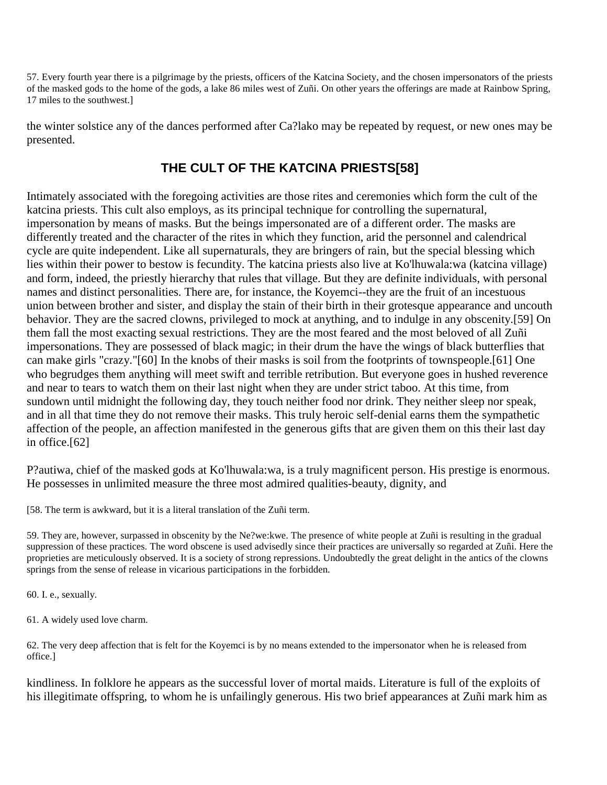57. Every fourth year there is a pilgrimage by the priests, officers of the Katcina Society, and the chosen impersonators of the priests of the masked gods to the home of the gods, a lake 86 miles west of Zuñi. On other years the offerings are made at Rainbow Spring, 17 miles to the southwest.]

the winter solstice any of the dances performed after Ca?lako may be repeated by request, or new ones may be presented.

### **THE CULT OF THE KATCINA PRIESTS[58]**

Intimately associated with the foregoing activities are those rites and ceremonies which form the cult of the katcina priests. This cult also employs, as its principal technique for controlling the supernatural, impersonation by means of masks. But the beings impersonated are of a different order. The masks are differently treated and the character of the rites in which they function, arid the personnel and calendrical cycle are quite independent. Like all supernaturals, they are bringers of rain, but the special blessing which lies within their power to bestow is fecundity. The katcina priests also live at Ko'lhuwala:wa (katcina village) and form, indeed, the priestly hierarchy that rules that village. But they are definite individuals, with personal names and distinct personalities. There are, for instance, the Koyemci--they are the fruit of an incestuous union between brother and sister, and display the stain of their birth in their grotesque appearance and uncouth behavior. They are the sacred clowns, privileged to mock at anything, and to indulge in any obscenity.[59] On them fall the most exacting sexual restrictions. They are the most feared and the most beloved of all Zuñi impersonations. They are possessed of black magic; in their drum the have the wings of black butterflies that can make girls "crazy."[60] In the knobs of their masks is soil from the footprints of townspeople.[61] One who begrudges them anything will meet swift and terrible retribution. But everyone goes in hushed reverence and near to tears to watch them on their last night when they are under strict taboo. At this time, from sundown until midnight the following day, they touch neither food nor drink. They neither sleep nor speak, and in all that time they do not remove their masks. This truly heroic self-denial earns them the sympathetic affection of the people, an affection manifested in the generous gifts that are given them on this their last day in office.[62]

P?autiwa, chief of the masked gods at Ko'lhuwala:wa, is a truly magnificent person. His prestige is enormous. He possesses in unlimited measure the three most admired qualities-beauty, dignity, and

[58. The term is awkward, but it is a literal translation of the Zuñi term.

59. They are, however, surpassed in obscenity by the Ne?we:kwe. The presence of white people at Zuñi is resulting in the gradual suppression of these practices. The word obscene is used advisedly since their practices are universally so regarded at Zuñi. Here the proprieties are meticulously observed. It is a society of strong repressions. Undoubtedly the great delight in the antics of the clowns springs from the sense of release in vicarious participations in the forbidden.

60. I. e., sexually.

61. A widely used love charm.

62. The very deep affection that is felt for the Koyemci is by no means extended to the impersonator when he is released from office.]

kindliness. In folklore he appears as the successful lover of mortal maids. Literature is full of the exploits of his illegitimate offspring, to whom he is unfailingly generous. His two brief appearances at Zuñi mark him as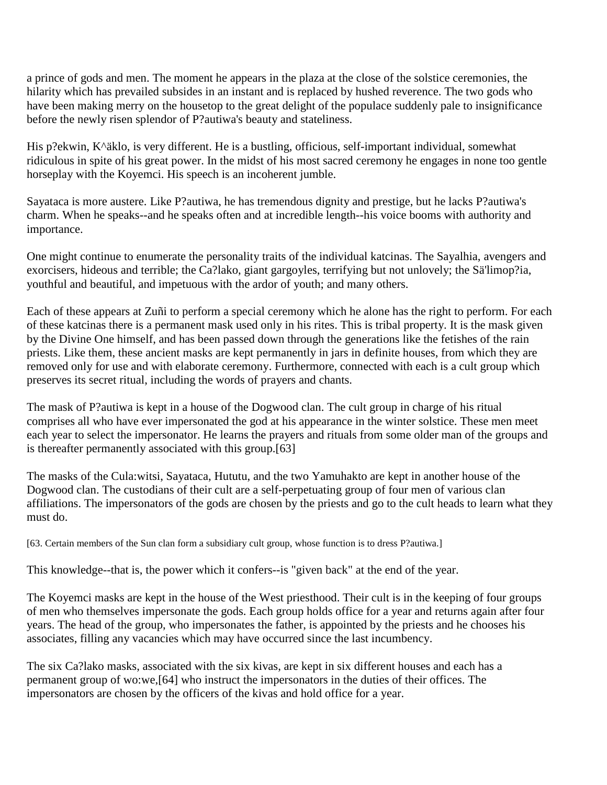a prince of gods and men. The moment he appears in the plaza at the close of the solstice ceremonies, the hilarity which has prevailed subsides in an instant and is replaced by hushed reverence. The two gods who have been making merry on the housetop to the great delight of the populace suddenly pale to insignificance before the newly risen splendor of P?autiwa's beauty and stateliness.

His p?ekwin, K^äklo, is very different. He is a bustling, officious, self-important individual, somewhat ridiculous in spite of his great power. In the midst of his most sacred ceremony he engages in none too gentle horseplay with the Koyemci. His speech is an incoherent jumble.

Sayataca is more austere. Like P?autiwa, he has tremendous dignity and prestige, but he lacks P?autiwa's charm. When he speaks--and he speaks often and at incredible length--his voice booms with authority and importance.

One might continue to enumerate the personality traits of the individual katcinas. The Sayalhia, avengers and exorcisers, hideous and terrible; the Ca?lako, giant gargoyles, terrifying but not unlovely; the Sä'limop?ia, youthful and beautiful, and impetuous with the ardor of youth; and many others.

Each of these appears at Zuñi to perform a special ceremony which he alone has the right to perform. For each of these katcinas there is a permanent mask used only in his rites. This is tribal property. It is the mask given by the Divine One himself, and has been passed down through the generations like the fetishes of the rain priests. Like them, these ancient masks are kept permanently in jars in definite houses, from which they are removed only for use and with elaborate ceremony. Furthermore, connected with each is a cult group which preserves its secret ritual, including the words of prayers and chants.

The mask of P?autiwa is kept in a house of the Dogwood clan. The cult group in charge of his ritual comprises all who have ever impersonated the god at his appearance in the winter solstice. These men meet each year to select the impersonator. He learns the prayers and rituals from some older man of the groups and is thereafter permanently associated with this group.[63]

The masks of the Cula:witsi, Sayataca, Hututu, and the two Yamuhakto are kept in another house of the Dogwood clan. The custodians of their cult are a self-perpetuating group of four men of various clan affiliations. The impersonators of the gods are chosen by the priests and go to the cult heads to learn what they must do.

[63. Certain members of the Sun clan form a subsidiary cult group, whose function is to dress P?autiwa.]

This knowledge--that is, the power which it confers--is "given back" at the end of the year.

The Koyemci masks are kept in the house of the West priesthood. Their cult is in the keeping of four groups of men who themselves impersonate the gods. Each group holds office for a year and returns again after four years. The head of the group, who impersonates the father, is appointed by the priests and he chooses his associates, filling any vacancies which may have occurred since the last incumbency.

The six Ca?lako masks, associated with the six kivas, are kept in six different houses and each has a permanent group of wo:we,[64] who instruct the impersonators in the duties of their offices. The impersonators are chosen by the officers of the kivas and hold office for a year.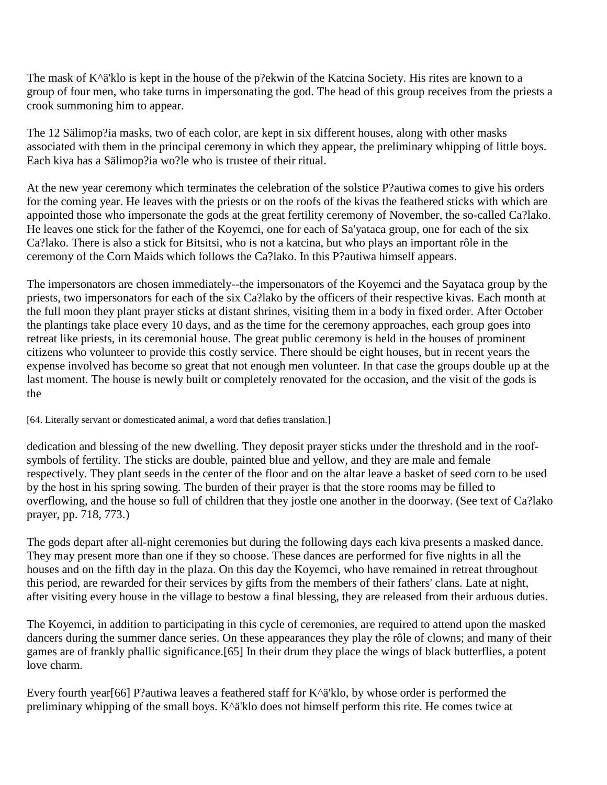The mask of K^ä'klo is kept in the house of the p?ekwin of the Katcina Society. His rites are known to a group of four men, who take turns in impersonating the god. The head of this group receives from the priests a crook summoning him to appear.

The 12 Sälimop?ia masks, two of each color, are kept in six different houses, along with other masks associated with them in the principal ceremony in which they appear, the preliminary whipping of little boys. Each kiva has a Sälimop?ia wo?le who is trustee of their ritual.

At the new year ceremony which terminates the celebration of the solstice P?autiwa comes to give his orders for the coming year. He leaves with the priests or on the roofs of the kivas the feathered sticks with which are appointed those who impersonate the gods at the great fertility ceremony of November, the so-called Ca?lako. He leaves one stick for the father of the Koyemci, one for each of Sa'yataca group, one for each of the six Ca?lako. There is also a stick for Bitsitsi, who is not a katcina, but who plays an important rôle in the ceremony of the Corn Maids which follows the Ca?lako. In this P?autiwa himself appears.

The impersonators are chosen immediately--the impersonators of the Koyemci and the Sayataca group by the priests, two impersonators for each of the six Ca?lako by the officers of their respective kivas. Each month at the full moon they plant prayer sticks at distant shrines, visiting them in a body in fixed order. After October the plantings take place every 10 days, and as the time for the ceremony approaches, each group goes into retreat like priests, in its ceremonial house. The great public ceremony is held in the houses of prominent citizens who volunteer to provide this costly service. There should be eight houses, but in recent years the expense involved has become so great that not enough men volunteer. In that case the groups double up at the last moment. The house is newly built or completely renovated for the occasion, and the visit of the gods is the

#### [64. Literally servant or domesticated animal, a word that defies translation.]

dedication and blessing of the new dwelling. They deposit prayer sticks under the threshold and in the roofsymbols of fertility. The sticks are double, painted blue and yellow, and they are male and female respectively. They plant seeds in the center of the floor and on the altar leave a basket of seed corn to be used by the host in his spring sowing. The burden of their prayer is that the store rooms may be filled to overflowing, and the house so full of children that they jostle one another in the doorway. (See text of Ca?lako prayer, pp. 718, 773.)

The gods depart after all-night ceremonies but during the following days each kiva presents a masked dance. They may present more than one if they so choose. These dances are performed for five nights in all the houses and on the fifth day in the plaza. On this day the Koyemci, who have remained in retreat throughout this period, are rewarded for their services by gifts from the members of their fathers' clans. Late at night, after visiting every house in the village to bestow a final blessing, they are released from their arduous duties.

The Koyemci, in addition to participating in this cycle of ceremonies, are required to attend upon the masked dancers during the summer dance series. On these appearances they play the rôle of clowns; and many of their games are of frankly phallic significance.[65] In their drum they place the wings of black butterflies, a potent love charm.

Every fourth year[66] P?autiwa leaves a feathered staff for K^ä'klo, by whose order is performed the preliminary whipping of the small boys. K^ä'klo does not himself perform this rite. He comes twice at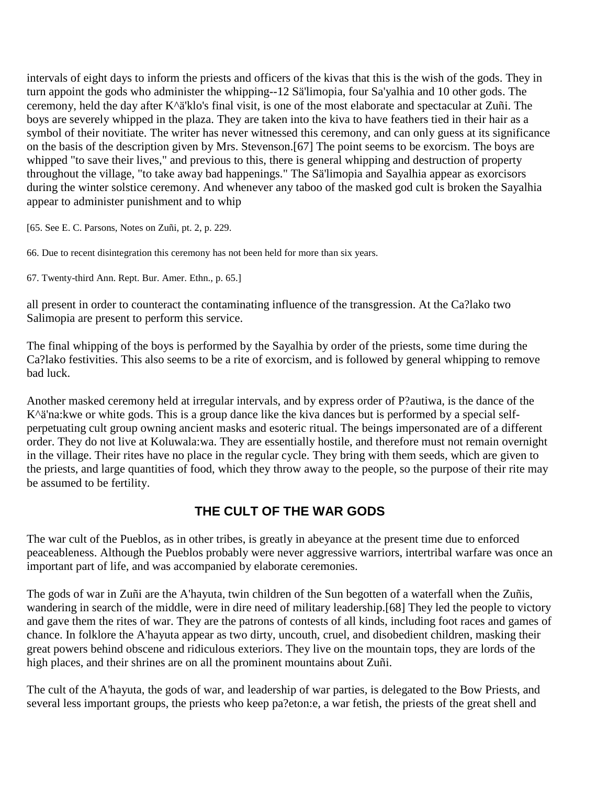intervals of eight days to inform the priests and officers of the kivas that this is the wish of the gods. They in turn appoint the gods who administer the whipping--12 Sä'limopia, four Sa'yalhia and 10 other gods. The ceremony, held the day after K^ä'klo's final visit, is one of the most elaborate and spectacular at Zuñi. The boys are severely whipped in the plaza. They are taken into the kiva to have feathers tied in their hair as a symbol of their novitiate. The writer has never witnessed this ceremony, and can only guess at its significance on the basis of the description given by Mrs. Stevenson.[67] The point seems to be exorcism. The boys are whipped "to save their lives," and previous to this, there is general whipping and destruction of property throughout the village, "to take away bad happenings." The Sä'limopia and Sayalhia appear as exorcisors during the winter solstice ceremony. And whenever any taboo of the masked god cult is broken the Sayalhia appear to administer punishment and to whip

[65. See E. C. Parsons, Notes on Zuñi, pt. 2, p. 229.

66. Due to recent disintegration this ceremony has not been held for more than six years.

67. Twenty-third Ann. Rept. Bur. Amer. Ethn., p. 65.]

all present in order to counteract the contaminating influence of the transgression. At the Ca?lako two Salimopia are present to perform this service.

The final whipping of the boys is performed by the Sayalhia by order of the priests, some time during the Ca?lako festivities. This also seems to be a rite of exorcism, and is followed by general whipping to remove bad luck.

Another masked ceremony held at irregular intervals, and by express order of P?autiwa, is the dance of the K^ä'na:kwe or white gods. This is a group dance like the kiva dances but is performed by a special selfperpetuating cult group owning ancient masks and esoteric ritual. The beings impersonated are of a different order. They do not live at Koluwala:wa. They are essentially hostile, and therefore must not remain overnight in the village. Their rites have no place in the regular cycle. They bring with them seeds, which are given to the priests, and large quantities of food, which they throw away to the people, so the purpose of their rite may be assumed to be fertility.

### **THE CULT OF THE WAR GODS**

The war cult of the Pueblos, as in other tribes, is greatly in abeyance at the present time due to enforced peaceableness. Although the Pueblos probably were never aggressive warriors, intertribal warfare was once an important part of life, and was accompanied by elaborate ceremonies.

The gods of war in Zuñi are the A'hayuta, twin children of the Sun begotten of a waterfall when the Zuñis, wandering in search of the middle, were in dire need of military leadership.[68] They led the people to victory and gave them the rites of war. They are the patrons of contests of all kinds, including foot races and games of chance. In folklore the A'hayuta appear as two dirty, uncouth, cruel, and disobedient children, masking their great powers behind obscene and ridiculous exteriors. They live on the mountain tops, they are lords of the high places, and their shrines are on all the prominent mountains about Zuñi.

The cult of the A'hayuta, the gods of war, and leadership of war parties, is delegated to the Bow Priests, and several less important groups, the priests who keep pa?eton:e, a war fetish, the priests of the great shell and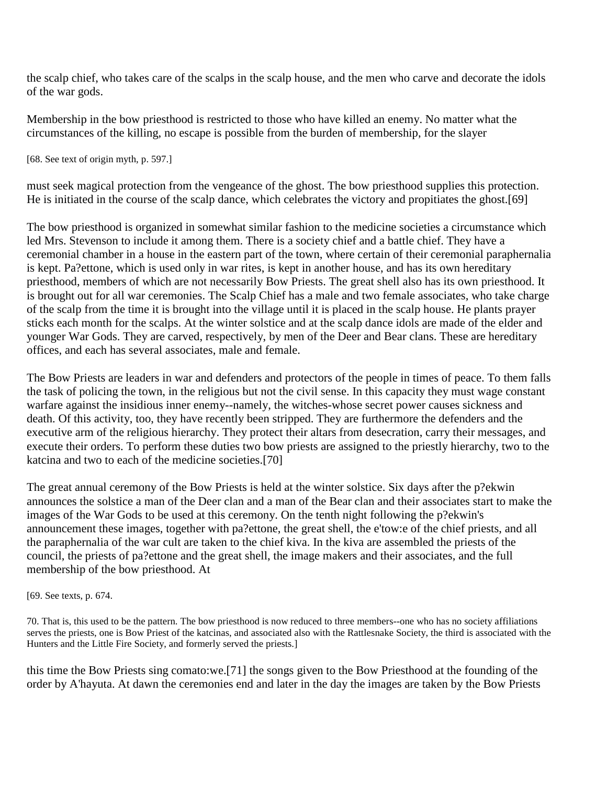the scalp chief, who takes care of the scalps in the scalp house, and the men who carve and decorate the idols of the war gods.

Membership in the bow priesthood is restricted to those who have killed an enemy. No matter what the circumstances of the killing, no escape is possible from the burden of membership, for the slayer

[68. See text of origin myth, p. 597.]

must seek magical protection from the vengeance of the ghost. The bow priesthood supplies this protection. He is initiated in the course of the scalp dance, which celebrates the victory and propitiates the ghost.[69]

The bow priesthood is organized in somewhat similar fashion to the medicine societies a circumstance which led Mrs. Stevenson to include it among them. There is a society chief and a battle chief. They have a ceremonial chamber in a house in the eastern part of the town, where certain of their ceremonial paraphernalia is kept. Pa?ettone, which is used only in war rites, is kept in another house, and has its own hereditary priesthood, members of which are not necessarily Bow Priests. The great shell also has its own priesthood. It is brought out for all war ceremonies. The Scalp Chief has a male and two female associates, who take charge of the scalp from the time it is brought into the village until it is placed in the scalp house. He plants prayer sticks each month for the scalps. At the winter solstice and at the scalp dance idols are made of the elder and younger War Gods. They are carved, respectively, by men of the Deer and Bear clans. These are hereditary offices, and each has several associates, male and female.

The Bow Priests are leaders in war and defenders and protectors of the people in times of peace. To them falls the task of policing the town, in the religious but not the civil sense. In this capacity they must wage constant warfare against the insidious inner enemy--namely, the witches-whose secret power causes sickness and death. Of this activity, too, they have recently been stripped. They are furthermore the defenders and the executive arm of the religious hierarchy. They protect their altars from desecration, carry their messages, and execute their orders. To perform these duties two bow priests are assigned to the priestly hierarchy, two to the katcina and two to each of the medicine societies.[70]

The great annual ceremony of the Bow Priests is held at the winter solstice. Six days after the p?ekwin announces the solstice a man of the Deer clan and a man of the Bear clan and their associates start to make the images of the War Gods to be used at this ceremony. On the tenth night following the p?ekwin's announcement these images, together with pa?ettone, the great shell, the e'tow:e of the chief priests, and all the paraphernalia of the war cult are taken to the chief kiva. In the kiva are assembled the priests of the council, the priests of pa?ettone and the great shell, the image makers and their associates, and the full membership of the bow priesthood. At

#### [69. See texts, p. 674.

70. That is, this used to be the pattern. The bow priesthood is now reduced to three members--one who has no society affiliations serves the priests, one is Bow Priest of the katcinas, and associated also with the Rattlesnake Society, the third is associated with the Hunters and the Little Fire Society, and formerly served the priests.]

this time the Bow Priests sing comato:we.[71] the songs given to the Bow Priesthood at the founding of the order by A'hayuta. At dawn the ceremonies end and later in the day the images are taken by the Bow Priests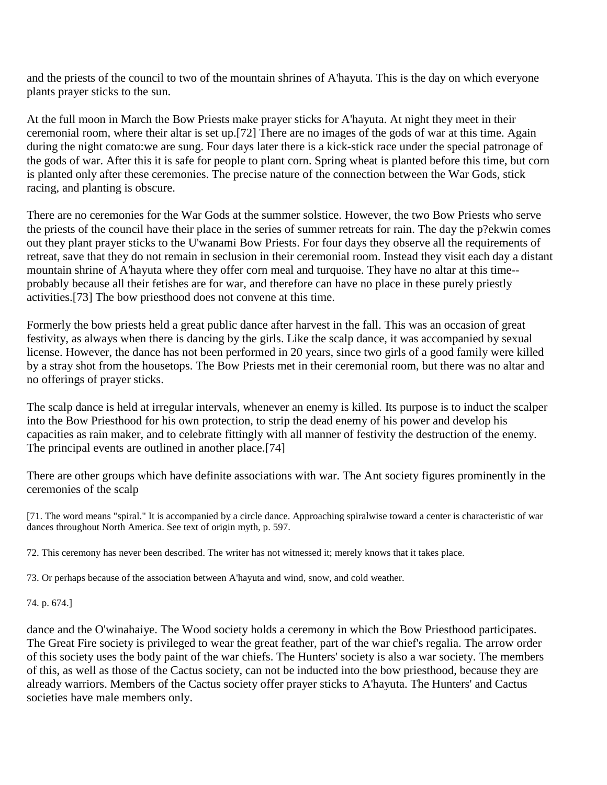and the priests of the council to two of the mountain shrines of A'hayuta. This is the day on which everyone plants prayer sticks to the sun.

At the full moon in March the Bow Priests make prayer sticks for A'hayuta. At night they meet in their ceremonial room, where their altar is set up.[72] There are no images of the gods of war at this time. Again during the night comato:we are sung. Four days later there is a kick-stick race under the special patronage of the gods of war. After this it is safe for people to plant corn. Spring wheat is planted before this time, but corn is planted only after these ceremonies. The precise nature of the connection between the War Gods, stick racing, and planting is obscure.

There are no ceremonies for the War Gods at the summer solstice. However, the two Bow Priests who serve the priests of the council have their place in the series of summer retreats for rain. The day the p?ekwin comes out they plant prayer sticks to the U'wanami Bow Priests. For four days they observe all the requirements of retreat, save that they do not remain in seclusion in their ceremonial room. Instead they visit each day a distant mountain shrine of A'hayuta where they offer corn meal and turquoise. They have no altar at this time- probably because all their fetishes are for war, and therefore can have no place in these purely priestly activities.[73] The bow priesthood does not convene at this time.

Formerly the bow priests held a great public dance after harvest in the fall. This was an occasion of great festivity, as always when there is dancing by the girls. Like the scalp dance, it was accompanied by sexual license. However, the dance has not been performed in 20 years, since two girls of a good family were killed by a stray shot from the housetops. The Bow Priests met in their ceremonial room, but there was no altar and no offerings of prayer sticks.

The scalp dance is held at irregular intervals, whenever an enemy is killed. Its purpose is to induct the scalper into the Bow Priesthood for his own protection, to strip the dead enemy of his power and develop his capacities as rain maker, and to celebrate fittingly with all manner of festivity the destruction of the enemy. The principal events are outlined in another place.<sup>[74]</sup>

There are other groups which have definite associations with war. The Ant society figures prominently in the ceremonies of the scalp

[71. The word means "spiral." It is accompanied by a circle dance. Approaching spiralwise toward a center is characteristic of war dances throughout North America. See text of origin myth, p. 597.

72. This ceremony has never been described. The writer has not witnessed it; merely knows that it takes place.

73. Or perhaps because of the association between A'hayuta and wind, snow, and cold weather.

74. p. 674.]

dance and the O'winahaiye. The Wood society holds a ceremony in which the Bow Priesthood participates. The Great Fire society is privileged to wear the great feather, part of the war chief's regalia. The arrow order of this society uses the body paint of the war chiefs. The Hunters' society is also a war society. The members of this, as well as those of the Cactus society, can not be inducted into the bow priesthood, because they are already warriors. Members of the Cactus society offer prayer sticks to A'hayuta. The Hunters' and Cactus societies have male members only.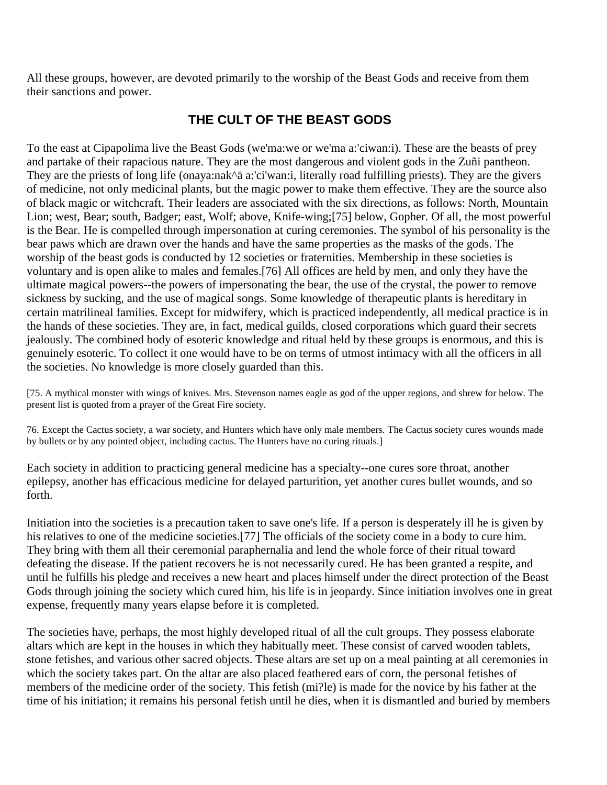All these groups, however, are devoted primarily to the worship of the Beast Gods and receive from them their sanctions and power.

#### **THE CULT OF THE BEAST GODS**

To the east at Cipapolima live the Beast Gods (we'ma:we or we'ma a:'ciwan:i). These are the beasts of prey and partake of their rapacious nature. They are the most dangerous and violent gods in the Zuñi pantheon. They are the priests of long life (onaya:nak^ä a:'ci'wan:i, literally road fulfilling priests). They are the givers of medicine, not only medicinal plants, but the magic power to make them effective. They are the source also of black magic or witchcraft. Their leaders are associated with the six directions, as follows: North, Mountain Lion; west, Bear; south, Badger; east, Wolf; above, Knife-wing;[75] below, Gopher. Of all, the most powerful is the Bear. He is compelled through impersonation at curing ceremonies. The symbol of his personality is the bear paws which are drawn over the hands and have the same properties as the masks of the gods. The worship of the beast gods is conducted by 12 societies or fraternities. Membership in these societies is voluntary and is open alike to males and females.[76] All offices are held by men, and only they have the ultimate magical powers--the powers of impersonating the bear, the use of the crystal, the power to remove sickness by sucking, and the use of magical songs. Some knowledge of therapeutic plants is hereditary in certain matrilineal families. Except for midwifery, which is practiced independently, all medical practice is in the hands of these societies. They are, in fact, medical guilds, closed corporations which guard their secrets jealously. The combined body of esoteric knowledge and ritual held by these groups is enormous, and this is genuinely esoteric. To collect it one would have to be on terms of utmost intimacy with all the officers in all the societies. No knowledge is more closely guarded than this.

[75. A mythical monster with wings of knives. Mrs. Stevenson names eagle as god of the upper regions, and shrew for below. The present list is quoted from a prayer of the Great Fire society.

76. Except the Cactus society, a war society, and Hunters which have only male members. The Cactus society cures wounds made by bullets or by any pointed object, including cactus. The Hunters have no curing rituals.]

Each society in addition to practicing general medicine has a specialty--one cures sore throat, another epilepsy, another has efficacious medicine for delayed parturition, yet another cures bullet wounds, and so forth.

Initiation into the societies is a precaution taken to save one's life. If a person is desperately ill he is given by his relatives to one of the medicine societies.[77] The officials of the society come in a body to cure him. They bring with them all their ceremonial paraphernalia and lend the whole force of their ritual toward defeating the disease. If the patient recovers he is not necessarily cured. He has been granted a respite, and until he fulfills his pledge and receives a new heart and places himself under the direct protection of the Beast Gods through joining the society which cured him, his life is in jeopardy. Since initiation involves one in great expense, frequently many years elapse before it is completed.

The societies have, perhaps, the most highly developed ritual of all the cult groups. They possess elaborate altars which are kept in the houses in which they habitually meet. These consist of carved wooden tablets, stone fetishes, and various other sacred objects. These altars are set up on a meal painting at all ceremonies in which the society takes part. On the altar are also placed feathered ears of corn, the personal fetishes of members of the medicine order of the society. This fetish (mi?le) is made for the novice by his father at the time of his initiation; it remains his personal fetish until he dies, when it is dismantled and buried by members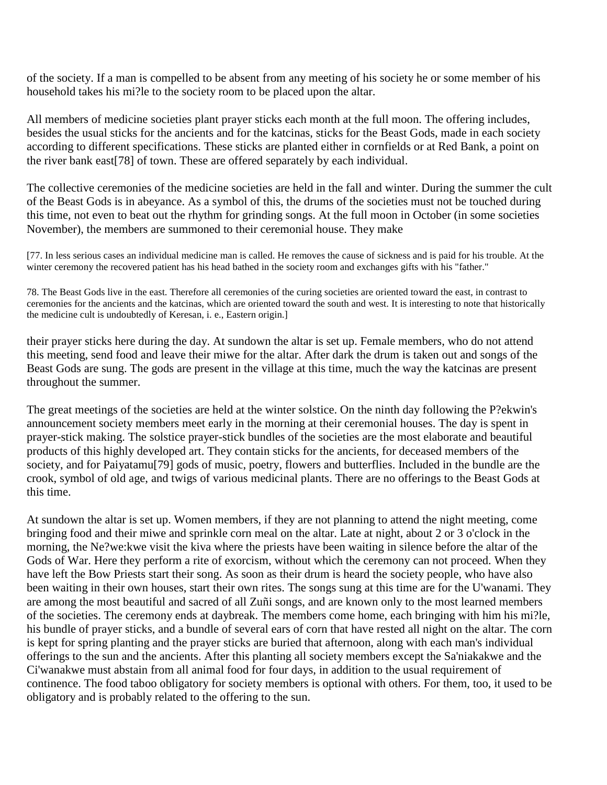of the society. If a man is compelled to be absent from any meeting of his society he or some member of his household takes his mi?le to the society room to be placed upon the altar.

All members of medicine societies plant prayer sticks each month at the full moon. The offering includes, besides the usual sticks for the ancients and for the katcinas, sticks for the Beast Gods, made in each society according to different specifications. These sticks are planted either in cornfields or at Red Bank, a point on the river bank east[78] of town. These are offered separately by each individual.

The collective ceremonies of the medicine societies are held in the fall and winter. During the summer the cult of the Beast Gods is in abeyance. As a symbol of this, the drums of the societies must not be touched during this time, not even to beat out the rhythm for grinding songs. At the full moon in October (in some societies November), the members are summoned to their ceremonial house. They make

[77. In less serious cases an individual medicine man is called. He removes the cause of sickness and is paid for his trouble. At the winter ceremony the recovered patient has his head bathed in the society room and exchanges gifts with his "father."

78. The Beast Gods live in the east. Therefore all ceremonies of the curing societies are oriented toward the east, in contrast to ceremonies for the ancients and the katcinas, which are oriented toward the south and west. It is interesting to note that historically the medicine cult is undoubtedly of Keresan, i. e., Eastern origin.]

their prayer sticks here during the day. At sundown the altar is set up. Female members, who do not attend this meeting, send food and leave their miwe for the altar. After dark the drum is taken out and songs of the Beast Gods are sung. The gods are present in the village at this time, much the way the katcinas are present throughout the summer.

The great meetings of the societies are held at the winter solstice. On the ninth day following the P?ekwin's announcement society members meet early in the morning at their ceremonial houses. The day is spent in prayer-stick making. The solstice prayer-stick bundles of the societies are the most elaborate and beautiful products of this highly developed art. They contain sticks for the ancients, for deceased members of the society, and for Paiyatamu<sup>[79]</sup> gods of music, poetry, flowers and butterflies. Included in the bundle are the crook, symbol of old age, and twigs of various medicinal plants. There are no offerings to the Beast Gods at this time.

At sundown the altar is set up. Women members, if they are not planning to attend the night meeting, come bringing food and their miwe and sprinkle corn meal on the altar. Late at night, about 2 or 3 o'clock in the morning, the Ne?we:kwe visit the kiva where the priests have been waiting in silence before the altar of the Gods of War. Here they perform a rite of exorcism, without which the ceremony can not proceed. When they have left the Bow Priests start their song. As soon as their drum is heard the society people, who have also been waiting in their own houses, start their own rites. The songs sung at this time are for the U'wanami. They are among the most beautiful and sacred of all Zuñi songs, and are known only to the most learned members of the societies. The ceremony ends at daybreak. The members come home, each bringing with him his mi?le, his bundle of prayer sticks, and a bundle of several ears of corn that have rested all night on the altar. The corn is kept for spring planting and the prayer sticks are buried that afternoon, along with each man's individual offerings to the sun and the ancients. After this planting all society members except the Sa'niakakwe and the Ci'wanakwe must abstain from all animal food for four days, in addition to the usual requirement of continence. The food taboo obligatory for society members is optional with others. For them, too, it used to be obligatory and is probably related to the offering to the sun.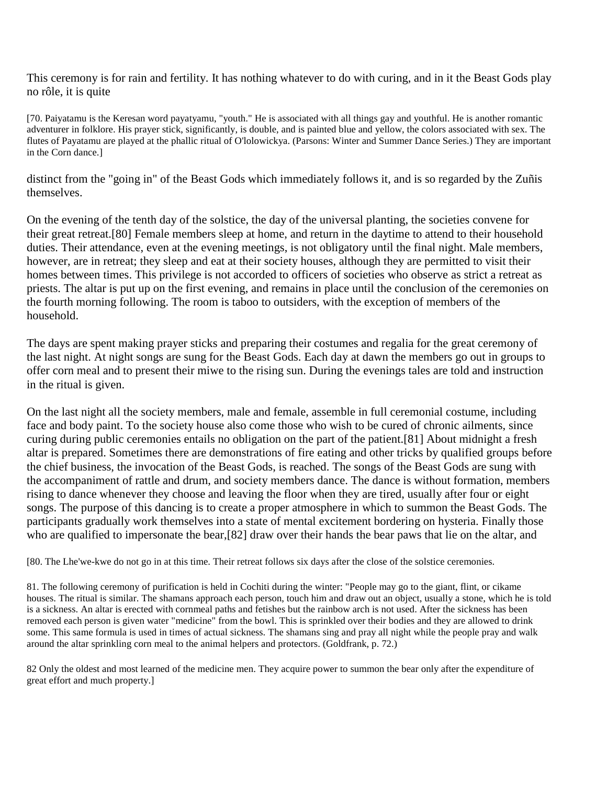This ceremony is for rain and fertility. It has nothing whatever to do with curing, and in it the Beast Gods play no rôle, it is quite

[70. Paiyatamu is the Keresan word payatyamu, "youth." He is associated with all things gay and youthful. He is another romantic adventurer in folklore. His prayer stick, significantly, is double, and is painted blue and yellow, the colors associated with sex. The flutes of Payatamu are played at the phallic ritual of O'lolowickya. (Parsons: Winter and Summer Dance Series.) They are important in the Corn dance.]

distinct from the "going in" of the Beast Gods which immediately follows it, and is so regarded by the Zuñis themselves.

On the evening of the tenth day of the solstice, the day of the universal planting, the societies convene for their great retreat.[80] Female members sleep at home, and return in the daytime to attend to their household duties. Their attendance, even at the evening meetings, is not obligatory until the final night. Male members, however, are in retreat; they sleep and eat at their society houses, although they are permitted to visit their homes between times. This privilege is not accorded to officers of societies who observe as strict a retreat as priests. The altar is put up on the first evening, and remains in place until the conclusion of the ceremonies on the fourth morning following. The room is taboo to outsiders, with the exception of members of the household.

The days are spent making prayer sticks and preparing their costumes and regalia for the great ceremony of the last night. At night songs are sung for the Beast Gods. Each day at dawn the members go out in groups to offer corn meal and to present their miwe to the rising sun. During the evenings tales are told and instruction in the ritual is given.

On the last night all the society members, male and female, assemble in full ceremonial costume, including face and body paint. To the society house also come those who wish to be cured of chronic ailments, since curing during public ceremonies entails no obligation on the part of the patient.[81] About midnight a fresh altar is prepared. Sometimes there are demonstrations of fire eating and other tricks by qualified groups before the chief business, the invocation of the Beast Gods, is reached. The songs of the Beast Gods are sung with the accompaniment of rattle and drum, and society members dance. The dance is without formation, members rising to dance whenever they choose and leaving the floor when they are tired, usually after four or eight songs. The purpose of this dancing is to create a proper atmosphere in which to summon the Beast Gods. The participants gradually work themselves into a state of mental excitement bordering on hysteria. Finally those who are qualified to impersonate the bear,[82] draw over their hands the bear paws that lie on the altar, and

[80. The Lhe'we-kwe do not go in at this time. Their retreat follows six days after the close of the solstice ceremonies.

81. The following ceremony of purification is held in Cochiti during the winter: "People may go to the giant, flint, or cikame houses. The ritual is similar. The shamans approach each person, touch him and draw out an object, usually a stone, which he is told is a sickness. An altar is erected with cornmeal paths and fetishes but the rainbow arch is not used. After the sickness has been removed each person is given water "medicine" from the bowl. This is sprinkled over their bodies and they are allowed to drink some. This same formula is used in times of actual sickness. The shamans sing and pray all night while the people pray and walk around the altar sprinkling corn meal to the animal helpers and protectors. (Goldfrank, p. 72.)

82 Only the oldest and most learned of the medicine men. They acquire power to summon the bear only after the expenditure of great effort and much property.]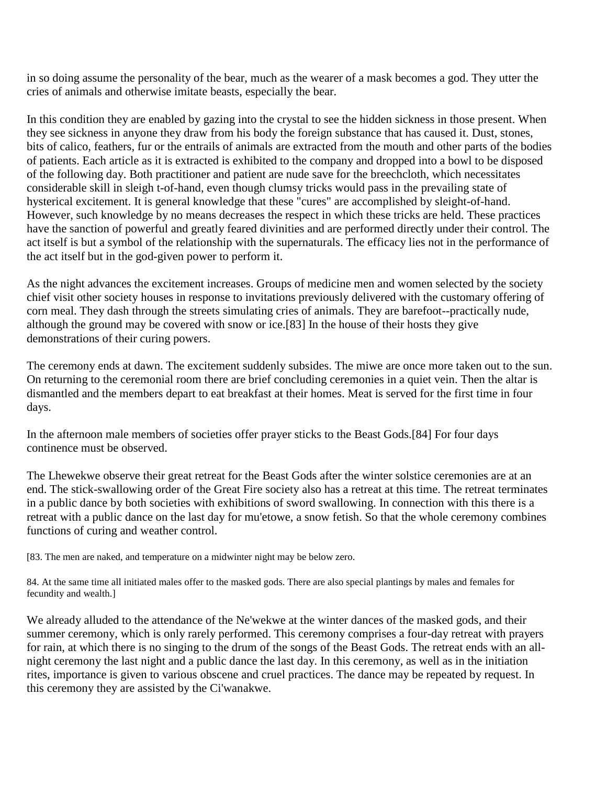in so doing assume the personality of the bear, much as the wearer of a mask becomes a god. They utter the cries of animals and otherwise imitate beasts, especially the bear.

In this condition they are enabled by gazing into the crystal to see the hidden sickness in those present. When they see sickness in anyone they draw from his body the foreign substance that has caused it. Dust, stones, bits of calico, feathers, fur or the entrails of animals are extracted from the mouth and other parts of the bodies of patients. Each article as it is extracted is exhibited to the company and dropped into a bowl to be disposed of the following day. Both practitioner and patient are nude save for the breechcloth, which necessitates considerable skill in sleigh t-of-hand, even though clumsy tricks would pass in the prevailing state of hysterical excitement. It is general knowledge that these "cures" are accomplished by sleight-of-hand. However, such knowledge by no means decreases the respect in which these tricks are held. These practices have the sanction of powerful and greatly feared divinities and are performed directly under their control. The act itself is but a symbol of the relationship with the supernaturals. The efficacy lies not in the performance of the act itself but in the god-given power to perform it.

As the night advances the excitement increases. Groups of medicine men and women selected by the society chief visit other society houses in response to invitations previously delivered with the customary offering of corn meal. They dash through the streets simulating cries of animals. They are barefoot--practically nude, although the ground may be covered with snow or ice.[83] In the house of their hosts they give demonstrations of their curing powers.

The ceremony ends at dawn. The excitement suddenly subsides. The miwe are once more taken out to the sun. On returning to the ceremonial room there are brief concluding ceremonies in a quiet vein. Then the altar is dismantled and the members depart to eat breakfast at their homes. Meat is served for the first time in four days.

In the afternoon male members of societies offer prayer sticks to the Beast Gods.[84] For four days continence must be observed.

The Lhewekwe observe their great retreat for the Beast Gods after the winter solstice ceremonies are at an end. The stick-swallowing order of the Great Fire society also has a retreat at this time. The retreat terminates in a public dance by both societies with exhibitions of sword swallowing. In connection with this there is a retreat with a public dance on the last day for mu'etowe, a snow fetish. So that the whole ceremony combines functions of curing and weather control.

[83. The men are naked, and temperature on a midwinter night may be below zero.

84. At the same time all initiated males offer to the masked gods. There are also special plantings by males and females for fecundity and wealth.]

We already alluded to the attendance of the Ne'wekwe at the winter dances of the masked gods, and their summer ceremony, which is only rarely performed. This ceremony comprises a four-day retreat with prayers for rain, at which there is no singing to the drum of the songs of the Beast Gods. The retreat ends with an allnight ceremony the last night and a public dance the last day. In this ceremony, as well as in the initiation rites, importance is given to various obscene and cruel practices. The dance may be repeated by request. In this ceremony they are assisted by the Ci'wanakwe.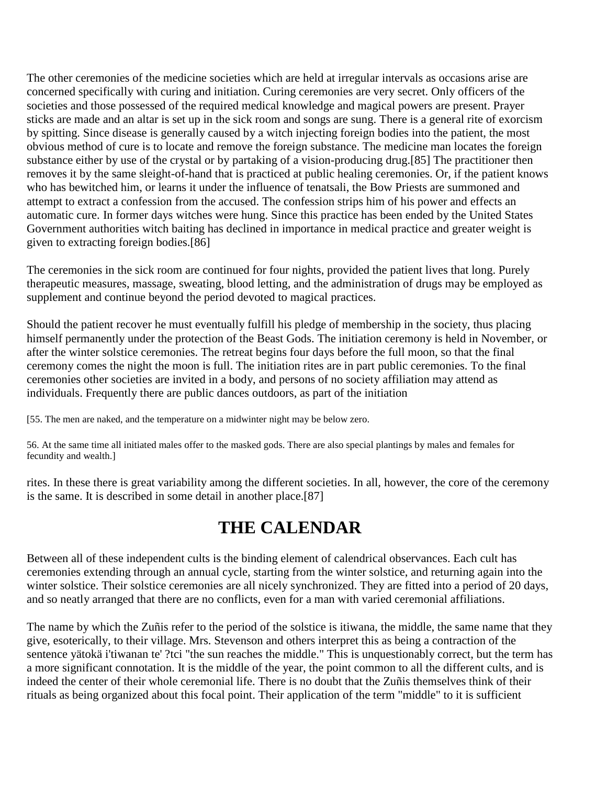The other ceremonies of the medicine societies which are held at irregular intervals as occasions arise are concerned specifically with curing and initiation. Curing ceremonies are very secret. Only officers of the societies and those possessed of the required medical knowledge and magical powers are present. Prayer sticks are made and an altar is set up in the sick room and songs are sung. There is a general rite of exorcism by spitting. Since disease is generally caused by a witch injecting foreign bodies into the patient, the most obvious method of cure is to locate and remove the foreign substance. The medicine man locates the foreign substance either by use of the crystal or by partaking of a vision-producing drug.[85] The practitioner then removes it by the same sleight-of-hand that is practiced at public healing ceremonies. Or, if the patient knows who has bewitched him, or learns it under the influence of tenatsali, the Bow Priests are summoned and attempt to extract a confession from the accused. The confession strips him of his power and effects an automatic cure. In former days witches were hung. Since this practice has been ended by the United States Government authorities witch baiting has declined in importance in medical practice and greater weight is given to extracting foreign bodies.[86]

The ceremonies in the sick room are continued for four nights, provided the patient lives that long. Purely therapeutic measures, massage, sweating, blood letting, and the administration of drugs may be employed as supplement and continue beyond the period devoted to magical practices.

Should the patient recover he must eventually fulfill his pledge of membership in the society, thus placing himself permanently under the protection of the Beast Gods. The initiation ceremony is held in November, or after the winter solstice ceremonies. The retreat begins four days before the full moon, so that the final ceremony comes the night the moon is full. The initiation rites are in part public ceremonies. To the final ceremonies other societies are invited in a body, and persons of no society affiliation may attend as individuals. Frequently there are public dances outdoors, as part of the initiation

[55. The men are naked, and the temperature on a midwinter night may be below zero.

56. At the same time all initiated males offer to the masked gods. There are also special plantings by males and females for fecundity and wealth.]

rites. In these there is great variability among the different societies. In all, however, the core of the ceremony is the same. It is described in some detail in another place.[87]

## **THE CALENDAR**

Between all of these independent cults is the binding element of calendrical observances. Each cult has ceremonies extending through an annual cycle, starting from the winter solstice, and returning again into the winter solstice. Their solstice ceremonies are all nicely synchronized. They are fitted into a period of 20 days, and so neatly arranged that there are no conflicts, even for a man with varied ceremonial affiliations.

The name by which the Zuñis refer to the period of the solstice is itiwana, the middle, the same name that they give, esoterically, to their village. Mrs. Stevenson and others interpret this as being a contraction of the sentence yätokä i'tiwanan te' ?tci "the sun reaches the middle." This is unquestionably correct, but the term has a more significant connotation. It is the middle of the year, the point common to all the different cults, and is indeed the center of their whole ceremonial life. There is no doubt that the Zuñis themselves think of their rituals as being organized about this focal point. Their application of the term "middle" to it is sufficient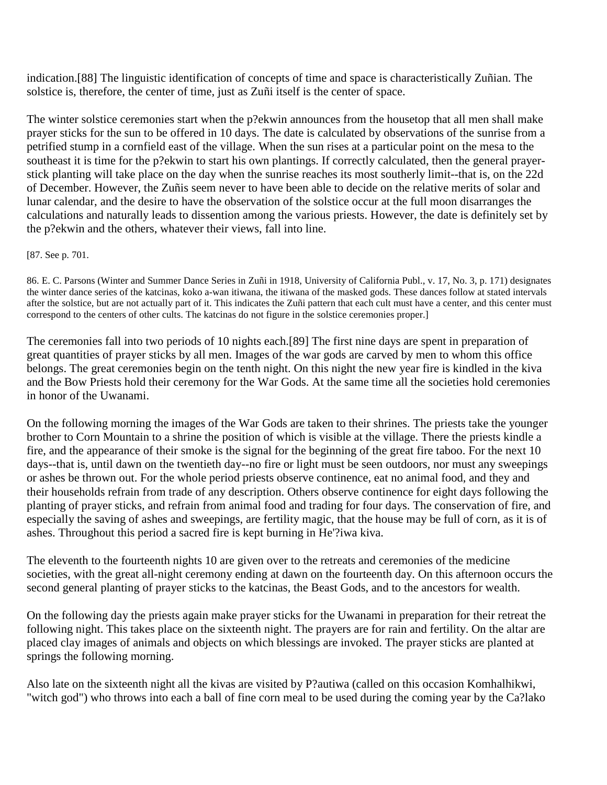indication.[88] The linguistic identification of concepts of time and space is characteristically Zuñian. The solstice is, therefore, the center of time, just as Zuñi itself is the center of space.

The winter solstice ceremonies start when the p?ekwin announces from the housetop that all men shall make prayer sticks for the sun to be offered in 10 days. The date is calculated by observations of the sunrise from a petrified stump in a cornfield east of the village. When the sun rises at a particular point on the mesa to the southeast it is time for the p?ekwin to start his own plantings. If correctly calculated, then the general prayerstick planting will take place on the day when the sunrise reaches its most southerly limit--that is, on the 22d of December. However, the Zuñis seem never to have been able to decide on the relative merits of solar and lunar calendar, and the desire to have the observation of the solstice occur at the full moon disarranges the calculations and naturally leads to dissention among the various priests. However, the date is definitely set by the p?ekwin and the others, whatever their views, fall into line.

[87. See p. 701.

86. E. C. Parsons (Winter and Summer Dance Series in Zuñi in 1918, University of California Publ., v. 17, No. 3, p. 171) designates the winter dance series of the katcinas, koko a-wan itiwana, the itiwana of the masked gods. These dances follow at stated intervals after the solstice, but are not actually part of it. This indicates the Zuñi pattern that each cult must have a center, and this center must correspond to the centers of other cults. The katcinas do not figure in the solstice ceremonies proper.]

The ceremonies fall into two periods of 10 nights each.[89] The first nine days are spent in preparation of great quantities of prayer sticks by all men. Images of the war gods are carved by men to whom this office belongs. The great ceremonies begin on the tenth night. On this night the new year fire is kindled in the kiva and the Bow Priests hold their ceremony for the War Gods. At the same time all the societies hold ceremonies in honor of the Uwanami.

On the following morning the images of the War Gods are taken to their shrines. The priests take the younger brother to Corn Mountain to a shrine the position of which is visible at the village. There the priests kindle a fire, and the appearance of their smoke is the signal for the beginning of the great fire taboo. For the next 10 days--that is, until dawn on the twentieth day--no fire or light must be seen outdoors, nor must any sweepings or ashes be thrown out. For the whole period priests observe continence, eat no animal food, and they and their households refrain from trade of any description. Others observe continence for eight days following the planting of prayer sticks, and refrain from animal food and trading for four days. The conservation of fire, and especially the saving of ashes and sweepings, are fertility magic, that the house may be full of corn, as it is of ashes. Throughout this period a sacred fire is kept burning in He'?iwa kiva.

The eleventh to the fourteenth nights 10 are given over to the retreats and ceremonies of the medicine societies, with the great all-night ceremony ending at dawn on the fourteenth day. On this afternoon occurs the second general planting of prayer sticks to the katcinas, the Beast Gods, and to the ancestors for wealth.

On the following day the priests again make prayer sticks for the Uwanami in preparation for their retreat the following night. This takes place on the sixteenth night. The prayers are for rain and fertility. On the altar are placed clay images of animals and objects on which blessings are invoked. The prayer sticks are planted at springs the following morning.

Also late on the sixteenth night all the kivas are visited by P?autiwa (called on this occasion Komhalhikwi, "witch god") who throws into each a ball of fine corn meal to be used during the coming year by the Ca?lako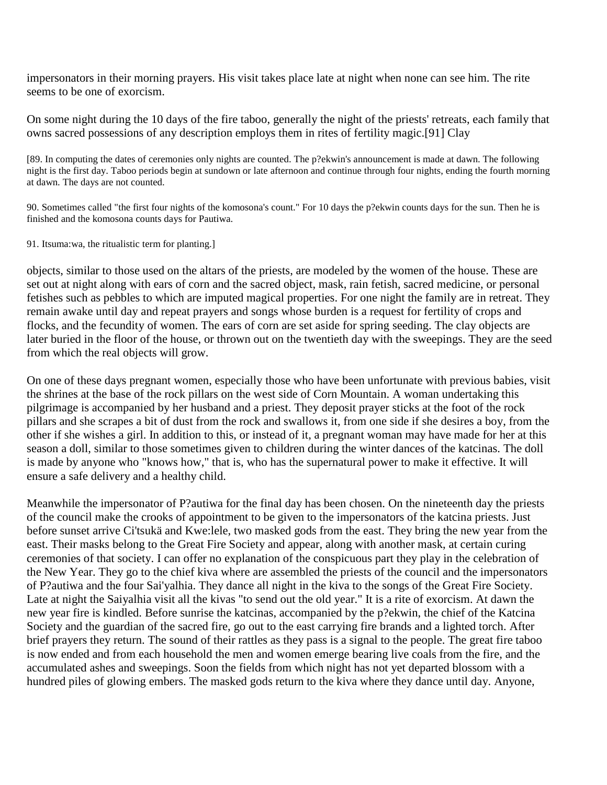impersonators in their morning prayers. His visit takes place late at night when none can see him. The rite seems to be one of exorcism.

On some night during the 10 days of the fire taboo, generally the night of the priests' retreats, each family that owns sacred possessions of any description employs them in rites of fertility magic.[91] Clay

[89. In computing the dates of ceremonies only nights are counted. The p?ekwin's announcement is made at dawn. The following night is the first day. Taboo periods begin at sundown or late afternoon and continue through four nights, ending the fourth morning at dawn. The days are not counted.

90. Sometimes called "the first four nights of the komosona's count." For 10 days the p?ekwin counts days for the sun. Then he is finished and the komosona counts days for Pautiwa.

91. Itsuma:wa, the ritualistic term for planting.]

objects, similar to those used on the altars of the priests, are modeled by the women of the house. These are set out at night along with ears of corn and the sacred object, mask, rain fetish, sacred medicine, or personal fetishes such as pebbles to which are imputed magical properties. For one night the family are in retreat. They remain awake until day and repeat prayers and songs whose burden is a request for fertility of crops and flocks, and the fecundity of women. The ears of corn are set aside for spring seeding. The clay objects are later buried in the floor of the house, or thrown out on the twentieth day with the sweepings. They are the seed from which the real objects will grow.

On one of these days pregnant women, especially those who have been unfortunate with previous babies, visit the shrines at the base of the rock pillars on the west side of Corn Mountain. A woman undertaking this pilgrimage is accompanied by her husband and a priest. They deposit prayer sticks at the foot of the rock pillars and she scrapes a bit of dust from the rock and swallows it, from one side if she desires a boy, from the other if she wishes a girl. In addition to this, or instead of it, a pregnant woman may have made for her at this season a doll, similar to those sometimes given to children during the winter dances of the katcinas. The doll is made by anyone who "knows how," that is, who has the supernatural power to make it effective. It will ensure a safe delivery and a healthy child.

Meanwhile the impersonator of P?autiwa for the final day has been chosen. On the nineteenth day the priests of the council make the crooks of appointment to be given to the impersonators of the katcina priests. Just before sunset arrive Ci'tsukä and Kwe:lele, two masked gods from the east. They bring the new year from the east. Their masks belong to the Great Fire Society and appear, along with another mask, at certain curing ceremonies of that society. I can offer no explanation of the conspicuous part they play in the celebration of the New Year. They go to the chief kiva where are assembled the priests of the council and the impersonators of P?autiwa and the four Sai'yalhia. They dance all night in the kiva to the songs of the Great Fire Society. Late at night the Saiyalhia visit all the kivas "to send out the old year." It is a rite of exorcism. At dawn the new year fire is kindled. Before sunrise the katcinas, accompanied by the p?ekwin, the chief of the Katcina Society and the guardian of the sacred fire, go out to the east carrying fire brands and a lighted torch. After brief prayers they return. The sound of their rattles as they pass is a signal to the people. The great fire taboo is now ended and from each household the men and women emerge bearing live coals from the fire, and the accumulated ashes and sweepings. Soon the fields from which night has not yet departed blossom with a hundred piles of glowing embers. The masked gods return to the kiva where they dance until day. Anyone,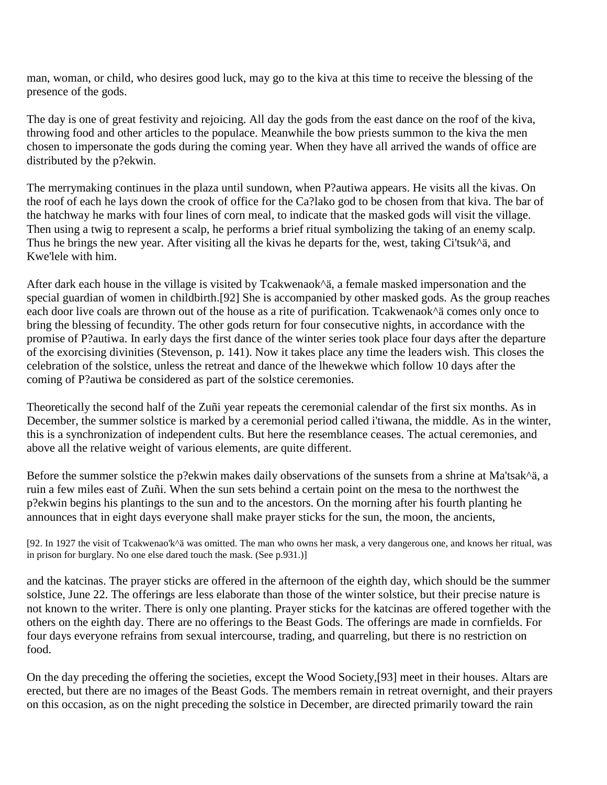man, woman, or child, who desires good luck, may go to the kiva at this time to receive the blessing of the presence of the gods.

The day is one of great festivity and rejoicing. All day the gods from the east dance on the roof of the kiva, throwing food and other articles to the populace. Meanwhile the bow priests summon to the kiva the men chosen to impersonate the gods during the coming year. When they have all arrived the wands of office are distributed by the p?ekwin.

The merrymaking continues in the plaza until sundown, when P?autiwa appears. He visits all the kivas. On the roof of each he lays down the crook of office for the Ca?lako god to be chosen from that kiva. The bar of the hatchway he marks with four lines of corn meal, to indicate that the masked gods will visit the village. Then using a twig to represent a scalp, he performs a brief ritual symbolizing the taking of an enemy scalp. Thus he brings the new year. After visiting all the kivas he departs for the, west, taking Ci'tsuk^ä, and Kwe'lele with him.

After dark each house in the village is visited by Tcakwenaok^ä, a female masked impersonation and the special guardian of women in childbirth.[92] She is accompanied by other masked gods. As the group reaches each door live coals are thrown out of the house as a rite of purification. Tcakwenaok^ä comes only once to bring the blessing of fecundity. The other gods return for four consecutive nights, in accordance with the promise of P?autiwa. In early days the first dance of the winter series took place four days after the departure of the exorcising divinities (Stevenson, p. 141). Now it takes place any time the leaders wish. This closes the celebration of the solstice, unless the retreat and dance of the lhewekwe which follow 10 days after the coming of P?autiwa be considered as part of the solstice ceremonies.

Theoretically the second half of the Zuñi year repeats the ceremonial calendar of the first six months. As in December, the summer solstice is marked by a ceremonial period called i'tiwana, the middle. As in the winter, this is a synchronization of independent cults. But here the resemblance ceases. The actual ceremonies, and above all the relative weight of various elements, are quite different.

Before the summer solstice the p?ekwin makes daily observations of the sunsets from a shrine at Ma'tsak^ä, a ruin a few miles east of Zuñi. When the sun sets behind a certain point on the mesa to the northwest the p?ekwin begins his plantings to the sun and to the ancestors. On the morning after his fourth planting he announces that in eight days everyone shall make prayer sticks for the sun, the moon, the ancients,

[92. In 1927 the visit of Tcakwenao'k^ä was omitted. The man who owns her mask, a very dangerous one, and knows her ritual, was in prison for burglary. No one else dared touch the mask. (See p.931.)]

and the katcinas. The prayer sticks are offered in the afternoon of the eighth day, which should be the summer solstice, June 22. The offerings are less elaborate than those of the winter solstice, but their precise nature is not known to the writer. There is only one planting. Prayer sticks for the katcinas are offered together with the others on the eighth day. There are no offerings to the Beast Gods. The offerings are made in cornfields. For four days everyone refrains from sexual intercourse, trading, and quarreling, but there is no restriction on food.

On the day preceding the offering the societies, except the Wood Society,[93] meet in their houses. Altars are erected, but there are no images of the Beast Gods. The members remain in retreat overnight, and their prayers on this occasion, as on the night preceding the solstice in December, are directed primarily toward the rain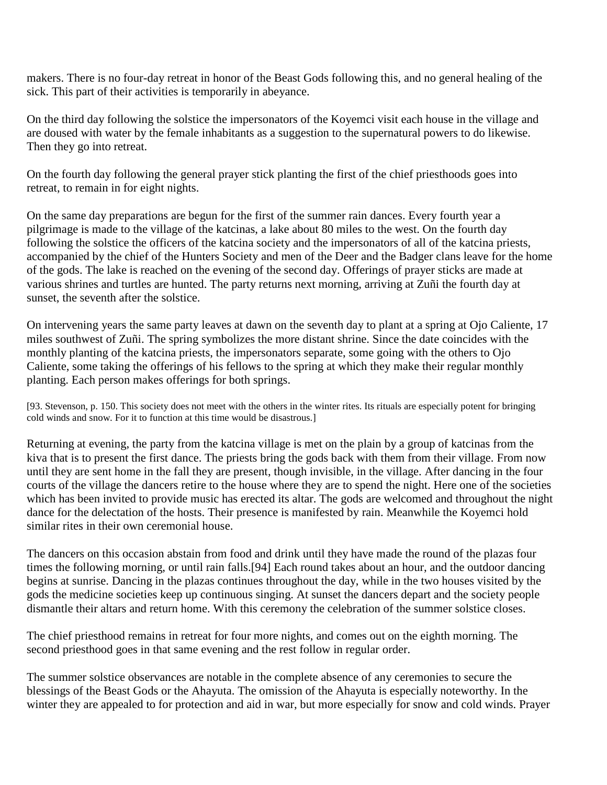makers. There is no four-day retreat in honor of the Beast Gods following this, and no general healing of the sick. This part of their activities is temporarily in abeyance.

On the third day following the solstice the impersonators of the Koyemci visit each house in the village and are doused with water by the female inhabitants as a suggestion to the supernatural powers to do likewise. Then they go into retreat.

On the fourth day following the general prayer stick planting the first of the chief priesthoods goes into retreat, to remain in for eight nights.

On the same day preparations are begun for the first of the summer rain dances. Every fourth year a pilgrimage is made to the village of the katcinas, a lake about 80 miles to the west. On the fourth day following the solstice the officers of the katcina society and the impersonators of all of the katcina priests, accompanied by the chief of the Hunters Society and men of the Deer and the Badger clans leave for the home of the gods. The lake is reached on the evening of the second day. Offerings of prayer sticks are made at various shrines and turtles are hunted. The party returns next morning, arriving at Zuñi the fourth day at sunset, the seventh after the solstice.

On intervening years the same party leaves at dawn on the seventh day to plant at a spring at Ojo Caliente, 17 miles southwest of Zuñi. The spring symbolizes the more distant shrine. Since the date coincides with the monthly planting of the katcina priests, the impersonators separate, some going with the others to Ojo Caliente, some taking the offerings of his fellows to the spring at which they make their regular monthly planting. Each person makes offerings for both springs.

[93. Stevenson, p. 150. This society does not meet with the others in the winter rites. Its rituals are especially potent for bringing cold winds and snow. For it to function at this time would be disastrous.]

Returning at evening, the party from the katcina village is met on the plain by a group of katcinas from the kiva that is to present the first dance. The priests bring the gods back with them from their village. From now until they are sent home in the fall they are present, though invisible, in the village. After dancing in the four courts of the village the dancers retire to the house where they are to spend the night. Here one of the societies which has been invited to provide music has erected its altar. The gods are welcomed and throughout the night dance for the delectation of the hosts. Their presence is manifested by rain. Meanwhile the Koyemci hold similar rites in their own ceremonial house.

The dancers on this occasion abstain from food and drink until they have made the round of the plazas four times the following morning, or until rain falls.[94] Each round takes about an hour, and the outdoor dancing begins at sunrise. Dancing in the plazas continues throughout the day, while in the two houses visited by the gods the medicine societies keep up continuous singing. At sunset the dancers depart and the society people dismantle their altars and return home. With this ceremony the celebration of the summer solstice closes.

The chief priesthood remains in retreat for four more nights, and comes out on the eighth morning. The second priesthood goes in that same evening and the rest follow in regular order.

The summer solstice observances are notable in the complete absence of any ceremonies to secure the blessings of the Beast Gods or the Ahayuta. The omission of the Ahayuta is especially noteworthy. In the winter they are appealed to for protection and aid in war, but more especially for snow and cold winds. Prayer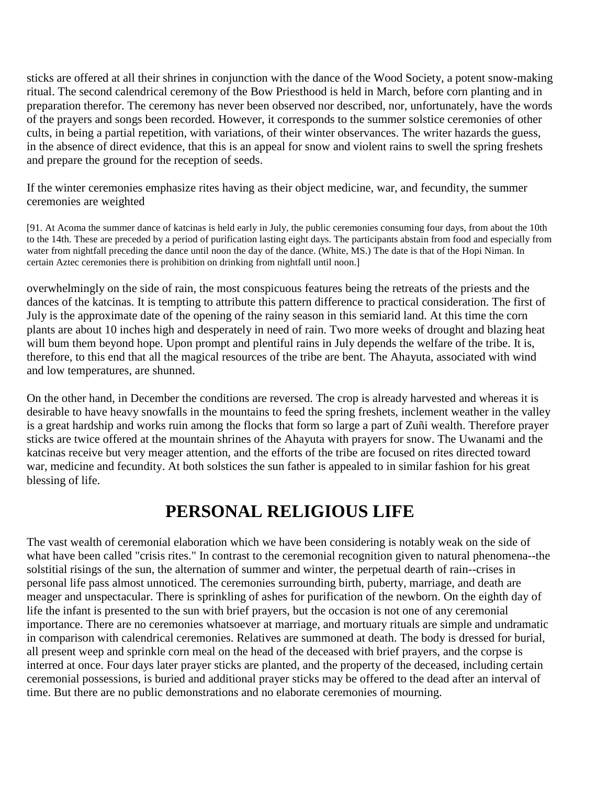sticks are offered at all their shrines in conjunction with the dance of the Wood Society, a potent snow-making ritual. The second calendrical ceremony of the Bow Priesthood is held in March, before corn planting and in preparation therefor. The ceremony has never been observed nor described, nor, unfortunately, have the words of the prayers and songs been recorded. However, it corresponds to the summer solstice ceremonies of other cults, in being a partial repetition, with variations, of their winter observances. The writer hazards the guess, in the absence of direct evidence, that this is an appeal for snow and violent rains to swell the spring freshets and prepare the ground for the reception of seeds.

If the winter ceremonies emphasize rites having as their object medicine, war, and fecundity, the summer ceremonies are weighted

[91. At Acoma the summer dance of katcinas is held early in July, the public ceremonies consuming four days, from about the 10th to the 14th. These are preceded by a period of purification lasting eight days. The participants abstain from food and especially from water from nightfall preceding the dance until noon the day of the dance. (White, MS.) The date is that of the Hopi Niman. In certain Aztec ceremonies there is prohibition on drinking from nightfall until noon.]

overwhelmingly on the side of rain, the most conspicuous features being the retreats of the priests and the dances of the katcinas. It is tempting to attribute this pattern difference to practical consideration. The first of July is the approximate date of the opening of the rainy season in this semiarid land. At this time the corn plants are about 10 inches high and desperately in need of rain. Two more weeks of drought and blazing heat will bum them beyond hope. Upon prompt and plentiful rains in July depends the welfare of the tribe. It is, therefore, to this end that all the magical resources of the tribe are bent. The Ahayuta, associated with wind and low temperatures, are shunned.

On the other hand, in December the conditions are reversed. The crop is already harvested and whereas it is desirable to have heavy snowfalls in the mountains to feed the spring freshets, inclement weather in the valley is a great hardship and works ruin among the flocks that form so large a part of Zuñi wealth. Therefore prayer sticks are twice offered at the mountain shrines of the Ahayuta with prayers for snow. The Uwanami and the katcinas receive but very meager attention, and the efforts of the tribe are focused on rites directed toward war, medicine and fecundity. At both solstices the sun father is appealed to in similar fashion for his great blessing of life.

## **PERSONAL RELIGIOUS LIFE**

The vast wealth of ceremonial elaboration which we have been considering is notably weak on the side of what have been called "crisis rites." In contrast to the ceremonial recognition given to natural phenomena--the solstitial risings of the sun, the alternation of summer and winter, the perpetual dearth of rain--crises in personal life pass almost unnoticed. The ceremonies surrounding birth, puberty, marriage, and death are meager and unspectacular. There is sprinkling of ashes for purification of the newborn. On the eighth day of life the infant is presented to the sun with brief prayers, but the occasion is not one of any ceremonial importance. There are no ceremonies whatsoever at marriage, and mortuary rituals are simple and undramatic in comparison with calendrical ceremonies. Relatives are summoned at death. The body is dressed for burial, all present weep and sprinkle corn meal on the head of the deceased with brief prayers, and the corpse is interred at once. Four days later prayer sticks are planted, and the property of the deceased, including certain ceremonial possessions, is buried and additional prayer sticks may be offered to the dead after an interval of time. But there are no public demonstrations and no elaborate ceremonies of mourning.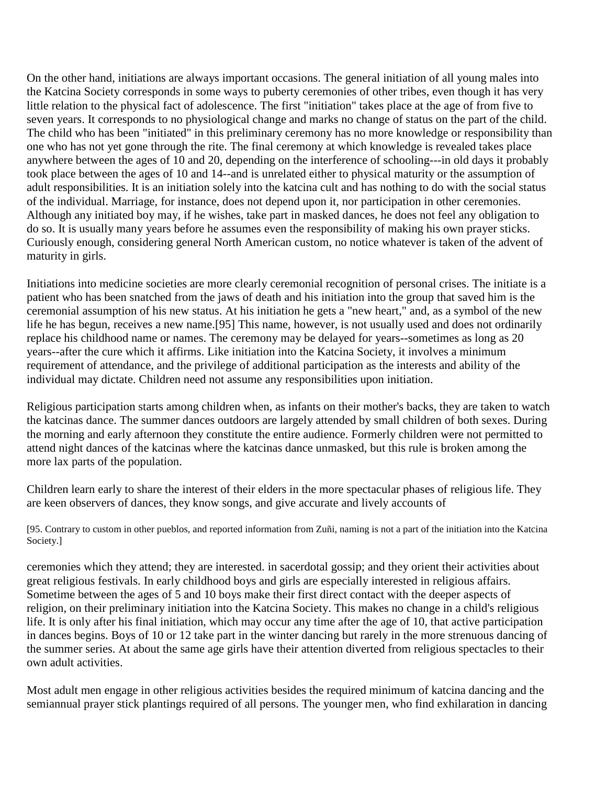On the other hand, initiations are always important occasions. The general initiation of all young males into the Katcina Society corresponds in some ways to puberty ceremonies of other tribes, even though it has very little relation to the physical fact of adolescence. The first "initiation" takes place at the age of from five to seven years. It corresponds to no physiological change and marks no change of status on the part of the child. The child who has been "initiated" in this preliminary ceremony has no more knowledge or responsibility than one who has not yet gone through the rite. The final ceremony at which knowledge is revealed takes place anywhere between the ages of 10 and 20, depending on the interference of schooling---in old days it probably took place between the ages of 10 and 14--and is unrelated either to physical maturity or the assumption of adult responsibilities. It is an initiation solely into the katcina cult and has nothing to do with the social status of the individual. Marriage, for instance, does not depend upon it, nor participation in other ceremonies. Although any initiated boy may, if he wishes, take part in masked dances, he does not feel any obligation to do so. It is usually many years before he assumes even the responsibility of making his own prayer sticks. Curiously enough, considering general North American custom, no notice whatever is taken of the advent of maturity in girls.

Initiations into medicine societies are more clearly ceremonial recognition of personal crises. The initiate is a patient who has been snatched from the jaws of death and his initiation into the group that saved him is the ceremonial assumption of his new status. At his initiation he gets a "new heart," and, as a symbol of the new life he has begun, receives a new name.[95] This name, however, is not usually used and does not ordinarily replace his childhood name or names. The ceremony may be delayed for years--sometimes as long as 20 years--after the cure which it affirms. Like initiation into the Katcina Society, it involves a minimum requirement of attendance, and the privilege of additional participation as the interests and ability of the individual may dictate. Children need not assume any responsibilities upon initiation.

Religious participation starts among children when, as infants on their mother's backs, they are taken to watch the katcinas dance. The summer dances outdoors are largely attended by small children of both sexes. During the morning and early afternoon they constitute the entire audience. Formerly children were not permitted to attend night dances of the katcinas where the katcinas dance unmasked, but this rule is broken among the more lax parts of the population.

Children learn early to share the interest of their elders in the more spectacular phases of religious life. They are keen observers of dances, they know songs, and give accurate and lively accounts of

[95. Contrary to custom in other pueblos, and reported information from Zuñi, naming is not a part of the initiation into the Katcina Society.]

ceremonies which they attend; they are interested. in sacerdotal gossip; and they orient their activities about great religious festivals. In early childhood boys and girls are especially interested in religious affairs. Sometime between the ages of 5 and 10 boys make their first direct contact with the deeper aspects of religion, on their preliminary initiation into the Katcina Society. This makes no change in a child's religious life. It is only after his final initiation, which may occur any time after the age of 10, that active participation in dances begins. Boys of 10 or 12 take part in the winter dancing but rarely in the more strenuous dancing of the summer series. At about the same age girls have their attention diverted from religious spectacles to their own adult activities.

Most adult men engage in other religious activities besides the required minimum of katcina dancing and the semiannual prayer stick plantings required of all persons. The younger men, who find exhilaration in dancing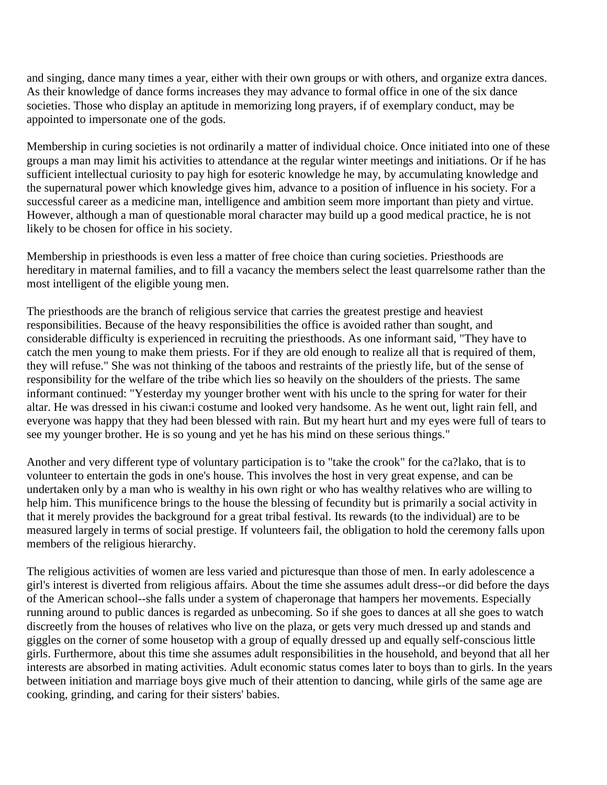and singing, dance many times a year, either with their own groups or with others, and organize extra dances. As their knowledge of dance forms increases they may advance to formal office in one of the six dance societies. Those who display an aptitude in memorizing long prayers, if of exemplary conduct, may be appointed to impersonate one of the gods.

Membership in curing societies is not ordinarily a matter of individual choice. Once initiated into one of these groups a man may limit his activities to attendance at the regular winter meetings and initiations. Or if he has sufficient intellectual curiosity to pay high for esoteric knowledge he may, by accumulating knowledge and the supernatural power which knowledge gives him, advance to a position of influence in his society. For a successful career as a medicine man, intelligence and ambition seem more important than piety and virtue. However, although a man of questionable moral character may build up a good medical practice, he is not likely to be chosen for office in his society.

Membership in priesthoods is even less a matter of free choice than curing societies. Priesthoods are hereditary in maternal families, and to fill a vacancy the members select the least quarrelsome rather than the most intelligent of the eligible young men.

The priesthoods are the branch of religious service that carries the greatest prestige and heaviest responsibilities. Because of the heavy responsibilities the office is avoided rather than sought, and considerable difficulty is experienced in recruiting the priesthoods. As one informant said, "They have to catch the men young to make them priests. For if they are old enough to realize all that is required of them, they will refuse." She was not thinking of the taboos and restraints of the priestly life, but of the sense of responsibility for the welfare of the tribe which lies so heavily on the shoulders of the priests. The same informant continued: "Yesterday my younger brother went with his uncle to the spring for water for their altar. He was dressed in his ciwan:i costume and looked very handsome. As he went out, light rain fell, and everyone was happy that they had been blessed with rain. But my heart hurt and my eyes were full of tears to see my younger brother. He is so young and yet he has his mind on these serious things."

Another and very different type of voluntary participation is to "take the crook" for the ca?lako, that is to volunteer to entertain the gods in one's house. This involves the host in very great expense, and can be undertaken only by a man who is wealthy in his own right or who has wealthy relatives who are willing to help him. This munificence brings to the house the blessing of fecundity but is primarily a social activity in that it merely provides the background for a great tribal festival. Its rewards (to the individual) are to be measured largely in terms of social prestige. If volunteers fail, the obligation to hold the ceremony falls upon members of the religious hierarchy.

The religious activities of women are less varied and picturesque than those of men. In early adolescence a girl's interest is diverted from religious affairs. About the time she assumes adult dress--or did before the days of the American school--she falls under a system of chaperonage that hampers her movements. Especially running around to public dances is regarded as unbecoming. So if she goes to dances at all she goes to watch discreetly from the houses of relatives who live on the plaza, or gets very much dressed up and stands and giggles on the corner of some housetop with a group of equally dressed up and equally self-conscious little girls. Furthermore, about this time she assumes adult responsibilities in the household, and beyond that all her interests are absorbed in mating activities. Adult economic status comes later to boys than to girls. In the years between initiation and marriage boys give much of their attention to dancing, while girls of the same age are cooking, grinding, and caring for their sisters' babies.